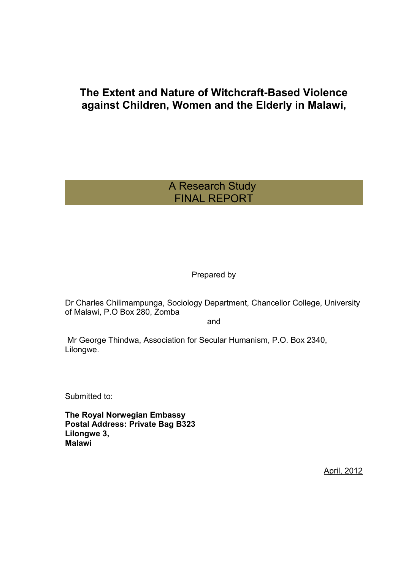# **The Extent and Nature of Witchcraft-Based Violence against Children, Women and the Elderly in Malawi,**

# A Research Study FINAL REPORT

Prepared by

Dr Charles Chilimampunga, Sociology Department, Chancellor College, University of Malawi, P.O Box 280, Zomba

and

 Mr George Thindwa, Association for Secular Humanism, P.O. Box 2340, Lilongwe.

Submitted to:

**The Royal Norwegian Embassy Postal Address: Private Bag B323 Lilongwe 3, Malawi**

April, 2012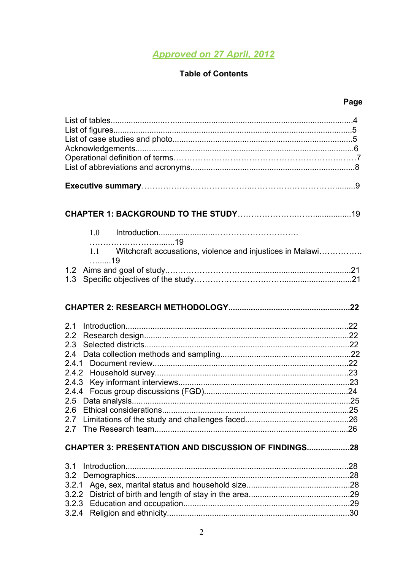# **Approved on 27 April, 2012**

# **Table of Contents**

| 1.0                                                           |  |
|---------------------------------------------------------------|--|
| 1.1 Witchcraft accusations, violence and injustices in Malawi |  |
| . 19                                                          |  |
| 1.3                                                           |  |
|                                                               |  |
|                                                               |  |
|                                                               |  |
|                                                               |  |
| 2.1                                                           |  |
| 2.3                                                           |  |
|                                                               |  |
|                                                               |  |
|                                                               |  |
| 2.4.3                                                         |  |
| 2.4.4                                                         |  |
| 2.6                                                           |  |
|                                                               |  |
|                                                               |  |
| <b>CHAPTER 3: PRESENTATION AND DISCUSSION OF FINDINGS28</b>   |  |
| 3.1                                                           |  |
|                                                               |  |
| 3.2.1                                                         |  |
|                                                               |  |
| 3.2.4                                                         |  |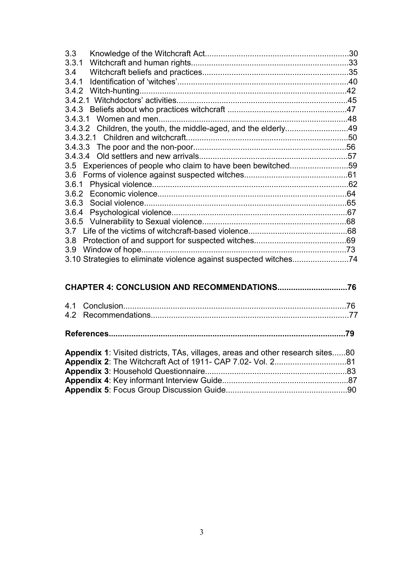| 3.3                    | .30 |
|------------------------|-----|
| 3.3.1                  |     |
| 3.4                    |     |
| 3.4.1                  |     |
|                        |     |
|                        |     |
|                        |     |
| 3.4.3.1 Women and men  |     |
|                        |     |
|                        |     |
|                        |     |
|                        |     |
|                        |     |
|                        |     |
| 3.6.1                  |     |
|                        | .64 |
|                        | .65 |
|                        |     |
|                        |     |
|                        |     |
| 3.8                    |     |
| Window of hope.<br>3.9 |     |
|                        |     |

| <b>Appendix 1:</b> Visited districts, TAs, villages, areas and other research sites80 |  |
|---------------------------------------------------------------------------------------|--|
|                                                                                       |  |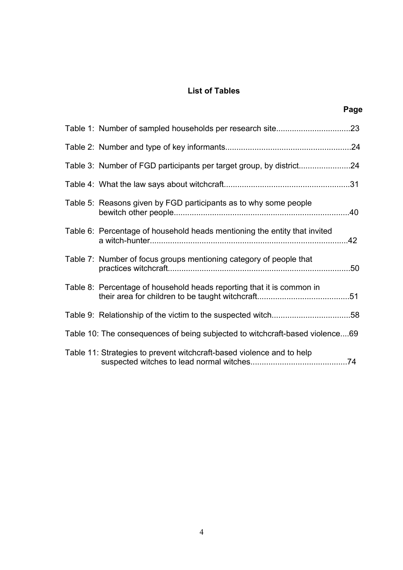# **List of Tables**

|                                                                              | Page |
|------------------------------------------------------------------------------|------|
|                                                                              |      |
|                                                                              |      |
|                                                                              |      |
|                                                                              |      |
| Table 5: Reasons given by FGD participants as to why some people             |      |
| Table 6: Percentage of household heads mentioning the entity that invited    |      |
| Table 7: Number of focus groups mentioning category of people that           |      |
| Table 8: Percentage of household heads reporting that it is common in        |      |
|                                                                              |      |
| Table 10: The consequences of being subjected to witchcraft-based violence69 |      |
| Table 11: Strategies to prevent witchcraft-based violence and to help        |      |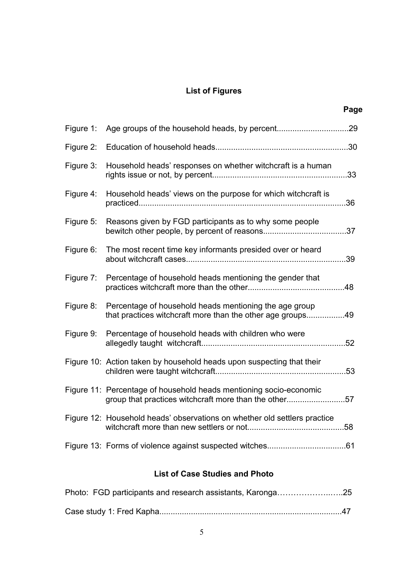# **List of Figures**

**Page**

| Figure 1: |                                                                                                                             |     |
|-----------|-----------------------------------------------------------------------------------------------------------------------------|-----|
| Figure 2: |                                                                                                                             |     |
| Figure 3: | Household heads' responses on whether witchcraft is a human                                                                 | .33 |
| Figure 4: | Household heads' views on the purpose for which witchcraft is                                                               | .36 |
| Figure 5: | Reasons given by FGD participants as to why some people                                                                     |     |
| Figure 6: | The most recent time key informants presided over or heard                                                                  | .39 |
| Figure 7: | Percentage of household heads mentioning the gender that                                                                    |     |
| Figure 8: | Percentage of household heads mentioning the age group<br>that practices witchcraft more than the other age groups49        |     |
| Figure 9: | Percentage of household heads with children who were                                                                        |     |
|           | Figure 10: Action taken by household heads upon suspecting that their                                                       | .53 |
|           | Figure 11: Percentage of household heads mentioning socio-economic<br>group that practices witchcraft more than the other57 |     |
|           | Figure 12: Household heads' observations on whether old settlers practice                                                   |     |
|           |                                                                                                                             |     |
|           |                                                                                                                             |     |

# **List of Case Studies and Photo**

| Photo: FGD participants and research assistants, Karonga25 |  |  |  |  |
|------------------------------------------------------------|--|--|--|--|
|                                                            |  |  |  |  |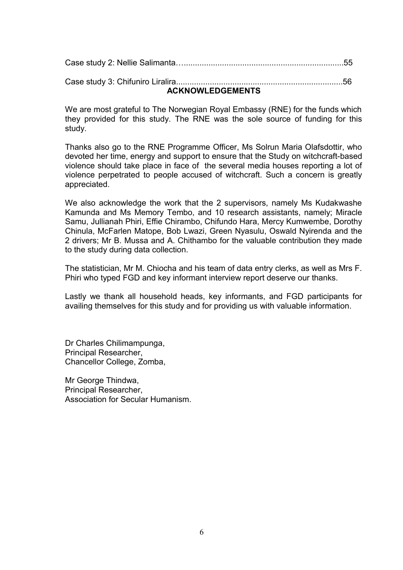| <b>ACKNOWLEDGEMENTS</b> |
|-------------------------|
|                         |
|                         |

We are most grateful to The Norwegian Royal Embassy (RNE) for the funds which they provided for this study. The RNE was the sole source of funding for this study.

Thanks also go to the RNE Programme Officer, Ms Solrun Maria Olafsdottir, who devoted her time, energy and support to ensure that the Study on witchcraft-based violence should take place in face of the several media houses reporting a lot of violence perpetrated to people accused of witchcraft. Such a concern is greatly appreciated.

We also acknowledge the work that the 2 supervisors, namely Ms Kudakwashe Kamunda and Ms Memory Tembo, and 10 research assistants, namely; Miracle Samu, Jullianah Phiri, Effie Chirambo, Chifundo Hara, Mercy Kumwembe, Dorothy Chinula, McFarlen Matope, Bob Lwazi, Green Nyasulu, Oswald Nyirenda and the 2 drivers; Mr B. Mussa and A. Chithambo for the valuable contribution they made to the study during data collection.

The statistician, Mr M. Chiocha and his team of data entry clerks, as well as Mrs F. Phiri who typed FGD and key informant interview report deserve our thanks.

Lastly we thank all household heads, key informants, and FGD participants for availing themselves for this study and for providing us with valuable information.

Dr Charles Chilimampunga, Principal Researcher, Chancellor College, Zomba,

Mr George Thindwa, Principal Researcher, Association for Secular Humanism.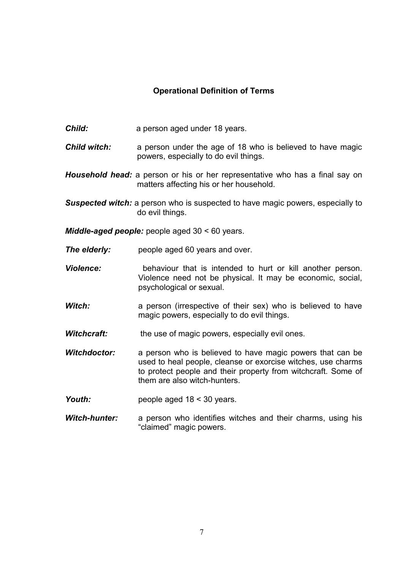# **Operational Definition of Terms**

- **Child:** a person aged under 18 years.
- *Child witch:* a person under the age of 18 who is believed to have magic powers, especially to do evil things.
- *Household head:* a person or his or her representative who has a final say on matters affecting his or her household.
- **Suspected witch:** a person who is suspected to have magic powers, especially to do evil things.
- *Middle-aged people:* people aged 30 < 60 years.
- **The elderly:** people aged 60 years and over.
- *Violence:* behaviour that is intended to hurt or kill another person. Violence need not be physical. It may be economic, social, psychological or sexual.
- **Witch:** a person (irrespective of their sex) who is believed to have magic powers, especially to do evil things.
- **Witchcraft:** the use of magic powers, especially evil ones.
- *Witchdoctor:* a person who is believed to have magic powers that can be used to heal people, cleanse or exorcise witches, use charms to protect people and their property from witchcraft. Some of them are also witch-hunters.
- Youth: people aged 18 < 30 years.
- *Witch-hunter:* a person who identifies witches and their charms, using his "claimed" magic powers.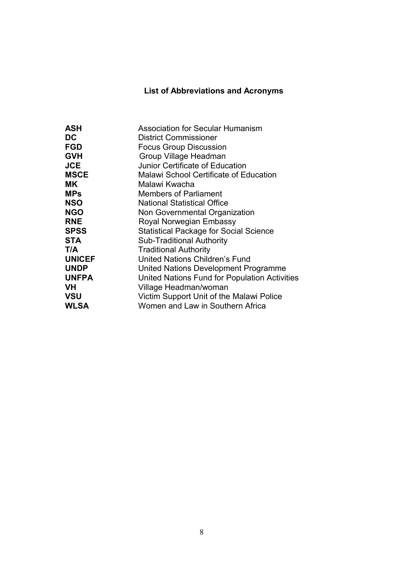# **List of Abbreviations and Acronyms**

| <b>ASH</b>    | <b>Association for Secular Humanism</b>       |
|---------------|-----------------------------------------------|
| DC            | <b>District Commissioner</b>                  |
| <b>FGD</b>    | <b>Focus Group Discussion</b>                 |
| <b>GVH</b>    | Group Village Headman                         |
| <b>JCE</b>    | Junior Certificate of Education               |
| <b>MSCE</b>   | <b>Malawi School Certificate of Education</b> |
| <b>MK</b>     | Malawi Kwacha                                 |
| <b>MPs</b>    | <b>Members of Parliament</b>                  |
| <b>NSO</b>    | <b>National Statistical Office</b>            |
| <b>NGO</b>    | Non Governmental Organization                 |
| <b>RNE</b>    | Royal Norwegian Embassy                       |
| <b>SPSS</b>   | <b>Statistical Package for Social Science</b> |
| <b>STA</b>    | <b>Sub-Traditional Authority</b>              |
| T/A           | <b>Traditional Authority</b>                  |
| <b>UNICEF</b> | United Nations Children's Fund                |
| <b>UNDP</b>   | United Nations Development Programme          |
| <b>UNFPA</b>  | United Nations Fund for Population Activities |
| <b>VH</b>     | Village Headman/woman                         |
| <b>VSU</b>    | Victim Support Unit of the Malawi Police      |
| <b>WLSA</b>   | Women and Law in Southern Africa              |
|               |                                               |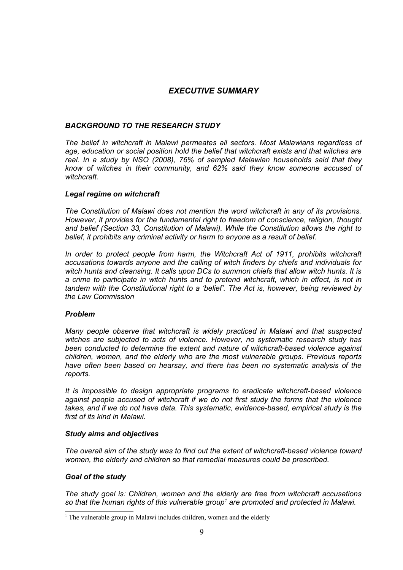# *EXECUTIVE SUMMARY*

#### *BACKGROUND TO THE RESEARCH STUDY*

*The belief in witchcraft in Malawi permeates all sectors. Most Malawians regardless of age, education or social position hold the belief that witchcraft exists and that witches are real. In a study by NSO (2008), 76% of sampled Malawian households said that they know of witches in their community, and 62% said they know someone accused of witchcraft.*

#### *Legal regime on witchcraft*

*The Constitution of Malawi does not mention the word witchcraft in any of its provisions. However, it provides for the fundamental right to freedom of conscience, religion, thought and belief (Section 33, Constitution of Malawi). While the Constitution allows the right to* belief, it prohibits any criminal activity or harm to anyone as a result of belief.

*In order to protect people from harm, the Witchcraft Act of 1911, prohibits witchcraft accusations towards anyone and the calling of witch finders by chiefs and individuals for witch hunts and cleansing. It calls upon DCs to summon chiefs that allow witch hunts. It is a crime to participate in witch hunts and to pretend witchcraft, which in effect, is not in tandem with the Constitutional right to a 'belief'. The Act is, however, being reviewed by the Law Commission*

#### *Problem*

*Many people observe that witchcraft is widely practiced in Malawi and that suspected witches are subjected to acts of violence. However, no systematic research study has been conducted to determine the extent and nature of witchcraft-based violence against children, women, and the elderly who are the most vulnerable groups. Previous reports have often been based on hearsay, and there has been no systematic analysis of the reports.* 

*It is impossible to design appropriate programs to eradicate witchcraft-based violence against people accused of witchcraft if we do not first study the forms that the violence takes, and if we do not have data. This systematic, evidence-based, empirical study is the first of its kind in Malawi.*

#### *Study aims and objectives*

*The overall aim of the study was to find out the extent of witchcraft-based violence toward women, the elderly and children so that remedial measures could be prescribed.* 

#### *Goal of the study*

*The study goal is: Children, women and the elderly are free from witchcraft accusations so that the human rights of this vulnerable group[1](#page-8-0) are promoted and protected in Malawi.*

<span id="page-8-0"></span><sup>&</sup>lt;sup>1</sup> The vulnerable group in Malawi includes children, women and the elderly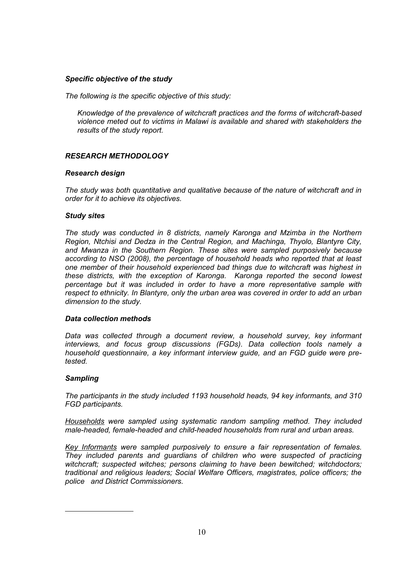### *Specific objective of the study*

*The following is the specific objective of this study:*

*Knowledge of the prevalence of witchcraft practices and the forms of witchcraft-based violence meted out to victims in Malawi is available and shared with stakeholders the results of the study report.*

### *RESEARCH METHODOLOGY*

### *Research design*

*The study was both quantitative and qualitative because of the nature of witchcraft and in order for it to achieve its objectives.* 

#### *Study sites*

*The study was conducted in 8 districts, namely Karonga and Mzimba in the Northern Region, Ntchisi and Dedza in the Central Region, and Machinga, Thyolo, Blantyre City, and Mwanza in the Southern Region. These sites were sampled purposively because according to NSO (2008), the percentage of household heads who reported that at least one member of their household experienced bad things due to witchcraft was highest in these districts, with the exception of Karonga. Karonga reported the second lowest percentage but it was included in order to have a more representative sample with respect to ethnicity. In Blantyre, only the urban area was covered in order to add an urban dimension to the study.*

### *Data collection methods*

*Data was collected through a document review, a household survey, key informant interviews, and focus group discussions (FGDs). Data collection tools namely a household questionnaire, a key informant interview guide, and an FGD guide were pretested.*

### *Sampling*

*The participants in the study included 1193 household heads, 94 key informants, and 310 FGD participants.*

*Households were sampled using systematic random sampling method. They included male-headed, female-headed and child-headed households from rural and urban areas.*

*Key Informants were sampled purposively to ensure a fair representation of females. They included parents and guardians of children who were suspected of practicing witchcraft; suspected witches; persons claiming to have been bewitched; witchdoctors; traditional and religious leaders; Social Welfare Officers, magistrates, police officers; the police and District Commissioners.*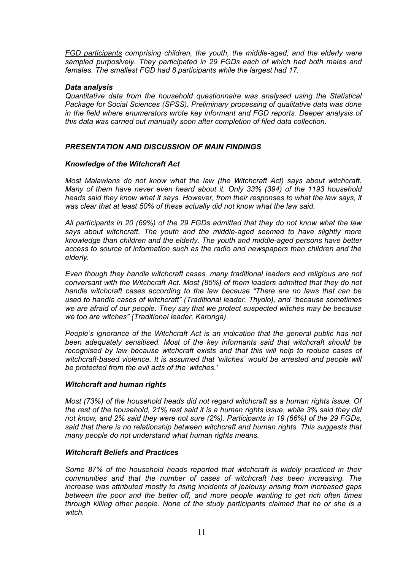*FGD participants comprising children, the youth, the middle-aged, and the elderly were sampled purposively. They participated in 29 FGDs each of which had both males and females. The smallest FGD had 8 participants while the largest had 17.*

#### *Data analysis*

*Quantitative data from the household questionnaire was analysed using the Statistical Package for Social Sciences (SPSS). Preliminary processing of qualitative data was done in the field where enumerators wrote key informant and FGD reports. Deeper analysis of this data was carried out manually soon after completion of filed data collection.*

#### *PRESENTATION AND DISCUSSION OF MAIN FINDINGS*

#### *Knowledge of the Witchcraft Act*

*Most Malawians do not know what the law (the Witchcraft Act) says about witchcraft. Many of them have never even heard about it. Only 33% (394) of the 1193 household heads said they know what it says. However, from their responses to what the law says, it was clear that at least 50% of these actually did not know what the law said.* 

*All participants in 20 (69%) of the 29 FGDs admitted that they do not know what the law says about witchcraft. The youth and the middle-aged seemed to have slightly more knowledge than children and the elderly. The youth and middle-aged persons have better access to source of information such as the radio and newspapers than children and the elderly.*

*Even though they handle witchcraft cases, many traditional leaders and religious are not conversant with the Witchcraft Act. Most (85%) of them leaders admitted that they do not handle witchcraft cases according to the law because "There are no laws that can be used to handle cases of witchcraft" (Traditional leader, Thyolo), and "because sometimes we are afraid of our people. They say that we protect suspected witches may be because we too are witches" (Traditional leader, Karonga).*

*People's ignorance of the Witchcraft Act is an indication that the general public has not been adequately sensitised. Most of the key informants said that witchcraft should be recognised by law because witchcraft exists and that this will help to reduce cases of witchcraft-based violence. It is assumed that 'witches' would be arrested and people will be protected from the evil acts of the 'witches.'*

### *Witchcraft and human rights*

*Most (73%) of the household heads did not regard witchcraft as a human rights issue. Of the rest of the household, 21% rest said it is a human rights issue, while 3% said they did not know, and 2% said they were not sure (2%). Participants in 19 (66%) of the 29 FGDs, said that there is no relationship between witchcraft and human rights. This suggests that many people do not understand what human rights means.* 

#### *Witchcraft Beliefs and Practices*

*Some 87% of the household heads reported that witchcraft is widely practiced in their communities and that the number of cases of witchcraft has been increasing. The increase was attributed mostly to rising incidents of jealousy arising from increased gaps between the poor and the better off, and more people wanting to get rich often times through killing other people. None of the study participants claimed that he or she is a witch.*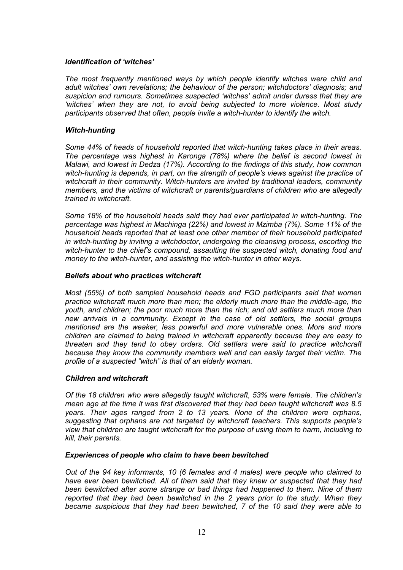### *Identification of 'witches'*

*The most frequently mentioned ways by which people identify witches were child and adult witches' own revelations; the behaviour of the person; witchdoctors' diagnosis; and suspicion and rumours. Sometimes suspected 'witches' admit under duress that they are 'witches' when they are not, to avoid being subjected to more violence. Most study participants observed that often, people invite a witch-hunter to identify the witch.*

#### *Witch-hunting*

*Some 44% of heads of household reported that witch-hunting takes place in their areas. The percentage was highest in Karonga (78%) where the belief is second lowest in Malawi, and lowest in Dedza (17%). According to the findings of this study, how common witch-hunting is depends, in part, on the strength of people's views against the practice of witchcraft in their community. Witch-hunters are invited by traditional leaders, community members, and the victims of witchcraft or parents/guardians of children who are allegedly trained in witchcraft.*

*Some 18% of the household heads said they had ever participated in witch-hunting. The percentage was highest in Machinga (22%) and lowest in Mzimba (7%). Some 11% of the household heads reported that at least one other member of their household participated in witch-hunting by inviting a witchdoctor, undergoing the cleansing process, escorting the witch-hunter to the chief's compound, assaulting the suspected witch, donating food and money to the witch-hunter, and assisting the witch-hunter in other ways.*

#### *Beliefs about who practices witchcraft*

*Most (55%) of both sampled household heads and FGD participants said that women practice witchcraft much more than men; the elderly much more than the middle-age, the youth, and children; the poor much more than the rich; and old settlers much more than new arrivals in a community. Except in the case of old settlers, the social groups mentioned are the weaker, less powerful and more vulnerable ones. More and more children are claimed to being trained in witchcraft apparently because they are easy to threaten and they tend to obey orders. Old settlers were said to practice witchcraft because they know the community members well and can easily target their victim. The profile of a suspected "witch" is that of an elderly woman.* 

### *Children and witchcraft*

*Of the 18 children who were allegedly taught witchcraft, 53% were female. The children's mean age at the time it was first discovered that they had been taught witchcraft was 8.5 years. Their ages ranged from 2 to 13 years. None of the children were orphans, suggesting that orphans are not targeted by witchcraft teachers. This supports people's view that children are taught witchcraft for the purpose of using them to harm, including to kill, their parents.* 

#### *Experiences of people who claim to have been bewitched*

*Out of the 94 key informants, 10 (6 females and 4 males) were people who claimed to have ever been bewitched. All of them said that they knew or suspected that they had been bewitched after some strange or bad things had happened to them. Nine of them reported that they had been bewitched in the 2 years prior to the study. When they became suspicious that they had been bewitched, 7 of the 10 said they were able to*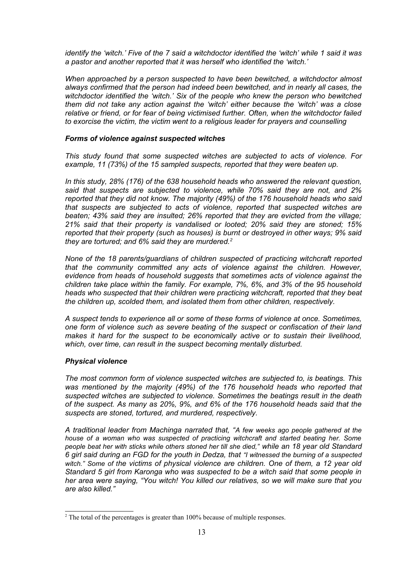*identify the 'witch.' Five of the 7 said a witchdoctor identified the 'witch' while 1 said it was a pastor and another reported that it was herself who identified the 'witch.'* 

*When approached by a person suspected to have been bewitched, a witchdoctor almost always confirmed that the person had indeed been bewitched, and in nearly all cases, the witchdoctor identified the 'witch.' Six of the people who knew the person who bewitched them did not take any action against the 'witch' either because the 'witch' was a close relative or friend, or for fear of being victimised further. Often, when the witchdoctor failed to exorcise the victim, the victim went to a religious leader for prayers and counselling*

#### *Forms of violence against suspected witches*

*This study found that some suspected witches are subjected to acts of violence. For example, 11 (73%) of the 15 sampled suspects, reported that they were beaten up.*

*In this study, 28% (176) of the 638 household heads who answered the relevant question, said that suspects are subjected to violence, while 70% said they are not, and 2% reported that they did not know. The majority (49%) of the 176 household heads who said that suspects are subjected to acts of violence, reported that suspected witches are beaten; 43% said they are insulted; 26% reported that they are evicted from the village; 21% said that their property is vandalised or looted; 20% said they are stoned; 15% reported that their property (such as houses) is burnt or destroyed in other ways; 9% said they are tortured; and 6% said they are murdered.[2](#page-12-0)* 

*None of the 18 parents/guardians of children suspected of practicing witchcraft reported that the community committed any acts of violence against the children. However, evidence from heads of household suggests that sometimes acts of violence against the children take place within the family. For example, 7%, 6%, and 3% of the 95 household heads who suspected that their children were practicing witchcraft, reported that they beat the children up, scolded them, and isolated them from other children, respectively.* 

*A suspect tends to experience all or some of these forms of violence at once. Sometimes, one form of violence such as severe beating of the suspect or confiscation of their land makes it hard for the suspect to be economically active or to sustain their livelihood, which, over time, can result in the suspect becoming mentally disturbed.* 

#### *Physical violence*

*The most common form of violence suspected witches are subjected to, is beatings. This was mentioned by the majority (49%) of the 176 household heads who reported that suspected witches are subjected to violence. Sometimes the beatings result in the death of the suspect. As many as 20%, 9%, and 6% of the 176 household heads said that the suspects are stoned, tortured, and murdered, respectively.* 

*A traditional leader from Machinga narrated that, "A few weeks ago people gathered at the house of a woman who was suspected of practicing witchcraft and started beating her. Some people beat her with sticks while others stoned her till she died," while an 18 year old Standard 6 girl said during an FGD for the youth in Dedza, that "I witnessed the burning of a suspected witch." Some of the victims of physical violence are children. One of them, a 12 year old Standard 5 girl from Karonga who was suspected to be a witch said that some people in her area were saying, "You witch! You killed our relatives, so we will make sure that you are also killed."*

<span id="page-12-0"></span> $2^2$  The total of the percentages is greater than 100% because of multiple responses.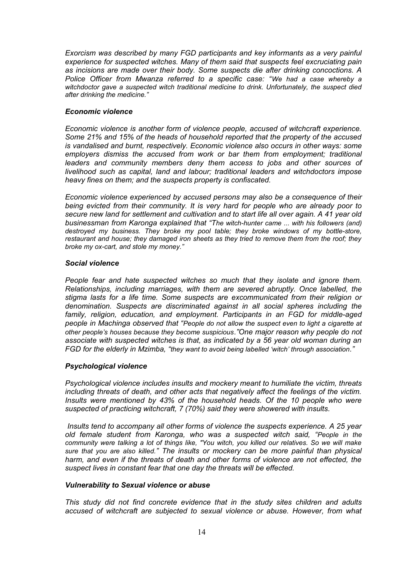*Exorcism was described by many FGD participants and key informants as a very painful experience for suspected witches. Many of them said that suspects feel excruciating pain as incisions are made over their body. Some suspects die after drinking concoctions. A Police Officer from Mwanza referred to a specific case: "We had a case whereby a witchdoctor gave a suspected witch traditional medicine to drink. Unfortunately, the suspect died after drinking the medicine."*

### *Economic violence*

*Economic violence is another form of violence people, accused of witchcraft experience. Some 21% and 15% of the heads of household reported that the property of the accused is vandalised and burnt, respectively. Economic violence also occurs in other ways: some employers dismiss the accused from work or bar them from employment; traditional leaders and community members deny them access to jobs and other sources of livelihood such as capital, land and labour; traditional leaders and witchdoctors impose heavy fines on them; and the suspects property is confiscated.*

*Economic violence experienced by accused persons may also be a consequence of their being evicted from their community. It is very hard for people who are already poor to secure new land for settlement and cultivation and to start life all over again. A 41 year old businessman from Karonga explained that "The witch-hunter came ... with his followers (and) destroyed my business. They broke my pool table; they broke windows of my bottle-store, restaurant and house; they damaged iron sheets as they tried to remove them from the roof; they broke my ox-cart, and stole my money."*

#### *Social violence*

*People fear and hate suspected witches so much that they isolate and ignore them. Relationships, including marriages, with them are severed abruptly. Once labelled, the stigma lasts for a life time. Some suspects are excommunicated from their religion or denomination. Suspects are discriminated against in all social spheres including the family, religion, education, and employment. Participants in an FGD for middle-aged people in Machinga observed that "People do not allow the suspect even to light a cigarette at other people's houses because they become suspicious."One major reason why people do not associate with suspected witches is that, as indicated by a 56 year old woman during an FGD for the elderly in Mzimba, "they want to avoid being labelled 'witch' through association."* 

### *Psychological violence*

*Psychological violence includes insults and mockery meant to humiliate the victim, threats including threats of death, and other acts that negatively affect the feelings of the victim. Insults were mentioned by 43% of the household heads. Of the 10 people who were suspected of practicing witchcraft, 7 (70%) said they were showered with insults.* 

 *Insults tend to accompany all other forms of violence the suspects experience. A 25 year old female student from Karonga, who was a suspected witch said, "People in the community were talking a lot of things like, "You witch, you killed our relatives. So we will make sure that you are also killed." The insults or mockery can be more painful than physical harm, and even if the threats of death and other forms of violence are not effected, the suspect lives in constant fear that one day the threats will be effected.* 

#### *Vulnerability to Sexual violence or abuse*

*This study did not find concrete evidence that in the study sites children and adults accused of witchcraft are subjected to sexual violence or abuse. However, from what*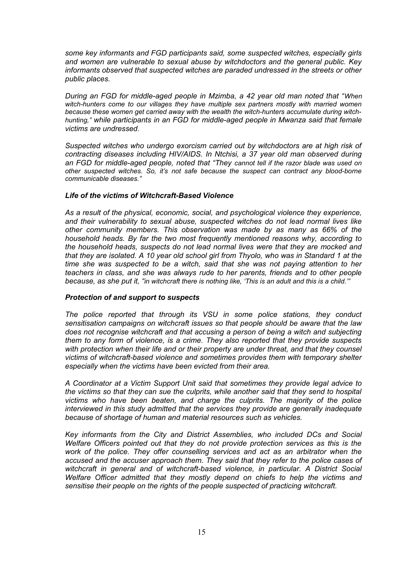*some key informants and FGD participants said, some suspected witches, especially girls and women are vulnerable to sexual abuse by witchdoctors and the general public. Key informants observed that suspected witches are paraded undressed in the streets or other public places.* 

*During an FGD for middle-aged people in Mzimba, a 42 year old man noted that "When witch-hunters come to our villages they have multiple sex partners mostly with married women because these women get carried away with the wealth the witch-hunters accumulate during witchhunting," while participants in an FGD for middle-aged people in Mwanza said that female victims are undressed.* 

*Suspected witches who undergo exorcism carried out by witchdoctors are at high risk of contracting diseases including HIV/AIDS. In Ntchisi, a 37 year old man observed during an FGD for middle-aged people, noted that "They cannot tell if the razor blade was used on other suspected witches. So, it's not safe because the suspect can contract any blood-borne communicable diseases."*

#### *Life of the victims of Witchcraft-Based Violence*

*As a result of the physical, economic, social, and psychological violence they experience, and their vulnerability to sexual abuse, suspected witches do not lead normal lives like other community members. This observation was made by as many as 66% of the household heads. By far the two most frequently mentioned reasons why, according to the household heads, suspects do not lead normal lives were that they are mocked and that they are isolated. A 10 year old school girl from Thyolo, who was in Standard 1 at the time she was suspected to be a witch, said that she was not paying attention to her teachers in class, and she was always rude to her parents, friends and to other people because, as she put it, "in witchcraft there is nothing like, 'This is an adult and this is a child.'"*

### *Protection of and support to suspects*

*The police reported that through its VSU in some police stations, they conduct sensitisation campaigns on witchcraft issues so that people should be aware that the law does not recognise witchcraft and that accusing a person of being a witch and subjecting them to any form of violence, is a crime. They also reported that they provide suspects with protection when their life and or their property are under threat, and that they counsel victims of witchcraft-based violence and sometimes provides them with temporary shelter especially when the victims have been evicted from their area.* 

*A Coordinator at a Victim Support Unit said that sometimes they provide legal advice to the victims so that they can sue the culprits, while another said that they send to hospital victims who have been beaten, and charge the culprits. The majority of the police interviewed in this study admitted that the services they provide are generally inadequate because of shortage of human and material resources such as vehicles.* 

*Key informants from the City and District Assemblies, who included DCs and Social Welfare Officers pointed out that they do not provide protection services as this is the work of the police. They offer counselling services and act as an arbitrator when the accused and the accuser approach them. They said that they refer to the police cases of witchcraft in general and of witchcraft-based violence, in particular. A District Social Welfare Officer admitted that they mostly depend on chiefs to help the victims and sensitise their people on the rights of the people suspected of practicing witchcraft.*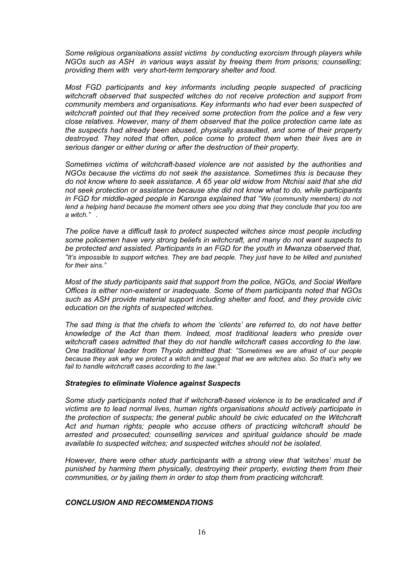*Some religious organisations assist victims by conducting exorcism through players while NGOs such as ASH in various ways assist by freeing them from prisons; counselling; providing them with very short-term temporary shelter and food.*

*Most FGD participants and key informants including people suspected of practicing witchcraft observed that suspected witches do not receive protection and support from community members and organisations. Key informants who had ever been suspected of witchcraft pointed out that they received some protection from the police and a few very close relatives. However, many of them observed that the police protection came late as the suspects had already been abused, physically assaulted, and some of their property destroyed. They noted that often, police come to protect them when their lives are in serious danger or either during or after the destruction of their property.* 

*Sometimes victims of witchcraft-based violence are not assisted by the authorities and NGOs because the victims do not seek the assistance. Sometimes this is because they do not know where to seek assistance. A 65 year old widow from Ntchisi said that she did not seek protection or assistance because she did not know what to do, while participants in FGD for middle-aged people in Karonga explained that "We (community members) do not lend a helping hand because the moment others see you doing that they conclude that you too are a witch." .*

*The police have a difficult task to protect suspected witches since most people including some policemen have very strong beliefs in witchcraft, and many do not want suspects to be protected and assisted. Participants in an FGD for the youth in Mwanza observed that, "It's impossible to support witches. They are bad people. They just have to be killed and punished for their sins."*

*Most of the study participants said that support from the police, NGOs, and Social Welfare Offices is either non-existent or inadequate. Some of them participants noted that NGOs such as ASH provide material support including shelter and food, and they provide civic education on the rights of suspected witches.*

*The sad thing is that the chiefs to whom the 'clients' are referred to, do not have better knowledge of the Act than them. Indeed, most traditional leaders who preside over witchcraft cases admitted that they do not handle witchcraft cases according to the law. One traditional leader from Thyolo admitted that: "Sometimes we are afraid of our people because they ask why we protect a witch and suggest that we are witches also. So that's why we fail to handle witchcraft cases according to the law."*

#### *Strategies to eliminate Violence against Suspects*

*Some study participants noted that if witchcraft-based violence is to be eradicated and if victims are to lead normal lives, human rights organisations should actively participate in the protection of suspects; the general public should be civic educated on the Witchcraft Act and human rights; people who accuse others of practicing witchcraft should be arrested and prosecuted; counselling services and spiritual guidance should be made available to suspected witches; and suspected witches should not be isolated.*

*However, there were other study participants with a strong view that 'witches' must be punished by harming them physically, destroying their property, evicting them from their communities, or by jailing them in order to stop them from practicing witchcraft.* 

#### *CONCLUSION AND RECOMMENDATIONS*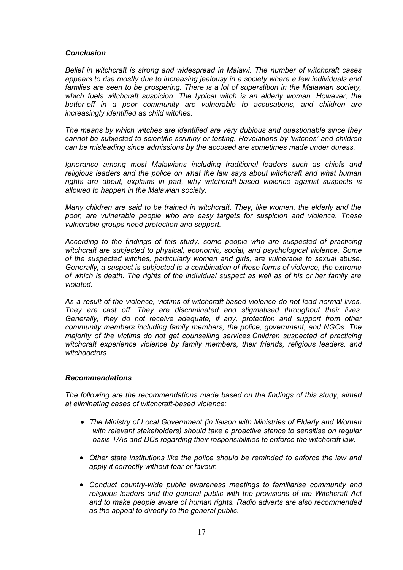#### *Conclusion*

*Belief in witchcraft is strong and widespread in Malawi. The number of witchcraft cases appears to rise mostly due to increasing jealousy in a society where a few individuals and families are seen to be prospering. There is a lot of superstition in the Malawian society, which fuels witchcraft suspicion. The typical witch is an elderly woman. However, the better-off in a poor community are vulnerable to accusations, and children are increasingly identified as child witches.* 

*The means by which witches are identified are very dubious and questionable since they cannot be subjected to scientific scrutiny or testing. Revelations by 'witches' and children can be misleading since admissions by the accused are sometimes made under duress.*

*Ignorance among most Malawians including traditional leaders such as chiefs and religious leaders and the police on what the law says about witchcraft and what human rights are about, explains in part, why witchcraft-based violence against suspects is allowed to happen in the Malawian society.*

*Many children are said to be trained in witchcraft. They, like women, the elderly and the poor, are vulnerable people who are easy targets for suspicion and violence. These vulnerable groups need protection and support.*

*According to the findings of this study, some people who are suspected of practicing witchcraft are subjected to physical, economic, social, and psychological violence. Some of the suspected witches, particularly women and girls, are vulnerable to sexual abuse. Generally, a suspect is subjected to a combination of these forms of violence, the extreme of which is death. The rights of the individual suspect as well as of his or her family are violated.*

*As a result of the violence, victims of witchcraft-based violence do not lead normal lives. They are cast off. They are discriminated and stigmatised throughout their lives. Generally, they do not receive adequate, if any, protection and support from other community members including family members, the police, government, and NGOs. The majority of the victims do not get counselling services.Children suspected of practicing witchcraft experience violence by family members, their friends, religious leaders, and witchdoctors.*

#### *Recommendations*

*The following are the recommendations made based on the findings of this study, aimed at eliminating cases of witchcraft-based violence:*

- *The Ministry of Local Government (in liaison with Ministries of Elderly and Women with relevant stakeholders) should take a proactive stance to sensitise on regular basis T/As and DCs regarding their responsibilities to enforce the witchcraft law.*
- *Other state institutions like the police should be reminded to enforce the law and apply it correctly without fear or favour.*
- *Conduct country-wide public awareness meetings to familiarise community and religious leaders and the general public with the provisions of the Witchcraft Act and to make people aware of human rights. Radio adverts are also recommended as the appeal to directly to the general public.*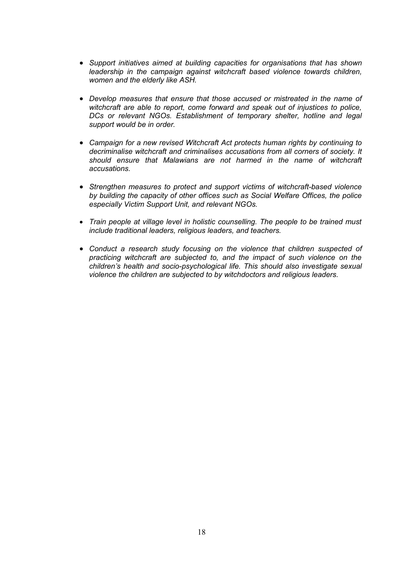- *Support initiatives aimed at building capacities for organisations that has shown leadership in the campaign against witchcraft based violence towards children, women and the elderly like ASH.*
- *Develop measures that ensure that those accused or mistreated in the name of witchcraft are able to report, come forward and speak out of injustices to police, DCs or relevant NGOs. Establishment of temporary shelter, hotline and legal support would be in order.*
- *Campaign for a new revised Witchcraft Act protects human rights by continuing to decriminalise witchcraft and criminalises accusations from all corners of society. It should ensure that Malawians are not harmed in the name of witchcraft accusations.*
- *Strengthen measures to protect and support victims of witchcraft-based violence by building the capacity of other offices such as Social Welfare Offices, the police especially Victim Support Unit, and relevant NGOs.*
- *Train people at village level in holistic counselling. The people to be trained must include traditional leaders, religious leaders, and teachers.*
- *Conduct a research study focusing on the violence that children suspected of practicing witchcraft are subjected to, and the impact of such violence on the children's health and socio-psychological life. This should also investigate sexual violence the children are subjected to by witchdoctors and religious leaders.*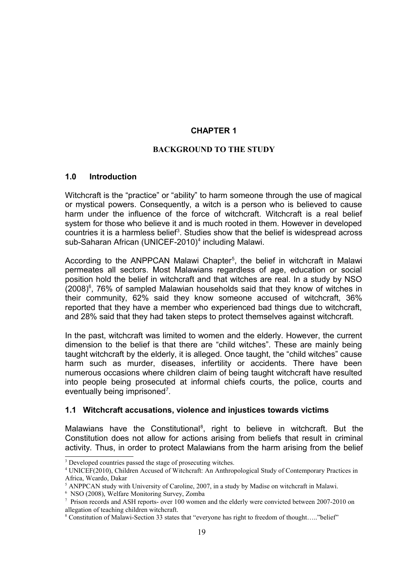## **CHAPTER 1**

### **BACKGROUND TO THE STUDY**

### **1.0 Introduction**

Witchcraft is the "practice" or "ability" to harm someone through the use of magical or mystical powers. Consequently, a witch is a person who is believed to cause harm under the influence of the force of witchcraft. Witchcraft is a real belief system for those who believe it and is much rooted in them. However in developed countries it is a harmless belief<sup>[3](#page-18-0)</sup>. Studies show that the belief is widespread across sub-Saharan African (UNICEF-2010)<sup>[4](#page-18-1)</sup> including Malawi.

According to the ANPPCAN Malawi Chapter<sup>[5](#page-18-2)</sup>, the belief in witchcraft in Malawi permeates all sectors. Most Malawians regardless of age, education or social position hold the belief in witchcraft and that witches are real. In a study by NSO  $(2008)^6$  $(2008)^6$ , 76% of sampled Malawian households said that they know of witches in their community, 62% said they know someone accused of witchcraft, 36% reported that they have a member who experienced bad things due to witchcraft, and 28% said that they had taken steps to protect themselves against witchcraft.

In the past, witchcraft was limited to women and the elderly. However, the current dimension to the belief is that there are "child witches". These are mainly being taught witchcraft by the elderly, it is alleged. Once taught, the "child witches" cause harm such as murder, diseases, infertility or accidents. There have been numerous occasions where children claim of being taught witchcraft have resulted into people being prosecuted at informal chiefs courts, the police, courts and eventually being imprisoned<sup>[7](#page-18-4)</sup>.

## **1.1 Witchcraft accusations, violence and injustices towards victims**

Malawians have the Constitutional<sup>[8](#page-18-5)</sup>, right to believe in witchcraft. But the Constitution does not allow for actions arising from beliefs that result in criminal activity. Thus, in order to protect Malawians from the harm arising from the belief

<span id="page-18-0"></span><sup>&</sup>lt;sup>3</sup> Developed countries passed the stage of prosecuting witches.

<span id="page-18-1"></span><sup>4</sup> UNICEF(2010), Children Accused of Witchcraft: An Anthropological Study of Contemporary Practices in Africa, Wcardo, Dakar

<span id="page-18-2"></span> $<sup>5</sup>$  ANPPCAN study with University of Caroline, 2007, in a study by Madise on witchcraft in Malawi.</sup>

<span id="page-18-3"></span><sup>6</sup> NSO (2008), Welfare Monitoring Survey, Zomba

<span id="page-18-4"></span><sup>&</sup>lt;sup>7</sup> Prison records and ASH reports- over 100 women and the elderly were convicted between 2007-2010 on allegation of teaching children witchcraft.

<span id="page-18-5"></span><sup>&</sup>lt;sup>8</sup> Constitution of Malawi-Section 33 states that "everyone has right to freedom of thought....."belief"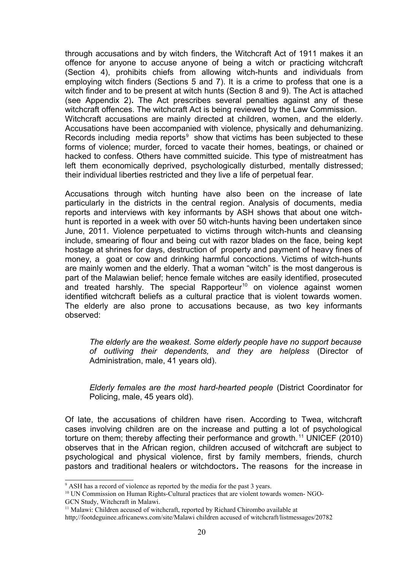through accusations and by witch finders, the Witchcraft Act of 1911 makes it an offence for anyone to accuse anyone of being a witch or practicing witchcraft (Section 4), prohibits chiefs from allowing witch-hunts and individuals from employing witch finders (Sections 5 and 7). It is a crime to profess that one is a witch finder and to be present at witch hunts (Section 8 and 9). The Act is attached (see Appendix 2)**.** The Act prescribes several penalties against any of these witchcraft offences. The witchcraft Act is being reviewed by the Law Commission. Witchcraft accusations are mainly directed at children, women, and the elderly. Accusations have been accompanied with violence, physically and dehumanizing. Records including media reports $9$  show that victims has been subjected to these forms of violence; murder, forced to vacate their homes, beatings, or chained or hacked to confess. Others have committed suicide. This type of mistreatment has left them economically deprived, psychologically disturbed, mentally distressed; their individual liberties restricted and they live a life of perpetual fear.

Accusations through witch hunting have also been on the increase of late particularly in the districts in the central region. Analysis of documents, media reports and interviews with key informants by ASH shows that about one witchhunt is reported in a week with over 50 witch-hunts having been undertaken since June, 2011. Violence perpetuated to victims through witch-hunts and cleansing include, smearing of flour and being cut with razor blades on the face, being kept hostage at shrines for days, destruction of property and payment of heavy fines of money, a goat or cow and drinking harmful concoctions. Victims of witch-hunts are mainly women and the elderly. That a woman "witch" is the most dangerous is part of the Malawian belief; hence female witches are easily identified, prosecuted and treated harshly. The special Rapporteur<sup>[10](#page-19-1)</sup> on violence against women identified witchcraft beliefs as a cultural practice that is violent towards women. The elderly are also prone to accusations because, as two key informants observed:

*The elderly are the weakest. Some elderly people have no support because of outliving their dependents, and they are helpless* (Director of Administration, male, 41 years old).

*Elderly females are the most hard-hearted people* (District Coordinator for Policing, male, 45 years old).

Of late, the accusations of children have risen. According to Twea, witchcraft cases involving children are on the increase and putting a lot of psychological torture on them; thereby affecting their performance and growth.<sup>[11](#page-19-2)</sup> UNICEF (2010) observes that in the African region, children accused of witchcraft are subject to psychological and physical violence, first by family members, friends, church pastors and traditional healers or witchdoctors**.** The reasons for the increase in

<span id="page-19-0"></span><sup>&</sup>lt;sup>9</sup> ASH has a record of violence as reported by the media for the past 3 years.

<span id="page-19-1"></span><sup>&</sup>lt;sup>10</sup> UN Commission on Human Rights-Cultural practices that are violent towards women-NGO-GCN Study, Witchcraft in Malawi.

<span id="page-19-2"></span><sup>&</sup>lt;sup>11</sup> Malawi: Children accused of witchcraft, reported by Richard Chirombo available at

http;//footdeguinee.africanews.com/site/Malawi children accused of witchcraft/listmessages/20782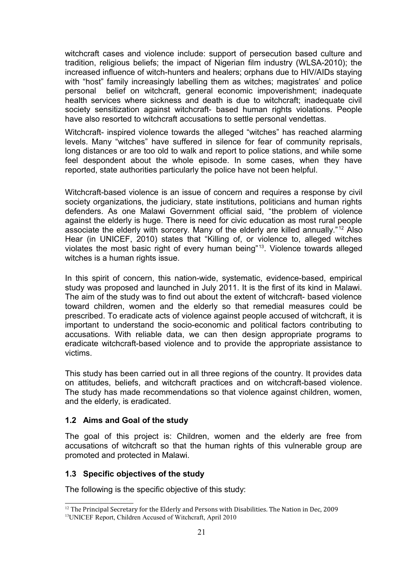witchcraft cases and violence include: support of persecution based culture and tradition, religious beliefs; the impact of Nigerian film industry (WLSA-2010); the increased influence of witch-hunters and healers; orphans due to HIV/AIDs staying with "host" family increasingly labelling them as witches; magistrates' and police personal belief on witchcraft, general economic impoverishment; inadequate health services where sickness and death is due to witchcraft; inadequate civil society sensitization against witchcraft- based human rights violations. People have also resorted to witchcraft accusations to settle personal vendettas.

Witchcraft- inspired violence towards the alleged "witches" has reached alarming levels. Many "witches" have suffered in silence for fear of community reprisals, long distances or are too old to walk and report to police stations, and while some feel despondent about the whole episode. In some cases, when they have reported, state authorities particularly the police have not been helpful.

Witchcraft-based violence is an issue of concern and requires a response by civil society organizations, the judiciary, state institutions, politicians and human rights defenders. As one Malawi Government official said, "the problem of violence against the elderly is huge. There is need for civic education as most rural people associate the elderly with sorcery. Many of the elderly are killed annually." [12](#page-20-0) Also Hear (in UNICEF, 2010) states that "Killing of, or violence to, alleged witches violates the most basic right of every human being"<sup>[13](#page-20-1)</sup>. Violence towards alleged witches is a human rights issue.

In this spirit of concern, this nation-wide, systematic, evidence-based, empirical study was proposed and launched in July 2011. It is the first of its kind in Malawi. The aim of the study was to find out about the extent of witchcraft- based violence toward children, women and the elderly so that remedial measures could be prescribed. To eradicate acts of violence against people accused of witchcraft, it is important to understand the socio-economic and political factors contributing to accusations. With reliable data, we can then design appropriate programs to eradicate witchcraft-based violence and to provide the appropriate assistance to victims.

This study has been carried out in all three regions of the country. It provides data on attitudes, beliefs, and witchcraft practices and on witchcraft-based violence. The study has made recommendations so that violence against children, women, and the elderly, is eradicated.

## **1.2 Aims and Goal of the study**

The goal of this project is: Children, women and the elderly are free from accusations of witchcraft so that the human rights of this vulnerable group are promoted and protected in Malawi.

## **1.3 Specific objectives of the study**

The following is the specific objective of this study:

<span id="page-20-1"></span><span id="page-20-0"></span><sup>&</sup>lt;sup>12</sup> The Principal Secretary for the Elderly and Persons with Disabilities. The Nation in Dec, 2009 <sup>13</sup>UNICEF Report, Children Accused of Witchcraft, April 2010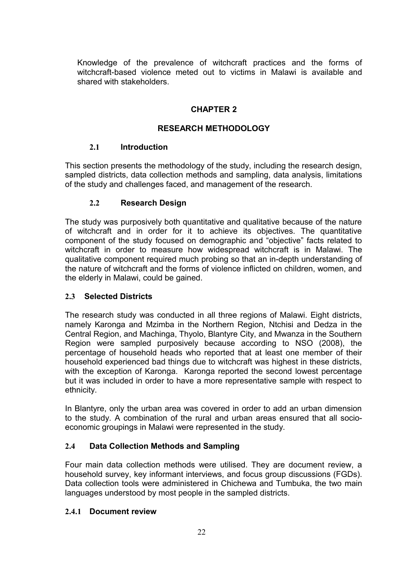Knowledge of the prevalence of witchcraft practices and the forms of witchcraft-based violence meted out to victims in Malawi is available and shared with stakeholders.

# **CHAPTER 2**

# **RESEARCH METHODOLOGY**

# **2.1 Introduction**

This section presents the methodology of the study, including the research design, sampled districts, data collection methods and sampling, data analysis, limitations of the study and challenges faced, and management of the research.

# **2.2 Research Design**

The study was purposively both quantitative and qualitative because of the nature of witchcraft and in order for it to achieve its objectives. The quantitative component of the study focused on demographic and "objective" facts related to witchcraft in order to measure how widespread witchcraft is in Malawi. The qualitative component required much probing so that an in-depth understanding of the nature of witchcraft and the forms of violence inflicted on children, women, and the elderly in Malawi, could be gained.

# **2.3 Selected Districts**

The research study was conducted in all three regions of Malawi. Eight districts, namely Karonga and Mzimba in the Northern Region, Ntchisi and Dedza in the Central Region, and Machinga, Thyolo, Blantyre City, and Mwanza in the Southern Region were sampled purposively because according to NSO (2008), the percentage of household heads who reported that at least one member of their household experienced bad things due to witchcraft was highest in these districts, with the exception of Karonga. Karonga reported the second lowest percentage but it was included in order to have a more representative sample with respect to ethnicity.

In Blantyre, only the urban area was covered in order to add an urban dimension to the study. A combination of the rural and urban areas ensured that all socioeconomic groupings in Malawi were represented in the study.

# **2.4 Data Collection Methods and Sampling**

Four main data collection methods were utilised. They are document review, a household survey, key informant interviews, and focus group discussions (FGDs). Data collection tools were administered in Chichewa and Tumbuka, the two main languages understood by most people in the sampled districts.

# **2.4.1 Document review**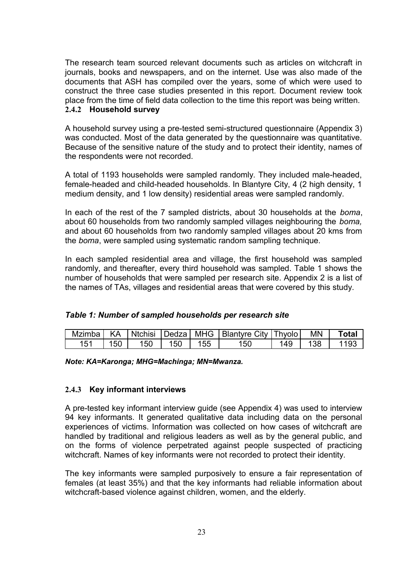The research team sourced relevant documents such as articles on witchcraft in journals, books and newspapers, and on the internet. Use was also made of the documents that ASH has compiled over the years, some of which were used to construct the three case studies presented in this report. Document review took place from the time of field data collection to the time this report was being written.

# **2.4.2 Household survey**

A household survey using a pre-tested semi-structured questionnaire (Appendix 3) was conducted. Most of the data generated by the questionnaire was quantitative. Because of the sensitive nature of the study and to protect their identity, names of the respondents were not recorded.

A total of 1193 households were sampled randomly. They included male-headed, female-headed and child-headed households. In Blantyre City, 4 (2 high density, 1 medium density, and 1 low density) residential areas were sampled randomly.

In each of the rest of the 7 sampled districts, about 30 households at the *boma*, about 60 households from two randomly sampled villages neighbouring the *boma,* and about 60 households from two randomly sampled villages about 20 kms from the *boma*, were sampled using systematic random sampling technique.

In each sampled residential area and village, the first household was sampled randomly, and thereafter, every third household was sampled. Table 1 shows the number of households that were sampled per research site. Appendix 2 is a list of the names of TAs, villages and residential areas that were covered by this study.

## *Table 1: Number of sampled households per research site*

| Mzimba   KA |     |     |     |     | Ntchisi   Dedza   MHG   Blantyre City   Thyolo |     | MN | <b>Total</b> |
|-------------|-----|-----|-----|-----|------------------------------------------------|-----|----|--------------|
|             | 150 | 150 | 150 | 155 | 50                                             | 149 |    |              |

*Note: KA=Karonga; MHG=Machinga; MN=Mwanza.*

## **2.4.3 Key informant interviews**

A pre-tested key informant interview guide (see Appendix 4) was used to interview 94 key informants. It generated qualitative data including data on the personal experiences of victims. Information was collected on how cases of witchcraft are handled by traditional and religious leaders as well as by the general public, and on the forms of violence perpetrated against people suspected of practicing witchcraft. Names of key informants were not recorded to protect their identity.

The key informants were sampled purposively to ensure a fair representation of females (at least 35%) and that the key informants had reliable information about witchcraft-based violence against children, women, and the elderly.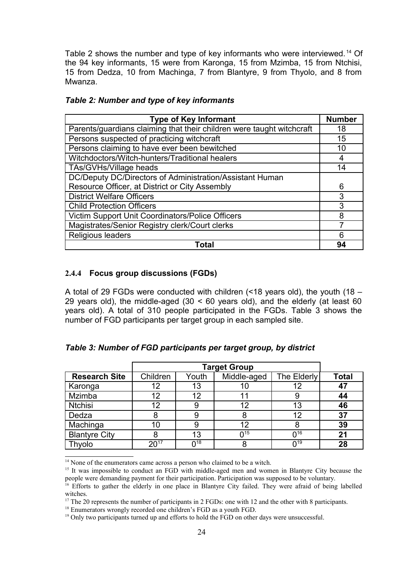Table 2 shows the number and type of key informants who were interviewed. [14](#page-23-0) Of the 94 key informants, 15 were from Karonga, 15 from Mzimba, 15 from Ntchisi, 15 from Dedza, 10 from Machinga, 7 from Blantyre, 9 from Thyolo, and 8 from Mwanza.

| <b>Type of Key Informant</b>                                          | <b>Number</b> |
|-----------------------------------------------------------------------|---------------|
| Parents/guardians claiming that their children were taught witchcraft | 18            |
| Persons suspected of practicing witchcraft                            | 15            |
| Persons claiming to have ever been bewitched                          | 10            |
| Witchdoctors/Witch-hunters/Traditional healers                        |               |
| TAs/GVHs/Village heads                                                | 14            |
| DC/Deputy DC/Directors of Administration/Assistant Human              |               |
| Resource Officer, at District or City Assembly                        | 6             |
| <b>District Welfare Officers</b>                                      | 3             |
| <b>Child Protection Officers</b>                                      | 3             |
| Victim Support Unit Coordinators/Police Officers                      | 8             |
| Magistrates/Senior Registry clerk/Court clerks                        |               |
| Religious leaders                                                     | հ             |
| Total                                                                 | 94            |

## *Table 2: Number and type of key informants*

### **2.4.4 Focus group discussions (FGDs)**

A total of 29 FGDs were conducted with children (<18 years old), the youth (18 – 29 years old), the middle-aged  $(30 \le 60$  years old), and the elderly (at least 60 years old). A total of 310 people participated in the FGDs. Table 3 shows the number of FGD participants per target group in each sampled site.

|                      |           | <b>Target Group</b>    |                        |             |              |  |
|----------------------|-----------|------------------------|------------------------|-------------|--------------|--|
| <b>Research Site</b> | Children  | Youth                  | Middle-aged            | The Elderly | <b>Total</b> |  |
| Karonga              | 12        | 13                     |                        | 12          | 47           |  |
| Mzimba               | 12        | 12                     |                        | 9           | 44           |  |
| <b>Ntchisi</b>       | 12        | 9                      | 12                     | 13          | 46           |  |
| Dedza                | 8         |                        |                        | 12          | 37           |  |
| Machinga             | 10        |                        | 12                     | 8           | 39           |  |
| <b>Blantyre City</b> |           | 13                     | $\mathsf{\Omega}^{15}$ | $0^{16}$    | 21           |  |
| Thvolo               | $20^{17}$ | $\mathsf{\Omega}^{18}$ |                        | $0^{19}$    | 28           |  |

*Table 3: Number of FGD participants per target group, by district* 

<span id="page-23-0"></span><sup>14</sup> None of the enumerators came across a person who claimed to be a witch.

<span id="page-23-1"></span><sup>15</sup> It was impossible to conduct an FGD with middle-aged men and women in Blantyre City because the people were demanding payment for their participation. Participation was supposed to be voluntary.

<span id="page-23-4"></span><sup>18</sup> Enumerators wrongly recorded one children's FGD as a youth FGD.

<span id="page-23-2"></span><sup>&</sup>lt;sup>16</sup> Efforts to gather the elderly in one place in Blantyre City failed. They were afraid of being labelled witches.

<span id="page-23-3"></span><sup>&</sup>lt;sup>17</sup> The 20 represents the number of participants in 2 FGDs: one with 12 and the other with 8 participants.

<span id="page-23-5"></span><sup>&</sup>lt;sup>19</sup> Only two participants turned up and efforts to hold the FGD on other days were unsuccessful.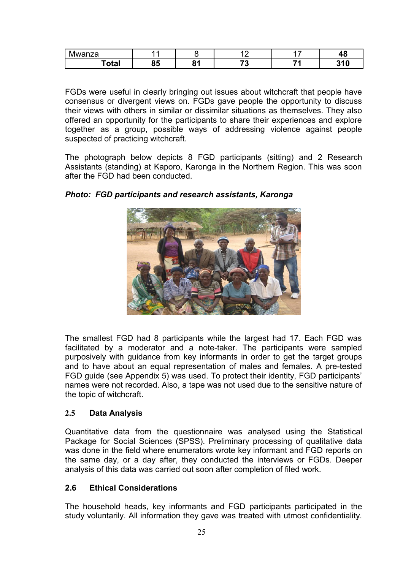| $\overline{\phantom{a}}$<br>10022<br>wai<br>ıza |          |                             | -          | . . | ۰,           |
|-------------------------------------------------|----------|-----------------------------|------------|-----|--------------|
| 'otal                                           | 0E<br>໐ວ | $\bullet$<br>$\mathbf{o}$ . | - -<br>. . | -   | 240<br>, , , |

FGDs were useful in clearly bringing out issues about witchcraft that people have consensus or divergent views on. FGDs gave people the opportunity to discuss their views with others in similar or dissimilar situations as themselves. They also offered an opportunity for the participants to share their experiences and explore together as a group, possible ways of addressing violence against people suspected of practicing witchcraft.

The photograph below depicts 8 FGD participants (sitting) and 2 Research Assistants (standing) at Kaporo, Karonga in the Northern Region. This was soon after the FGD had been conducted.



*Photo: FGD participants and research assistants, Karonga*

The smallest FGD had 8 participants while the largest had 17. Each FGD was facilitated by a moderator and a note-taker. The participants were sampled purposively with guidance from key informants in order to get the target groups and to have about an equal representation of males and females. A pre-tested FGD guide (see Appendix 5) was used. To protect their identity, FGD participants' names were not recorded. Also, a tape was not used due to the sensitive nature of the topic of witchcraft.

# **2.5 Data Analysis**

Quantitative data from the questionnaire was analysed using the Statistical Package for Social Sciences (SPSS). Preliminary processing of qualitative data was done in the field where enumerators wrote key informant and FGD reports on the same day, or a day after, they conducted the interviews or FGDs. Deeper analysis of this data was carried out soon after completion of filed work.

# **2.6 Ethical Considerations**

The household heads, key informants and FGD participants participated in the study voluntarily. All information they gave was treated with utmost confidentiality.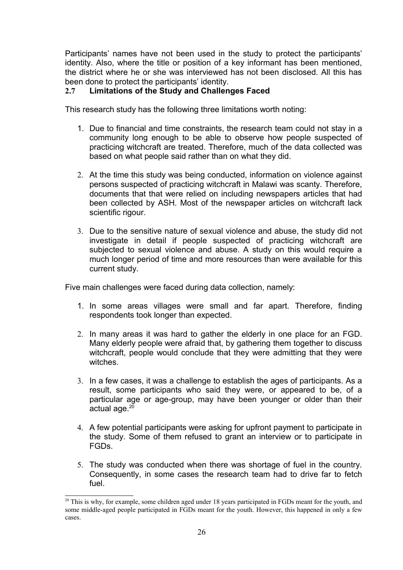Participants' names have not been used in the study to protect the participants' identity. Also, where the title or position of a key informant has been mentioned, the district where he or she was interviewed has not been disclosed. All this has been done to protect the participants' identity.

# **2.7 Limitations of the Study and Challenges Faced**

This research study has the following three limitations worth noting:

- 1. Due to financial and time constraints, the research team could not stay in a community long enough to be able to observe how people suspected of practicing witchcraft are treated. Therefore, much of the data collected was based on what people said rather than on what they did.
- 2. At the time this study was being conducted, information on violence against persons suspected of practicing witchcraft in Malawi was scanty. Therefore, documents that that were relied on including newspapers articles that had been collected by ASH. Most of the newspaper articles on witchcraft lack scientific rigour.
- 3. Due to the sensitive nature of sexual violence and abuse, the study did not investigate in detail if people suspected of practicing witchcraft are subjected to sexual violence and abuse. A study on this would require a much longer period of time and more resources than were available for this current study.

Five main challenges were faced during data collection, namely:

- 1. In some areas villages were small and far apart. Therefore, finding respondents took longer than expected.
- 2. In many areas it was hard to gather the elderly in one place for an FGD. Many elderly people were afraid that, by gathering them together to discuss witchcraft, people would conclude that they were admitting that they were witches.
- 3. In a few cases, it was a challenge to establish the ages of participants. As a result, some participants who said they were, or appeared to be, of a particular age or age-group, may have been younger or older than their actual age.<sup>[20](#page-25-0)</sup>
- 4. A few potential participants were asking for upfront payment to participate in the study. Some of them refused to grant an interview or to participate in FGDs.
- 5. The study was conducted when there was shortage of fuel in the country. Consequently, in some cases the research team had to drive far to fetch fuel.

<span id="page-25-0"></span><sup>&</sup>lt;sup>20</sup> This is why, for example, some children aged under 18 years participated in FGDs meant for the youth, and some middle-aged people participated in FGDs meant for the youth. However, this happened in only a few cases.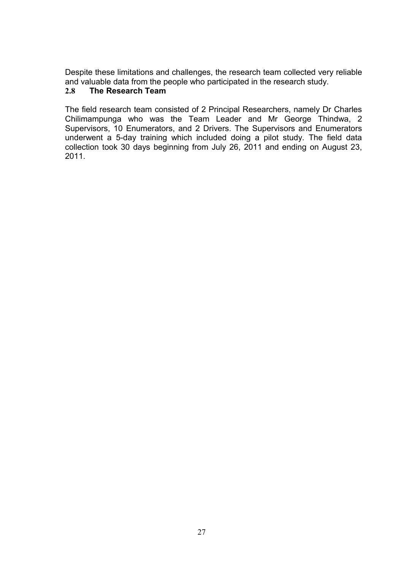Despite these limitations and challenges, the research team collected very reliable and valuable data from the people who participated in the research study.

# **2.8 The Research Team**

The field research team consisted of 2 Principal Researchers, namely Dr Charles Chilimampunga who was the Team Leader and Mr George Thindwa, 2 Supervisors, 10 Enumerators, and 2 Drivers. The Supervisors and Enumerators underwent a 5-day training which included doing a pilot study. The field data collection took 30 days beginning from July 26, 2011 and ending on August 23, 2011.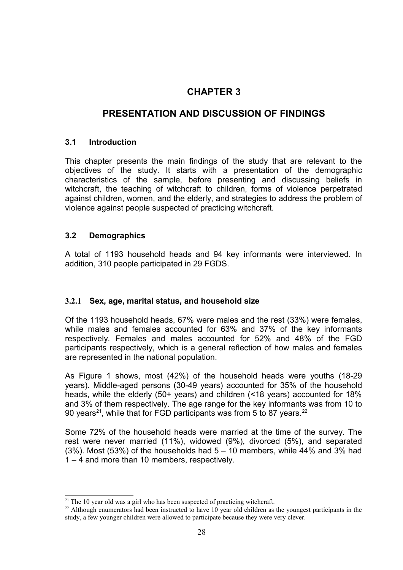# **CHAPTER 3**

# **PRESENTATION AND DISCUSSION OF FINDINGS**

# **3.1 Introduction**

This chapter presents the main findings of the study that are relevant to the objectives of the study. It starts with a presentation of the demographic characteristics of the sample, before presenting and discussing beliefs in witchcraft, the teaching of witchcraft to children, forms of violence perpetrated against children, women, and the elderly, and strategies to address the problem of violence against people suspected of practicing witchcraft.

# **3.2 Demographics**

A total of 1193 household heads and 94 key informants were interviewed. In addition, 310 people participated in 29 FGDS.

# **3.2.1 Sex, age, marital status, and household size**

Of the 1193 household heads, 67% were males and the rest (33%) were females, while males and females accounted for 63% and 37% of the key informants respectively. Females and males accounted for 52% and 48% of the FGD participants respectively, which is a general reflection of how males and females are represented in the national population.

As Figure 1 shows, most (42%) of the household heads were youths (18-29 years). Middle-aged persons (30-49 years) accounted for 35% of the household heads, while the elderly (50+ years) and children (<18 years) accounted for 18% and 3% of them respectively. The age range for the key informants was from 10 to 90 years<sup>[21](#page-27-0)</sup>, while that for FGD participants was from 5 to 87 years.<sup>[22](#page-27-1)</sup>

Some 72% of the household heads were married at the time of the survey. The rest were never married (11%), widowed (9%), divorced (5%), and separated  $(3\%)$ . Most  $(53\%)$  of the households had  $5 - 10$  members, while 44% and 3% had 1 – 4 and more than 10 members, respectively.

<span id="page-27-0"></span> $21$  The 10 year old was a girl who has been suspected of practicing witchcraft.

<span id="page-27-1"></span><sup>&</sup>lt;sup>22</sup> Although enumerators had been instructed to have 10 year old children as the youngest participants in the study, a few younger children were allowed to participate because they were very clever.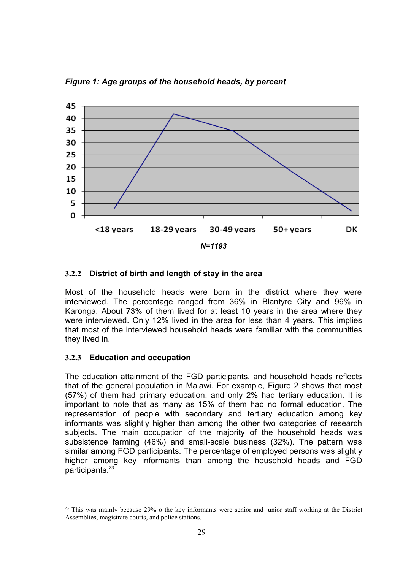*Figure 1: Age groups of the household heads, by percent*



## **3.2.2 District of birth and length of stay in the area**

Most of the household heads were born in the district where they were interviewed. The percentage ranged from 36% in Blantyre City and 96% in Karonga. About 73% of them lived for at least 10 years in the area where they were interviewed. Only 12% lived in the area for less than 4 years. This implies that most of the interviewed household heads were familiar with the communities they lived in.

## **3.2.3 Education and occupation**

The education attainment of the FGD participants, and household heads reflects that of the general population in Malawi. For example, Figure 2 shows that most (57%) of them had primary education, and only 2% had tertiary education. It is important to note that as many as 15% of them had no formal education. The representation of people with secondary and tertiary education among key informants was slightly higher than among the other two categories of research subjects. The main occupation of the majority of the household heads was subsistence farming (46%) and small-scale business (32%). The pattern was similar among FGD participants. The percentage of employed persons was slightly higher among key informants than among the household heads and FGD participants.[23](#page-28-0)

<span id="page-28-0"></span><sup>&</sup>lt;sup>23</sup> This was mainly because 29% o the key informants were senior and junior staff working at the District Assemblies, magistrate courts, and police stations.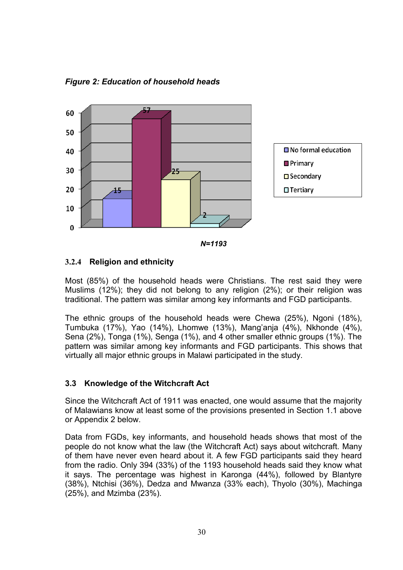

*Figure 2: Education of household heads*

### **3.2.4 Religion and ethnicity**

Most (85%) of the household heads were Christians. The rest said they were Muslims (12%); they did not belong to any religion (2%); or their religion was traditional. The pattern was similar among key informants and FGD participants.

The ethnic groups of the household heads were Chewa (25%), Ngoni (18%), Tumbuka (17%), Yao (14%), Lhomwe (13%), Mang'anja (4%), Nkhonde (4%), Sena (2%), Tonga (1%), Senga (1%), and 4 other smaller ethnic groups (1%). The pattern was similar among key informants and FGD participants. This shows that virtually all major ethnic groups in Malawi participated in the study.

## **3.3 Knowledge of the Witchcraft Act**

Since the Witchcraft Act of 1911 was enacted, one would assume that the majority of Malawians know at least some of the provisions presented in Section 1.1 above or Appendix 2 below.

Data from FGDs, key informants, and household heads shows that most of the people do not know what the law (the Witchcraft Act) says about witchcraft. Many of them have never even heard about it. A few FGD participants said they heard from the radio. Only 394 (33%) of the 1193 household heads said they know what it says. The percentage was highest in Karonga (44%), followed by Blantyre (38%), Ntchisi (36%), Dedza and Mwanza (33% each), Thyolo (30%), Machinga (25%), and Mzimba (23%).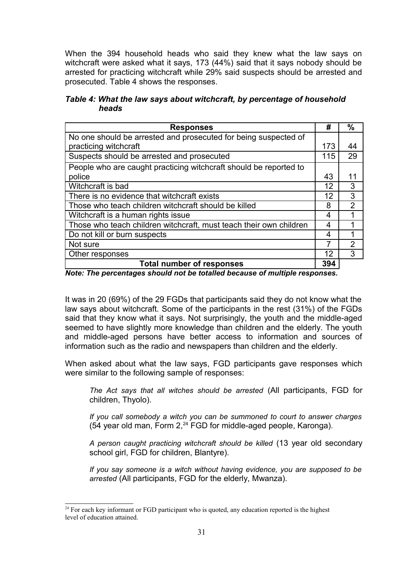When the 394 household heads who said they knew what the law says on witchcraft were asked what it says, 173 (44%) said that it says nobody should be arrested for practicing witchcraft while 29% said suspects should be arrested and prosecuted. Table 4 shows the responses.

*Table 4: What the law says about witchcraft, by percentage of household heads* 

| <b>Responses</b>                                                   | #   | $\frac{0}{0}$ |
|--------------------------------------------------------------------|-----|---------------|
| No one should be arrested and prosecuted for being suspected of    |     |               |
| practicing witchcraft                                              | 173 | 44            |
| Suspects should be arrested and prosecuted                         | 115 | 29            |
| People who are caught practicing witchcraft should be reported to  |     |               |
| police                                                             | 43  | 11            |
| Witchcraft is bad                                                  | 12  | 3             |
| There is no evidence that witchcraft exists                        | 12  | 3             |
| Those who teach children witchcraft should be killed               | 8   | 2             |
| Witchcraft is a human rights issue                                 | 4   |               |
| Those who teach children witchcraft, must teach their own children | 4   |               |
| Do not kill or burn suspects                                       | 4   |               |
| Not sure                                                           |     | 2             |
| Other responses                                                    | 12  | 3             |
| <b>Total number of responses</b>                                   | 394 |               |

*Note: The percentages should not be totalled because of multiple responses.*

It was in 20 (69%) of the 29 FGDs that participants said they do not know what the law says about witchcraft. Some of the participants in the rest (31%) of the FGDs said that they know what it says. Not surprisingly, the youth and the middle-aged seemed to have slightly more knowledge than children and the elderly. The youth and middle-aged persons have better access to information and sources of information such as the radio and newspapers than children and the elderly.

When asked about what the law says, FGD participants gave responses which were similar to the following sample of responses:

*The Act says that all witches should be arrested* (All participants, FGD for children, Thyolo).

*If you call somebody a witch you can be summoned to court to answer charges* (54 year old man, Form 2,[24](#page-30-0) FGD for middle-aged people, Karonga)*.*

*A person caught practicing witchcraft should be killed* (13 year old secondary school girl, FGD for children, Blantyre).

*If you say someone is a witch without having evidence, you are supposed to be arrested* (All participants, FGD for the elderly, Mwanza).

<span id="page-30-0"></span><sup>&</sup>lt;sup>24</sup> For each key informant or FGD participant who is quoted, any education reported is the highest level of education attained.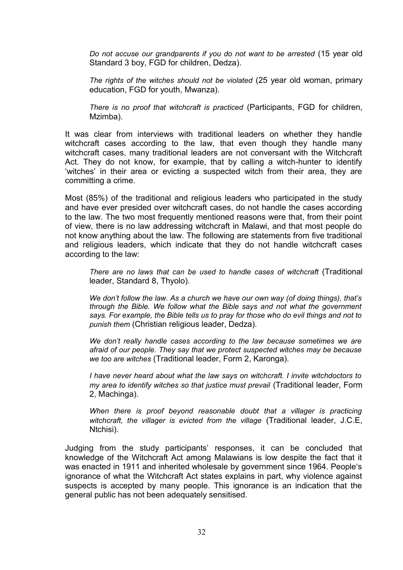*Do not accuse our grandparents if you do not want to be arrested* (15 year old Standard 3 boy, FGD for children, Dedza).

*The rights of the witches should not be violated* (25 year old woman, primary education, FGD for youth, Mwanza).

*There is no proof that witchcraft is practiced* (Participants, FGD for children, Mzimba).

It was clear from interviews with traditional leaders on whether they handle witchcraft cases according to the law, that even though they handle many witchcraft cases, many traditional leaders are not conversant with the Witchcraft Act. They do not know, for example, that by calling a witch-hunter to identify 'witches' in their area or evicting a suspected witch from their area, they are committing a crime.

Most (85%) of the traditional and religious leaders who participated in the study and have ever presided over witchcraft cases, do not handle the cases according to the law. The two most frequently mentioned reasons were that, from their point of view, there is no law addressing witchcraft in Malawi, and that most people do not know anything about the law. The following are statements from five traditional and religious leaders, which indicate that they do not handle witchcraft cases according to the law:

*There are no laws that can be used to handle cases of witchcraft* (Traditional leader, Standard 8, Thyolo).

*We don't follow the law. As a church we have our own way (of doing things), that's through the Bible. We follow what the Bible says and not what the government says. For example, the Bible tells us to pray for those who do evil things and not to punish them* (Christian religious leader, Dedza).

*We don't really handle cases according to the law because sometimes we are afraid of our people. They say that we protect suspected witches may be because we too are witches* (Traditional leader, Form 2, Karonga).

*I have never heard about what the law says on witchcraft. I invite witchdoctors to my area to identify witches so that justice must prevail* (Traditional leader, Form 2, Machinga).

*When there is proof beyond reasonable doubt that a villager is practicing witchcraft, the villager is evicted from the village* (Traditional leader, J.C.E, Ntchisi).

Judging from the study participants' responses, it can be concluded that knowledge of the Witchcraft Act among Malawians is low despite the fact that it was enacted in 1911 and inherited wholesale by government since 1964. People's ignorance of what the Witchcraft Act states explains in part, why violence against suspects is accepted by many people. This ignorance is an indication that the general public has not been adequately sensitised.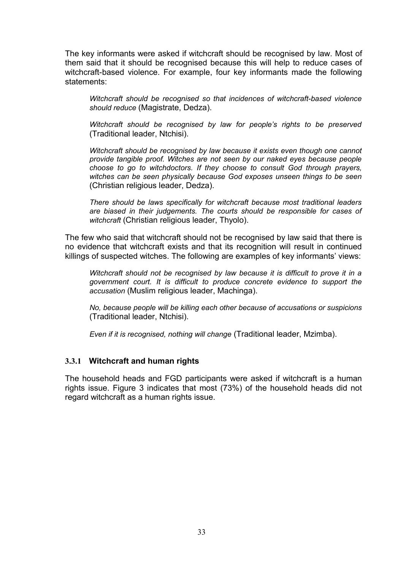The key informants were asked if witchcraft should be recognised by law. Most of them said that it should be recognised because this will help to reduce cases of witchcraft-based violence. For example, four key informants made the following statements:

*Witchcraft should be recognised so that incidences of witchcraft-based violence should reduce* (Magistrate, Dedza).

*Witchcraft should be recognised by law for people's rights to be preserved* (Traditional leader, Ntchisi).

*Witchcraft should be recognised by law because it exists even though one cannot provide tangible proof. Witches are not seen by our naked eyes because people choose to go to witchdoctors. If they choose to consult God through prayers, witches can be seen physically because God exposes unseen things to be seen* (Christian religious leader, Dedza).

*There should be laws specifically for witchcraft because most traditional leaders are biased in their judgements. The courts should be responsible for cases of witchcraft* (Christian religious leader, Thyolo).

The few who said that witchcraft should not be recognised by law said that there is no evidence that witchcraft exists and that its recognition will result in continued killings of suspected witches. The following are examples of key informants' views:

*Witchcraft should not be recognised by law because it is difficult to prove it in a government court. It is difficult to produce concrete evidence to support the accusation* (Muslim religious leader, Machinga).

*No, because people will be killing each other because of accusations or suspicions* (Traditional leader, Ntchisi).

*Even if it is recognised, nothing will change* (Traditional leader, Mzimba).

### **3.3.1 Witchcraft and human rights**

The household heads and FGD participants were asked if witchcraft is a human rights issue. Figure 3 indicates that most (73%) of the household heads did not regard witchcraft as a human rights issue.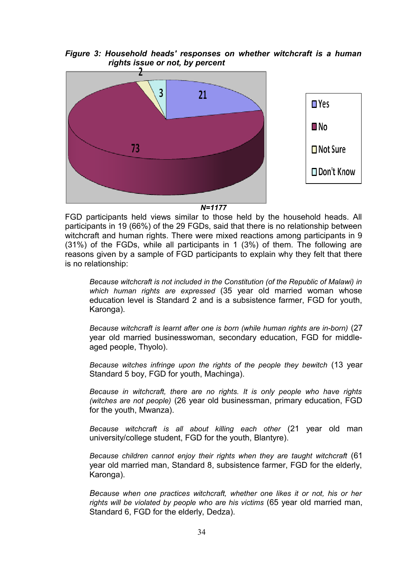*Figure 3: Household heads' responses on whether witchcraft is a human rights issue or not, by percent*



*N=1177*

FGD participants held views similar to those held by the household heads. All participants in 19 (66%) of the 29 FGDs, said that there is no relationship between witchcraft and human rights. There were mixed reactions among participants in 9 (31%) of the FGDs, while all participants in 1 (3%) of them. The following are reasons given by a sample of FGD participants to explain why they felt that there is no relationship:

*Because witchcraft is not included in the Constitution (of the Republic of Malawi) in which human rights are expressed* (35 year old married woman whose education level is Standard 2 and is a subsistence farmer, FGD for youth, Karonga).

*Because witchcraft is learnt after one is born (while human rights are in-born)* (27 year old married businesswoman, secondary education, FGD for middleaged people, Thyolo).

*Because witches infringe upon the rights of the people they bewitch* (13 year Standard 5 boy, FGD for youth, Machinga).

*Because in witchcraft, there are no rights. It is only people who have rights (witches are not people)* (26 year old businessman, primary education, FGD for the youth, Mwanza).

*Because witchcraft is all about killing each other* (21 year old man university/college student, FGD for the youth, Blantyre).

*Because children cannot enjoy their rights when they are taught witchcraft* (61 year old married man, Standard 8, subsistence farmer, FGD for the elderly, Karonga).

*Because when one practices witchcraft, whether one likes it or not, his or her rights will be violated by people who are his victims* (65 year old married man, Standard 6, FGD for the elderly, Dedza).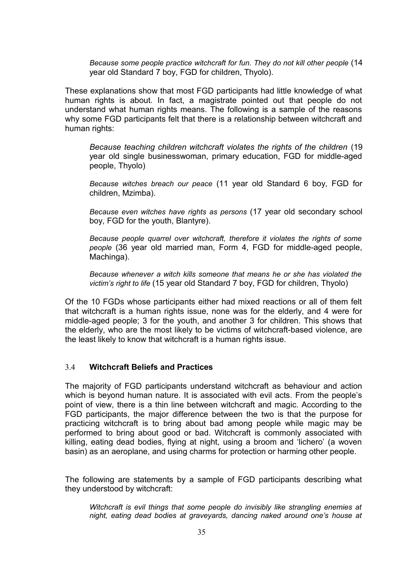*Because some people practice witchcraft for fun. They do not kill other people* (14 year old Standard 7 boy, FGD for children, Thyolo).

These explanations show that most FGD participants had little knowledge of what human rights is about. In fact, a magistrate pointed out that people do not understand what human rights means. The following is a sample of the reasons why some FGD participants felt that there is a relationship between witchcraft and human rights:

*Because teaching children witchcraft violates the rights of the children* (19 year old single businesswoman, primary education, FGD for middle-aged people, Thyolo)

*Because witches breach our peace* (11 year old Standard 6 boy, FGD for children, Mzimba).

*Because even witches have rights as persons* (17 year old secondary school boy, FGD for the youth, Blantyre).

*Because people quarrel over witchcraft, therefore it violates the rights of some people* (36 year old married man, Form 4, FGD for middle-aged people, Machinga).

*Because whenever a witch kills someone that means he or she has violated the victim's right to life* (15 year old Standard 7 boy, FGD for children, Thyolo)

Of the 10 FGDs whose participants either had mixed reactions or all of them felt that witchcraft is a human rights issue, none was for the elderly, and 4 were for middle-aged people; 3 for the youth, and another 3 for children. This shows that the elderly, who are the most likely to be victims of witchcraft-based violence, are the least likely to know that witchcraft is a human rights issue.

### 3.4 **Witchcraft Beliefs and Practices**

The majority of FGD participants understand witchcraft as behaviour and action which is beyond human nature. It is associated with evil acts. From the people's point of view, there is a thin line between witchcraft and magic. According to the FGD participants, the major difference between the two is that the purpose for practicing witchcraft is to bring about bad among people while magic may be performed to bring about good or bad. Witchcraft is commonly associated with killing, eating dead bodies, flying at night, using a broom and 'lichero' (a woven basin) as an aeroplane, and using charms for protection or harming other people.

The following are statements by a sample of FGD participants describing what they understood by witchcraft:

*Witchcraft is evil things that some people do invisibly like strangling enemies at night, eating dead bodies at graveyards, dancing naked around one's house at*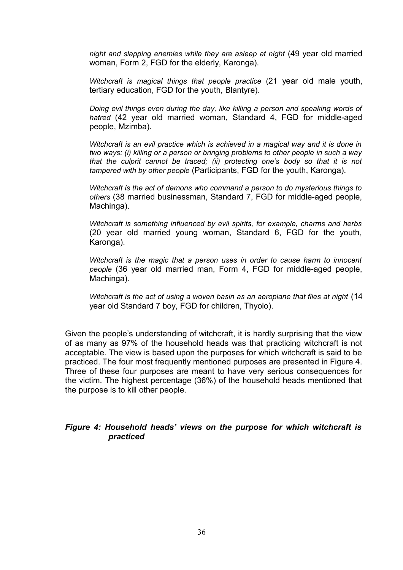*night and slapping enemies while they are asleep at night* (49 year old married woman, Form 2, FGD for the elderly, Karonga).

*Witchcraft is magical things that people practice* (21 year old male youth, tertiary education, FGD for the youth, Blantyre).

*Doing evil things even during the day, like killing a person and speaking words of hatred* (42 year old married woman, Standard 4, FGD for middle-aged people, Mzimba).

*Witchcraft is an evil practice which is achieved in a magical way and it is done in two ways: (i) killing or a person or bringing problems to other people in such a way that the culprit cannot be traced; (ii) protecting one's body so that it is not tampered with by other people* (Participants, FGD for the youth, Karonga).

*Witchcraft is the act of demons who command a person to do mysterious things to others* (38 married businessman, Standard 7, FGD for middle-aged people, Machinga).

*Witchcraft is something influenced by evil spirits, for example, charms and herbs* (20 year old married young woman, Standard 6, FGD for the youth, Karonga).

*Witchcraft is the magic that a person uses in order to cause harm to innocent people* (36 year old married man, Form 4, FGD for middle-aged people, Machinga).

Witchcraft is the act of using a woven basin as an aeroplane that flies at night (14 year old Standard 7 boy, FGD for children, Thyolo).

Given the people's understanding of witchcraft, it is hardly surprising that the view of as many as 97% of the household heads was that practicing witchcraft is not acceptable. The view is based upon the purposes for which witchcraft is said to be practiced. The four most frequently mentioned purposes are presented in Figure 4. Three of these four purposes are meant to have very serious consequences for the victim. The highest percentage (36%) of the household heads mentioned that the purpose is to kill other people.

### *Figure 4: Household heads' views on the purpose for which witchcraft is practiced*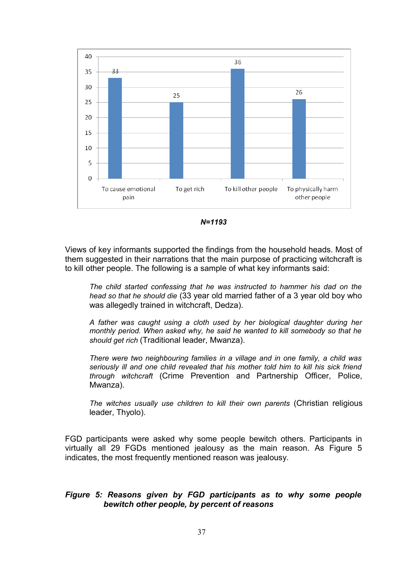

*N=1193*

Views of key informants supported the findings from the household heads. Most of them suggested in their narrations that the main purpose of practicing witchcraft is to kill other people. The following is a sample of what key informants said:

*The child started confessing that he was instructed to hammer his dad on the head so that he should die* (33 year old married father of a 3 year old boy who was allegedly trained in witchcraft, Dedza).

*A father was caught using a cloth used by her biological daughter during her monthly period. When asked why, he said he wanted to kill somebody so that he should get rich* (Traditional leader, Mwanza).

*There were two neighbouring families in a village and in one family, a child was seriously ill and one child revealed that his mother told him to kill his sick friend through witchcraft* (Crime Prevention and Partnership Officer, Police, Mwanza).

*The witches usually use children to kill their own parents* (Christian religious leader, Thyolo).

FGD participants were asked why some people bewitch others. Participants in virtually all 29 FGDs mentioned jealousy as the main reason. As Figure 5 indicates, the most frequently mentioned reason was jealousy.

## *Figure 5: Reasons given by FGD participants as to why some people bewitch other people, by percent of reasons*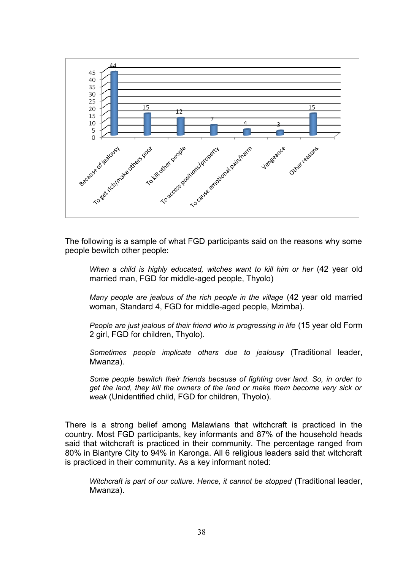

The following is a sample of what FGD participants said on the reasons why some people bewitch other people:

When a child is highly educated, witches want to kill him or her (42 year old married man, FGD for middle-aged people, Thyolo)

*Many people are jealous of the rich people in the village* (42 year old married woman, Standard 4, FGD for middle-aged people, Mzimba).

*People are just jealous of their friend who is progressing in life* (15 year old Form 2 girl, FGD for children, Thyolo).

*Sometimes people implicate others due to jealousy* (Traditional leader, Mwanza).

*Some people bewitch their friends because of fighting over land. So, in order to get the land, they kill the owners of the land or make them become very sick or weak* (Unidentified child, FGD for children, Thyolo).

There is a strong belief among Malawians that witchcraft is practiced in the country. Most FGD participants, key informants and 87% of the household heads said that witchcraft is practiced in their community. The percentage ranged from 80% in Blantyre City to 94% in Karonga. All 6 religious leaders said that witchcraft is practiced in their community. As a key informant noted:

*Witchcraft is part of our culture. Hence, it cannot be stopped* (Traditional leader, Mwanza).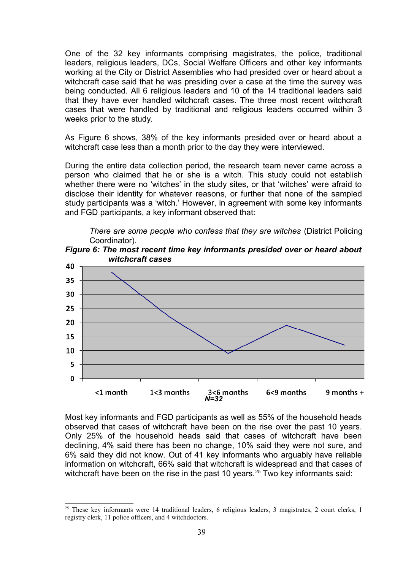One of the 32 key informants comprising magistrates, the police, traditional leaders, religious leaders, DCs, Social Welfare Officers and other key informants working at the City or District Assemblies who had presided over or heard about a witchcraft case said that he was presiding over a case at the time the survey was being conducted. All 6 religious leaders and 10 of the 14 traditional leaders said that they have ever handled witchcraft cases. The three most recent witchcraft cases that were handled by traditional and religious leaders occurred within 3 weeks prior to the study.

As Figure 6 shows, 38% of the key informants presided over or heard about a witchcraft case less than a month prior to the day they were interviewed.

During the entire data collection period, the research team never came across a person who claimed that he or she is a witch. This study could not establish whether there were no 'witches' in the study sites, or that 'witches' were afraid to disclose their identity for whatever reasons, or further that none of the sampled study participants was a 'witch.' However, in agreement with some key informants and FGD participants, a key informant observed that:

*There are some people who confess that they are witches* (District Policing Coordinator)*.* 





Most key informants and FGD participants as well as 55% of the household heads observed that cases of witchcraft have been on the rise over the past 10 years. Only 25% of the household heads said that cases of witchcraft have been declining, 4% said there has been no change, 10% said they were not sure, and 6% said they did not know. Out of 41 key informants who arguably have reliable information on witchcraft, 66% said that witchcraft is widespread and that cases of witchcraft have been on the rise in the past 10 years.<sup>[25](#page-38-0)</sup> Two key informants said:

<span id="page-38-0"></span><sup>&</sup>lt;sup>25</sup> These key informants were 14 traditional leaders, 6 religious leaders, 3 magistrates, 2 court clerks, 1 registry clerk, 11 police officers, and 4 witchdoctors.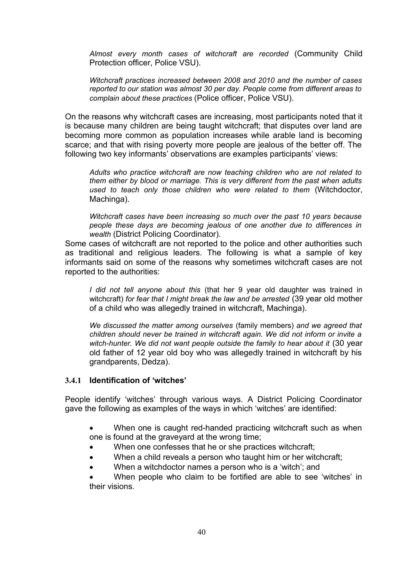*Almost every month cases of witchcraft are recorded* (Community Child Protection officer, Police VSU).

*Witchcraft practices increased between 2008 and 2010 and the number of cases reported to our station was almost 30 per day. People come from different areas to complain about these practices* (Police officer, Police VSU).

On the reasons why witchcraft cases are increasing, most participants noted that it is because many children are being taught witchcraft; that disputes over land are becoming more common as population increases while arable land is becoming scarce; and that with rising poverty more people are jealous of the better off. The following two key informants' observations are examples participants' views:

*Adults who practice witchcraft are now teaching children who are not related to them either by blood or marriage. This is very different from the past when adults used to teach only those children who were related to them* (Witchdoctor, Machinga).

*Witchcraft cases have been increasing so much over the past 10 years because people these days are becoming jealous of one another due to differences in wealth* (District Policing Coordinator).

Some cases of witchcraft are not reported to the police and other authorities such as traditional and religious leaders. The following is what a sample of key informants said on some of the reasons why sometimes witchcraft cases are not reported to the authorities:

*I did not tell anyone about this* (that her 9 year old daughter was trained in witchcraft) *for fear that I might break the law and be arrested* (39 year old mother of a child who was allegedly trained in witchcraft, Machinga).

*We discussed the matter among ourselves* (family members) *and we agreed that children should never be trained in witchcraft again. We did not inform or invite a* witch-hunter. We did not want people outside the family to hear about it (30 year old father of 12 year old boy who was allegedly trained in witchcraft by his grandparents, Dedza).

#### **3.4.1 Identification of 'witches'**

People identify 'witches' through various ways. A District Policing Coordinator gave the following as examples of the ways in which 'witches' are identified:

- When one is caught red-handed practicing witchcraft such as when one is found at the graveyard at the wrong time;
- When one confesses that he or she practices witchcraft;
- When a child reveals a person who taught him or her witchcraft;
- When a witchdoctor names a person who is a 'witch'; and

 When people who claim to be fortified are able to see 'witches' in their visions.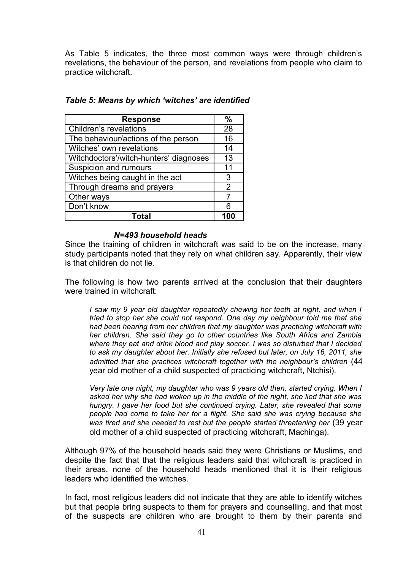As Table 5 indicates, the three most common ways were through children's revelations, the behaviour of the person, and revelations from people who claim to practice witchcraft.

| <b>Response</b>                        | $\frac{0}{0}$  |
|----------------------------------------|----------------|
| Children's revelations                 | 28             |
| The behaviour/actions of the person    | 16             |
| Witches' own revelations               | 14             |
| Witchdoctors'/witch-hunters' diagnoses | 13             |
| Suspicion and rumours                  | 11             |
| Witches being caught in the act        | 3              |
| Through dreams and prayers             | $\overline{2}$ |
| Other ways                             |                |
| Don't know                             | 6              |
|                                        |                |

#### *N=493 household heads*

Since the training of children in witchcraft was said to be on the increase, many study participants noted that they rely on what children say. Apparently, their view is that children do not lie.

The following is how two parents arrived at the conclusion that their daughters were trained in witchcraft:

*I saw my 9 year old daughter repeatedly chewing her teeth at night, and when I tried to stop her she could not respond. One day my neighbour told me that she had been hearing from her children that my daughter was practicing witchcraft with her children. She said they go to other countries like South Africa and Zambia where they eat and drink blood and play soccer. I was so disturbed that I decided to ask my daughter about her. Initially she refused but later, on July 16, 2011, she admitted that she practices witchcraft together with the neighbour's children* (44 year old mother of a child suspected of practicing witchcraft, Ntchisi).

*Very late one night, my daughter who was 9 years old then, started crying. When I asked her why she had woken up in the middle of the night, she lied that she was hungry. I gave her food but she continued crying. Later, she revealed that some people had come to take her for a flight. She said she was crying because she* was tired and she needed to rest but the people started threatening her (39 year old mother of a child suspected of practicing witchcraft, Machinga).

Although 97% of the household heads said they were Christians or Muslims, and despite the fact that that the religious leaders said that witchcraft is practiced in their areas, none of the household heads mentioned that it is their religious leaders who identified the witches.

In fact, most religious leaders did not indicate that they are able to identify witches but that people bring suspects to them for prayers and counselling, and that most of the suspects are children who are brought to them by their parents and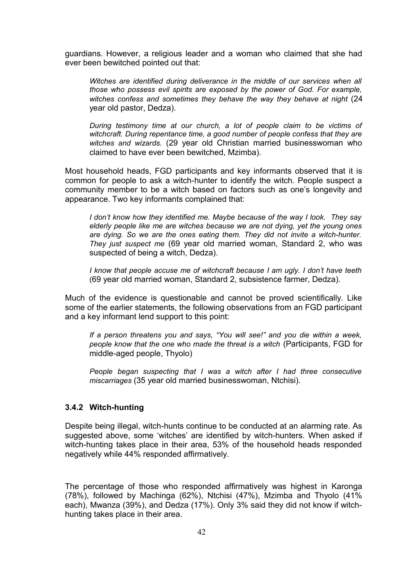guardians. However, a religious leader and a woman who claimed that she had ever been bewitched pointed out that:

*Witches are identified during deliverance in the middle of our services when all those who possess evil spirits are exposed by the power of God. For example, witches confess and sometimes they behave the way they behave at night* (24 year old pastor, Dedza).

*During testimony time at our church, a lot of people claim to be victims of witchcraft. During repentance time, a good number of people confess that they are witches and wizards.* (29 year old Christian married businesswoman who claimed to have ever been bewitched, Mzimba).

Most household heads, FGD participants and key informants observed that it is common for people to ask a witch-hunter to identify the witch. People suspect a community member to be a witch based on factors such as one's longevity and appearance. Two key informants complained that:

*I don't know how they identified me. Maybe because of the way I look. They say elderly people like me are witches because we are not dying, yet the young ones are dying. So we are the ones eating them. They did not invite a witch-hunter. They just suspect me* (69 year old married woman, Standard 2, who was suspected of being a witch, Dedza).

*I know that people accuse me of witchcraft because I am ugly. I don't have teeth* (69 year old married woman, Standard 2, subsistence farmer, Dedza).

Much of the evidence is questionable and cannot be proved scientifically. Like some of the earlier statements, the following observations from an FGD participant and a key informant lend support to this point:

*If a person threatens you and says, "You will see!" and you die within a week, people know that the one who made the threat is a witch* (Participants, FGD for middle-aged people, Thyolo)

*People began suspecting that I was a witch after I had three consecutive miscarriages* (35 year old married businesswoman, Ntchisi).

#### **3.4.2 Witch-hunting**

Despite being illegal, witch-hunts continue to be conducted at an alarming rate. As suggested above, some 'witches' are identified by witch-hunters. When asked if witch-hunting takes place in their area, 53% of the household heads responded negatively while 44% responded affirmatively.

The percentage of those who responded affirmatively was highest in Karonga (78%), followed by Machinga (62%), Ntchisi (47%), Mzimba and Thyolo (41% each), Mwanza (39%), and Dedza (17%). Only 3% said they did not know if witchhunting takes place in their area.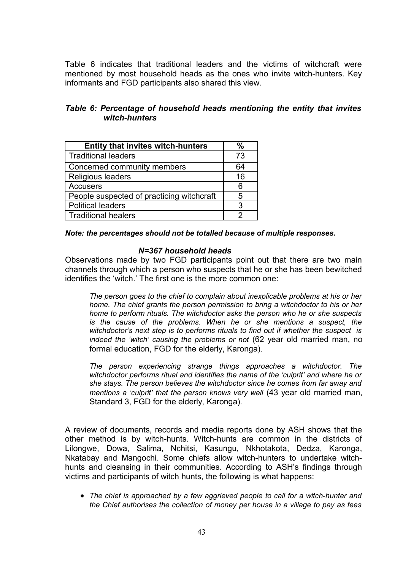Table 6 indicates that traditional leaders and the victims of witchcraft were mentioned by most household heads as the ones who invite witch-hunters. Key informants and FGD participants also shared this view.

# *Table 6: Percentage of household heads mentioning the entity that invites witch-hunters*

| <b>Entity that invites witch-hunters</b>  |    |
|-------------------------------------------|----|
| l Traditional leaders                     | 73 |
| Concerned community members               | 64 |
| Religious leaders                         | 16 |
| <b>Accusers</b>                           | 6  |
| People suspected of practicing witchcraft | 5  |
| <b>Political leaders</b>                  | 3  |
| Traditional healers                       |    |

#### *Note: the percentages should not be totalled because of multiple responses.*

#### *N=367 household heads*

Observations made by two FGD participants point out that there are two main channels through which a person who suspects that he or she has been bewitched identifies the 'witch.' The first one is the more common one:

*The person goes to the chief to complain about inexplicable problems at his or her home. The chief grants the person permission to bring a witchdoctor to his or her home to perform rituals. The witchdoctor asks the person who he or she suspects is the cause of the problems. When he or she mentions a suspect, the witchdoctor's next step is to performs rituals to find out if whether the suspect is indeed the 'witch' causing the problems or not* (62 year old married man, no formal education, FGD for the elderly, Karonga)*.*

*The person experiencing strange things approaches a witchdoctor. The witchdoctor performs ritual and identifies the name of the 'culprit' and where he or she stays. The person believes the witchdoctor since he comes from far away and mentions a 'culprit' that the person knows very well* (43 year old married man, Standard 3, FGD for the elderly, Karonga)*.*

A review of documents, records and media reports done by ASH shows that the other method is by witch-hunts. Witch-hunts are common in the districts of Lilongwe, Dowa, Salima, Nchitsi, Kasungu, Nkhotakota, Dedza, Karonga, Nkatabay and Mangochi. Some chiefs allow witch-hunters to undertake witchhunts and cleansing in their communities. According to ASH's findings through victims and participants of witch hunts, the following is what happens:

 *The chief is approached by a few aggrieved people to call for a witch-hunter and the Chief authorises the collection of money per house in a village to pay as fees*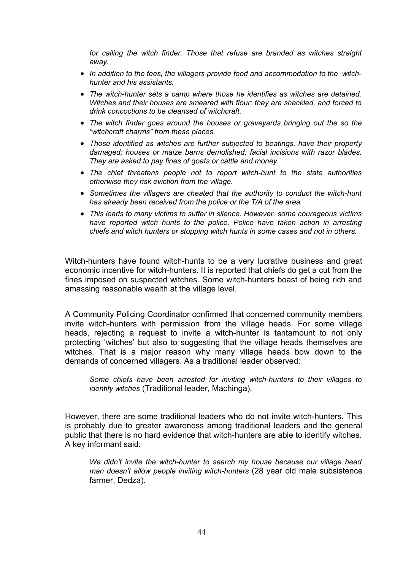*for calling the witch finder. Those that refuse are branded as witches straight away.*

- *In addition to the fees, the villagers provide food and accommodation to the witchhunter and his assistants.*
- *The witch-hunter sets a camp where those he identifies as witches are detained. Witches and their houses are smeared with flour; they are shackled, and forced to drink concoctions to be cleansed of witchcraft.*
- *The witch finder goes around the houses or graveyards bringing out the so the "witchcraft charms" from these places.*
- *Those identified as witches are further subjected to beatings, have their property damaged; houses or maize barns demolished; facial incisions with razor blades. They are asked to pay fines of goats or cattle and money.*
- *The chief threatens people not to report witch-hunt to the state authorities otherwise they risk eviction from the village.*
- *Sometimes the villagers are cheated that the authority to conduct the witch-hunt has already been received from the police or the T/A of the area.*
- *This leads to many victims to suffer in silence. However, some courageous victims have reported witch hunts to the police. Police have taken action in arresting chiefs and witch hunters or stopping witch hunts in some cases and not in others.*

Witch-hunters have found witch-hunts to be a very lucrative business and great economic incentive for witch-hunters. It is reported that chiefs do get a cut from the fines imposed on suspected witches. Some witch-hunters boast of being rich and amassing reasonable wealth at the village level.

A Community Policing Coordinator confirmed that concerned community members invite witch-hunters with permission from the village heads. For some village heads, rejecting a request to invite a witch-hunter is tantamount to not only protecting 'witches' but also to suggesting that the village heads themselves are witches. That is a major reason why many village heads bow down to the demands of concerned villagers. As a traditional leader observed:

*Some chiefs have been arrested for inviting witch-hunters to their villages to identify witches* (Traditional leader, Machinga).

However, there are some traditional leaders who do not invite witch-hunters. This is probably due to greater awareness among traditional leaders and the general public that there is no hard evidence that witch-hunters are able to identify witches. A key informant said:

*We didn't invite the witch-hunter to search my house because our village head man doesn't allow people inviting witch-hunters* (28 year old male subsistence farmer, Dedza).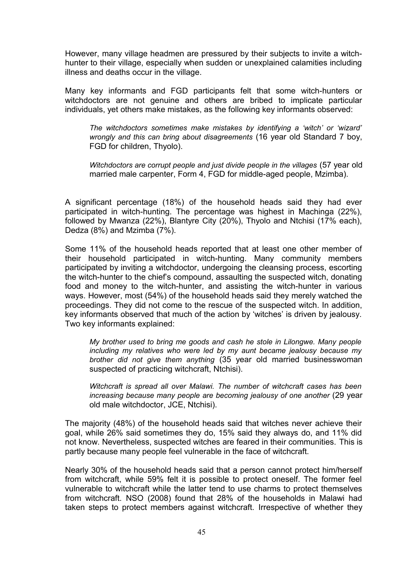However, many village headmen are pressured by their subjects to invite a witchhunter to their village, especially when sudden or unexplained calamities including illness and deaths occur in the village.

Many key informants and FGD participants felt that some witch-hunters or witchdoctors are not genuine and others are bribed to implicate particular individuals, yet others make mistakes, as the following key informants observed:

*The witchdoctors sometimes make mistakes by identifying a 'witch' or 'wizard' wrongly and this can bring about disagreements* (16 year old Standard 7 boy, FGD for children, Thyolo).

*Witchdoctors are corrupt people and just divide people in the villages* (57 year old married male carpenter, Form 4, FGD for middle-aged people, Mzimba).

A significant percentage (18%) of the household heads said they had ever participated in witch-hunting. The percentage was highest in Machinga (22%), followed by Mwanza (22%), Blantyre City (20%), Thyolo and Ntchisi (17% each), Dedza (8%) and Mzimba (7%).

Some 11% of the household heads reported that at least one other member of their household participated in witch-hunting. Many community members participated by inviting a witchdoctor, undergoing the cleansing process, escorting the witch-hunter to the chief's compound, assaulting the suspected witch, donating food and money to the witch-hunter, and assisting the witch-hunter in various ways. However, most (54%) of the household heads said they merely watched the proceedings. They did not come to the rescue of the suspected witch. In addition, key informants observed that much of the action by 'witches' is driven by jealousy. Two key informants explained:

*My brother used to bring me goods and cash he stole in Lilongwe. Many people including my relatives who were led by my aunt became jealousy because my brother did not give them anything* (35 year old married businesswoman suspected of practicing witchcraft, Ntchisi).

*Witchcraft is spread all over Malawi. The number of witchcraft cases has been increasing because many people are becoming jealousy of one another* (29 year old male witchdoctor, JCE, Ntchisi).

The majority (48%) of the household heads said that witches never achieve their goal, while 26% said sometimes they do, 15% said they always do, and 11% did not know. Nevertheless, suspected witches are feared in their communities. This is partly because many people feel vulnerable in the face of witchcraft.

Nearly 30% of the household heads said that a person cannot protect him/herself from witchcraft, while 59% felt it is possible to protect oneself. The former feel vulnerable to witchcraft while the latter tend to use charms to protect themselves from witchcraft. NSO (2008) found that 28% of the households in Malawi had taken steps to protect members against witchcraft. Irrespective of whether they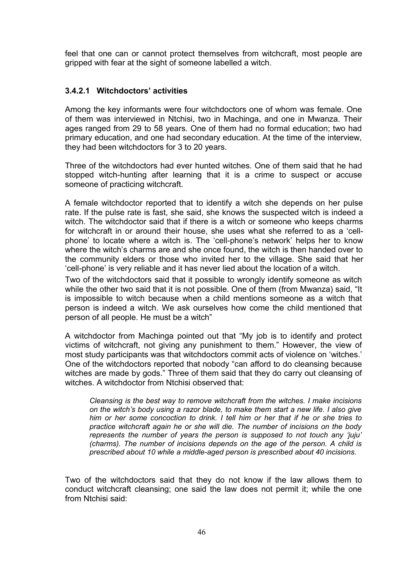feel that one can or cannot protect themselves from witchcraft, most people are gripped with fear at the sight of someone labelled a witch.

# **3.4.2.1 Witchdoctors' activities**

Among the key informants were four witchdoctors one of whom was female. One of them was interviewed in Ntchisi, two in Machinga, and one in Mwanza. Their ages ranged from 29 to 58 years. One of them had no formal education; two had primary education, and one had secondary education. At the time of the interview, they had been witchdoctors for 3 to 20 years.

Three of the witchdoctors had ever hunted witches. One of them said that he had stopped witch-hunting after learning that it is a crime to suspect or accuse someone of practicing witchcraft.

A female witchdoctor reported that to identify a witch she depends on her pulse rate. If the pulse rate is fast, she said, she knows the suspected witch is indeed a witch. The witchdoctor said that if there is a witch or someone who keeps charms for witchcraft in or around their house, she uses what she referred to as a 'cellphone' to locate where a witch is. The 'cell-phone's network' helps her to know where the witch's charms are and she once found, the witch is then handed over to the community elders or those who invited her to the village. She said that her 'cell-phone' is very reliable and it has never lied about the location of a witch.

Two of the witchdoctors said that it possible to wrongly identify someone as witch while the other two said that it is not possible. One of them (from Mwanza) said, "It is impossible to witch because when a child mentions someone as a witch that person is indeed a witch. We ask ourselves how come the child mentioned that person of all people. He must be a witch"

A witchdoctor from Machinga pointed out that "My job is to identify and protect victims of witchcraft, not giving any punishment to them." However, the view of most study participants was that witchdoctors commit acts of violence on 'witches.' One of the witchdoctors reported that nobody "can afford to do cleansing because witches are made by gods." Three of them said that they do carry out cleansing of witches. A witchdoctor from Ntchisi observed that:

*Cleansing is the best way to remove witchcraft from the witches. I make incisions on the witch's body using a razor blade, to make them start a new life. I also give him or her some concoction to drink. I tell him or her that if he or she tries to practice witchcraft again he or she will die. The number of incisions on the body represents the number of years the person is supposed to not touch any 'juju' (charms). The number of incisions depends on the age of the person. A child is prescribed about 10 while a middle-aged person is prescribed about 40 incisions.*

Two of the witchdoctors said that they do not know if the law allows them to conduct witchcraft cleansing; one said the law does not permit it; while the one from Ntchisi said: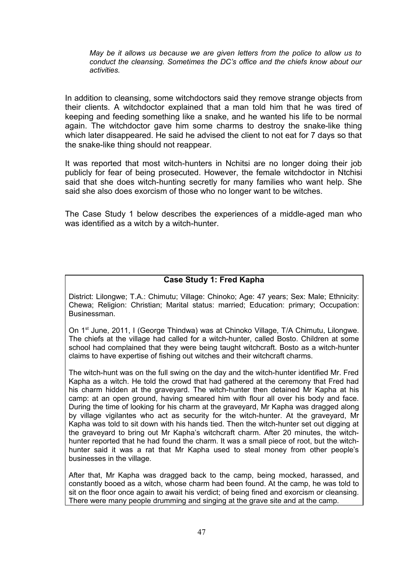*May be it allows us because we are given letters from the police to allow us to conduct the cleansing. Sometimes the DC's office and the chiefs know about our activities.*

In addition to cleansing, some witchdoctors said they remove strange objects from their clients. A witchdoctor explained that a man told him that he was tired of keeping and feeding something like a snake, and he wanted his life to be normal again. The witchdoctor gave him some charms to destroy the snake-like thing which later disappeared. He said he advised the client to not eat for 7 days so that the snake-like thing should not reappear.

It was reported that most witch-hunters in Nchitsi are no longer doing their job publicly for fear of being prosecuted. However, the female witchdoctor in Ntchisi said that she does witch-hunting secretly for many families who want help. She said she also does exorcism of those who no longer want to be witches.

The Case Study 1 below describes the experiences of a middle-aged man who was identified as a witch by a witch-hunter.

## **Case Study 1: Fred Kapha**

District: Lilongwe; T.A.: Chimutu; Village: Chinoko; Age: 47 years; Sex: Male; Ethnicity: Chewa; Religion: Christian; Marital status: married; Education: primary; Occupation: Businessman.

On 1<sup>st</sup> June, 2011, I (George Thindwa) was at Chinoko Village, T/A Chimutu, Lilongwe. The chiefs at the village had called for a witch-hunter, called Bosto. Children at some school had complained that they were being taught witchcraft. Bosto as a witch-hunter claims to have expertise of fishing out witches and their witchcraft charms.

The witch-hunt was on the full swing on the day and the witch-hunter identified Mr. Fred Kapha as a witch. He told the crowd that had gathered at the ceremony that Fred had his charm hidden at the graveyard. The witch-hunter then detained Mr Kapha at his camp: at an open ground, having smeared him with flour all over his body and face. During the time of looking for his charm at the graveyard, Mr Kapha was dragged along by village vigilantes who act as security for the witch-hunter. At the graveyard, Mr Kapha was told to sit down with his hands tied. Then the witch-hunter set out digging at the graveyard to bring out Mr Kapha's witchcraft charm. After 20 minutes, the witchhunter reported that he had found the charm. It was a small piece of root, but the witchhunter said it was a rat that Mr Kapha used to steal money from other people's businesses in the village.

After that, Mr Kapha was dragged back to the camp, being mocked, harassed, and constantly booed as a witch, whose charm had been found. At the camp, he was told to sit on the floor once again to await his verdict; of being fined and exorcism or cleansing. There were many people drumming and singing at the grave site and at the camp.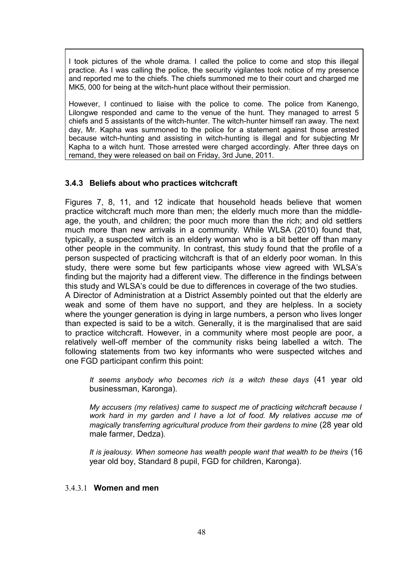I took pictures of the whole drama. I called the police to come and stop this illegal practice. As I was calling the police, the security vigilantes took notice of my presence and reported me to the chiefs. The chiefs summoned me to their court and charged me MK5, 000 for being at the witch-hunt place without their permission.

However, I continued to liaise with the police to come. The police from Kanengo, Lilongwe responded and came to the venue of the hunt. They managed to arrest 5 chiefs and 5 assistants of the witch-hunter. The witch-hunter himself ran away. The next day, Mr. Kapha was summoned to the police for a statement against those arrested because witch-hunting and assisting in witch-hunting is illegal and for subjecting Mr Kapha to a witch hunt. Those arrested were charged accordingly. After three days on remand, they were released on bail on Friday, 3rd June, 2011.

#### **3.4.3 Beliefs about who practices witchcraft**

Figures 7, 8, 11, and 12 indicate that household heads believe that women practice witchcraft much more than men; the elderly much more than the middleage, the youth, and children; the poor much more than the rich; and old settlers much more than new arrivals in a community. While WLSA (2010) found that, typically, a suspected witch is an elderly woman who is a bit better off than many other people in the community. In contrast, this study found that the profile of a person suspected of practicing witchcraft is that of an elderly poor woman. In this study, there were some but few participants whose view agreed with WLSA's finding but the majority had a different view. The difference in the findings between this study and WLSA's could be due to differences in coverage of the two studies. A Director of Administration at a District Assembly pointed out that the elderly are

weak and some of them have no support, and they are helpless. In a society where the younger generation is dying in large numbers, a person who lives longer than expected is said to be a witch. Generally, it is the marginalised that are said to practice witchcraft. However, in a community where most people are poor, a relatively well-off member of the community risks being labelled a witch. The following statements from two key informants who were suspected witches and one FGD participant confirm this point:

*It seems anybody who becomes rich is a witch these days* (41 year old businessman, Karonga).

*My accusers (my relatives) came to suspect me of practicing witchcraft because I work hard in my garden and I have a lot of food. My relatives accuse me of magically transferring agricultural produce from their gardens to mine* (28 year old male farmer, Dedza)*.*

*It is jealousy. When someone has wealth people want that wealth to be theirs* (16 year old boy, Standard 8 pupil, FGD for children, Karonga).

## 3.4.3.1 **Women and men**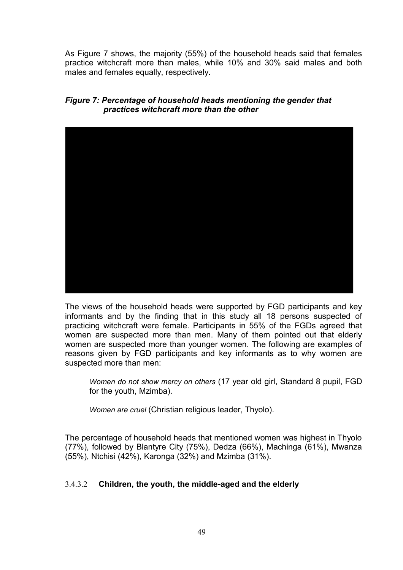As Figure 7 shows, the majority (55%) of the household heads said that females practice witchcraft more than males, while 10% and 30% said males and both males and females equally, respectively.

# *Figure 7: Percentage of household heads mentioning the gender that practices witchcraft more than the other*



The views of the household heads were supported by FGD participants and key informants and by the finding that in this study all 18 persons suspected of practicing witchcraft were female. Participants in 55% of the FGDs agreed that women are suspected more than men. Many of them pointed out that elderly women are suspected more than younger women. The following are examples of reasons given by FGD participants and key informants as to why women are suspected more than men:

*Women do not show mercy on others* (17 year old girl, Standard 8 pupil, FGD for the youth, Mzimba).

*Women are cruel* (Christian religious leader, Thyolo).

The percentage of household heads that mentioned women was highest in Thyolo (77%), followed by Blantyre City (75%), Dedza (66%), Machinga (61%), Mwanza (55%), Ntchisi (42%), Karonga (32%) and Mzimba (31%).

# 3.4.3.2 **Children, the youth, the middle-aged and the elderly**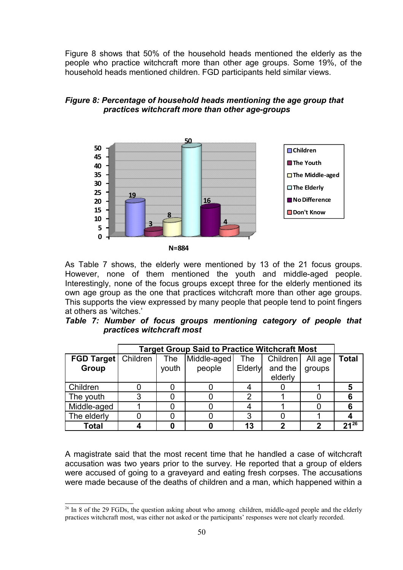Figure 8 shows that 50% of the household heads mentioned the elderly as the people who practice witchcraft more than other age groups. Some 19%, of the household heads mentioned children. FGD participants held similar views.

# *Figure 8: Percentage of household heads mentioning the age group that practices witchcraft more than other age-groups*



**N=884**

As Table 7 shows, the elderly were mentioned by 13 of the 21 focus groups. However, none of them mentioned the youth and middle-aged people. Interestingly, none of the focus groups except three for the elderly mentioned its own age group as the one that practices witchcraft more than other age groups. This supports the view expressed by many people that people tend to point fingers at others as 'witches.'

|  |                           |  | Table 7: Number of focus groups mentioning category of people that |  |  |
|--|---------------------------|--|--------------------------------------------------------------------|--|--|
|  | practices witchcraft most |  |                                                                    |  |  |

|                   | <b>Target Group Said to Practice Witchcraft Most</b> |       |                                                    |    |         |        |           |  |  |
|-------------------|------------------------------------------------------|-------|----------------------------------------------------|----|---------|--------|-----------|--|--|
| <b>FGD Target</b> | Children                                             | The   | Children <sup>'</sup><br>Middle-aged<br><b>The</b> |    | All age | Total  |           |  |  |
| Group             |                                                      | youth | Elderly<br>people                                  |    | and the | groups |           |  |  |
|                   |                                                      |       |                                                    |    | elderly |        |           |  |  |
| Children          |                                                      |       |                                                    |    |         |        |           |  |  |
| The youth         | 3                                                    |       |                                                    |    |         |        |           |  |  |
| Middle-aged       |                                                      |       |                                                    |    |         |        |           |  |  |
| The elderly       |                                                      |       |                                                    | 3  |         |        |           |  |  |
| <b>Total</b>      |                                                      |       |                                                    | 13 |         |        | $21^{26}$ |  |  |

A magistrate said that the most recent time that he handled a case of witchcraft accusation was two years prior to the survey. He reported that a group of elders were accused of going to a graveyard and eating fresh corpses. The accusations were made because of the deaths of children and a man, which happened within a

<span id="page-49-0"></span><sup>&</sup>lt;sup>26</sup> In 8 of the 29 FGDs, the question asking about who among children, middle-aged people and the elderly practices witchcraft most, was either not asked or the participants' responses were not clearly recorded.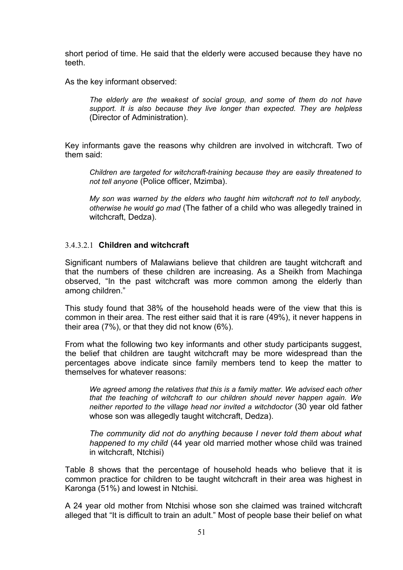short period of time. He said that the elderly were accused because they have no teeth.

As the key informant observed:

*The elderly are the weakest of social group, and some of them do not have support. It is also because they live longer than expected. They are helpless* (Director of Administration).

Key informants gave the reasons why children are involved in witchcraft. Two of them said:

*Children are targeted for witchcraft-training because they are easily threatened to not tell anyone* (Police officer, Mzimba).

*My son was warned by the elders who taught him witchcraft not to tell anybody, otherwise he would go mad* (The father of a child who was allegedly trained in witchcraft, Dedza).

## 3.4.3.2.1 **Children and witchcraft**

Significant numbers of Malawians believe that children are taught witchcraft and that the numbers of these children are increasing. As a Sheikh from Machinga observed, "In the past witchcraft was more common among the elderly than among children."

This study found that 38% of the household heads were of the view that this is common in their area. The rest either said that it is rare (49%), it never happens in their area (7%), or that they did not know (6%).

From what the following two key informants and other study participants suggest, the belief that children are taught witchcraft may be more widespread than the percentages above indicate since family members tend to keep the matter to themselves for whatever reasons:

*We agreed among the relatives that this is a family matter. We advised each other that the teaching of witchcraft to our children should never happen again. We neither reported to the village head nor invited a witchdoctor* (30 year old father whose son was allegedly taught witchcraft, Dedza).

*The community did not do anything because I never told them about what happened to my child* (44 year old married mother whose child was trained in witchcraft, Ntchisi)

Table 8 shows that the percentage of household heads who believe that it is common practice for children to be taught witchcraft in their area was highest in Karonga (51%) and lowest in Ntchisi.

A 24 year old mother from Ntchisi whose son she claimed was trained witchcraft alleged that "It is difficult to train an adult." Most of people base their belief on what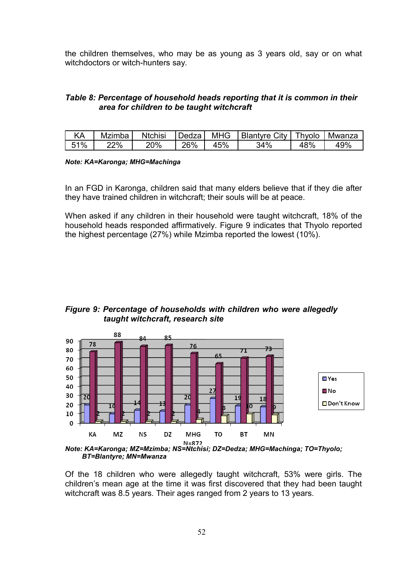the children themselves, who may be as young as 3 years old, say or on what witchdoctors or witch-hunters say.

# *Table 8: Percentage of household heads reporting that it is common in their area for children to be taught witchcraft*

|     | <b>Mzimba</b> | <b>Ntchisi</b> | Dedzal | MHG | Blantyre City   Thyolo |     | Mwanza |
|-----|---------------|----------------|--------|-----|------------------------|-----|--------|
| 51% | 22%           | 20%            | 26%    | 45% | 34%                    | 48% | 49%    |

#### *Note: KA=Karonga; MHG=Machinga*

In an FGD in Karonga, children said that many elders believe that if they die after they have trained children in witchcraft; their souls will be at peace.

When asked if any children in their household were taught witchcraft, 18% of the household heads responded affirmatively. Figure 9 indicates that Thyolo reported the highest percentage (27%) while Mzimba reported the lowest (10%).

## *Figure 9: Percentage of households with children who were allegedly taught witchcraft, research site*



*BT=Blantyre; MN=Mwanza*

Of the 18 children who were allegedly taught witchcraft, 53% were girls. The children's mean age at the time it was first discovered that they had been taught witchcraft was 8.5 years. Their ages ranged from 2 years to 13 years.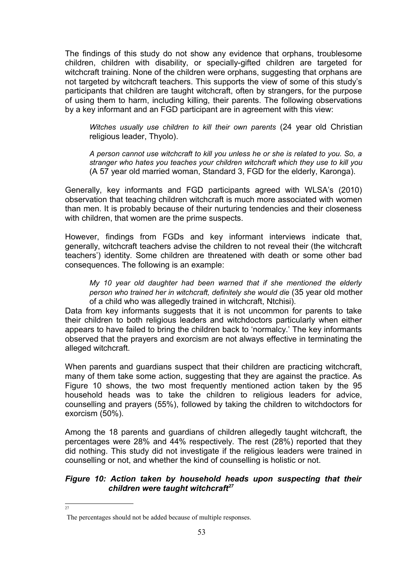The findings of this study do not show any evidence that orphans, troublesome children, children with disability, or specially-gifted children are targeted for witchcraft training. None of the children were orphans, suggesting that orphans are not targeted by witchcraft teachers. This supports the view of some of this study's participants that children are taught witchcraft, often by strangers, for the purpose of using them to harm, including killing, their parents. The following observations by a key informant and an FGD participant are in agreement with this view:

*Witches usually use children to kill their own parents* (24 year old Christian religious leader, Thyolo).

*A person cannot use witchcraft to kill you unless he or she is related to you. So, a stranger who hates you teaches your children witchcraft which they use to kill you* (A 57 year old married woman, Standard 3, FGD for the elderly, Karonga).

Generally, key informants and FGD participants agreed with WLSA's (2010) observation that teaching children witchcraft is much more associated with women than men. It is probably because of their nurturing tendencies and their closeness with children, that women are the prime suspects.

However, findings from FGDs and key informant interviews indicate that, generally, witchcraft teachers advise the children to not reveal their (the witchcraft teachers') identity. Some children are threatened with death or some other bad consequences. The following is an example:

*My 10 year old daughter had been warned that if she mentioned the elderly person who trained her in witchcraft, definitely she would die* (35 year old mother of a child who was allegedly trained in witchcraft, Ntchisi).

Data from key informants suggests that it is not uncommon for parents to take their children to both religious leaders and witchdoctors particularly when either appears to have failed to bring the children back to 'normalcy.' The key informants observed that the prayers and exorcism are not always effective in terminating the alleged witchcraft.

When parents and quardians suspect that their children are practicing witchcraft. many of them take some action, suggesting that they are against the practice. As Figure 10 shows, the two most frequently mentioned action taken by the 95 household heads was to take the children to religious leaders for advice, counselling and prayers (55%), followed by taking the children to witchdoctors for exorcism (50%).

Among the 18 parents and guardians of children allegedly taught witchcraft, the percentages were 28% and 44% respectively. The rest (28%) reported that they did nothing. This study did not investigate if the religious leaders were trained in counselling or not, and whether the kind of counselling is holistic or not.

## *Figure 10: Action taken by household heads upon suspecting that their children were taught witchcraft[27](#page-52-0)*

<span id="page-52-0"></span> $\overline{27}$ 

The percentages should not be added because of multiple responses.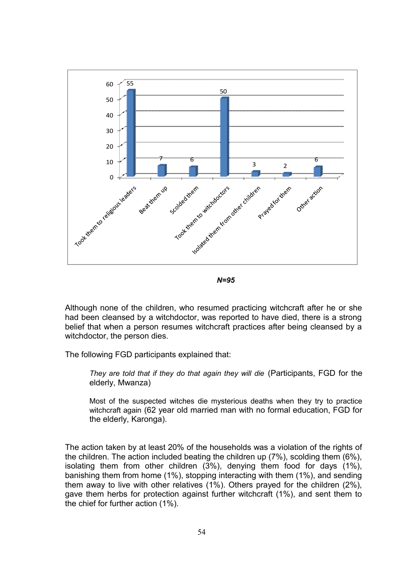

*N=95*

Although none of the children, who resumed practicing witchcraft after he or she had been cleansed by a witchdoctor, was reported to have died, there is a strong belief that when a person resumes witchcraft practices after being cleansed by a witchdoctor, the person dies.

The following FGD participants explained that:

*They are told that if they do that again they will die* (Participants, FGD for the elderly, Mwanza)

Most of the suspected witches die mysterious deaths when they try to practice witchcraft again (62 year old married man with no formal education, FGD for the elderly, Karonga).

The action taken by at least 20% of the households was a violation of the rights of the children. The action included beating the children up (7%), scolding them (6%), isolating them from other children (3%), denying them food for days (1%), banishing them from home (1%), stopping interacting with them (1%), and sending them away to live with other relatives (1%). Others prayed for the children (2%), gave them herbs for protection against further witchcraft (1%), and sent them to the chief for further action (1%).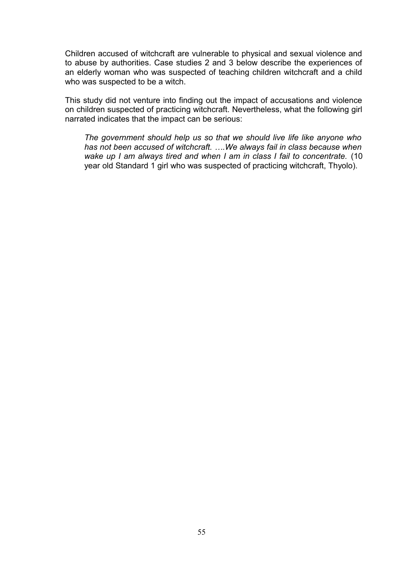Children accused of witchcraft are vulnerable to physical and sexual violence and to abuse by authorities. Case studies 2 and 3 below describe the experiences of an elderly woman who was suspected of teaching children witchcraft and a child who was suspected to be a witch.

This study did not venture into finding out the impact of accusations and violence on children suspected of practicing witchcraft. Nevertheless, what the following girl narrated indicates that the impact can be serious:

*The government should help us so that we should live life like anyone who has not been accused of witchcraft. ….We always fail in class because when wake up I am always tired and when I am in class I fail to concentrate.* (10 year old Standard 1 girl who was suspected of practicing witchcraft, Thyolo).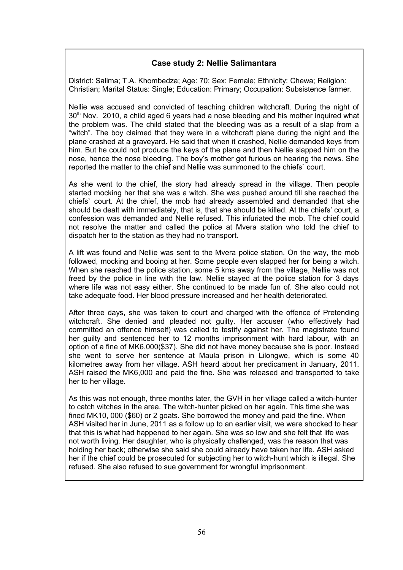# **Case study 2: Nellie Salimantara**

District: Salima; T.A. Khombedza; Age: 70; Sex: Female; Ethnicity: Chewa; Religion: Christian; Marital Status: Single; Education: Primary; Occupation: Subsistence farmer.

Nellie was accused and convicted of teaching children witchcraft. During the night of  $30<sup>th</sup>$  Nov. 2010, a child aged 6 years had a nose bleeding and his mother inquired what the problem was. The child stated that the bleeding was as a result of a slap from a "witch". The boy claimed that they were in a witchcraft plane during the night and the plane crashed at a graveyard. He said that when it crashed, Nellie demanded keys from him. But he could not produce the keys of the plane and then Nellie slapped him on the nose, hence the nose bleeding. The boy's mother got furious on hearing the news. She reported the matter to the chief and Nellie was summoned to the chiefs` court.

As she went to the chief, the story had already spread in the village. Then people started mocking her that she was a witch. She was pushed around till she reached the chiefs` court. At the chief, the mob had already assembled and demanded that she should be dealt with immediately, that is, that she should be killed. At the chiefs' court, a confession was demanded and Nellie refused. This infuriated the mob. The chief could not resolve the matter and called the police at Mvera station who told the chief to dispatch her to the station as they had no transport.

A lift was found and Nellie was sent to the Mvera police station. On the way, the mob followed, mocking and booing at her. Some people even slapped her for being a witch. When she reached the police station, some 5 kms away from the village, Nellie was not freed by the police in line with the law. Nellie stayed at the police station for 3 days where life was not easy either. She continued to be made fun of. She also could not take adequate food. Her blood pressure increased and her health deteriorated.

After three days, she was taken to court and charged with the offence of Pretending witchcraft. She denied and pleaded not guilty. Her accuser (who effectively had committed an offence himself) was called to testify against her. The magistrate found her guilty and sentenced her to 12 months imprisonment with hard labour, with an option of a fine of MK6,000(\$37). She did not have money because she is poor. Instead she went to serve her sentence at Maula prison in Lilongwe, which is some 40 kilometres away from her village. ASH heard about her predicament in January, 2011. ASH raised the MK6,000 and paid the fine. She was released and transported to take her to her village.

As this was not enough, three months later, the GVH in her village called a witch-hunter to catch witches in the area. The witch-hunter picked on her again. This time she was fined MK10, 000 (\$60) or 2 goats. She borrowed the money and paid the fine. When ASH visited her in June, 2011 as a follow up to an earlier visit, we were shocked to hear that this is what had happened to her again. She was so low and she felt that life was not worth living. Her daughter, who is physically challenged, was the reason that was holding her back; otherwise she said she could already have taken her life. ASH asked her if the chief could be prosecuted for subjecting her to witch-hunt which is illegal. She refused. She also refused to sue government for wrongful imprisonment.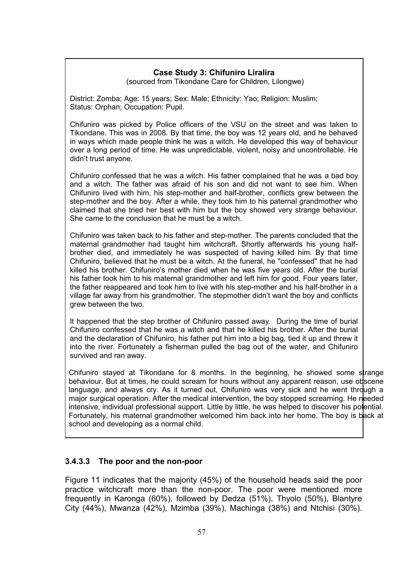# **Case Study 3: Chifuniro Liralira**

(sourced from Tikondane Care for Children, Lilongwe)

District: Zomba; Age: 15 years; Sex: Male; Ethnicity: Yao; Religion: Muslim; Status: Orphan; Occupation: Pupil.

Chifuniro was picked by Police officers of the VSU on the street and was taken to Tikondane. This was in 2008. By that time, the boy was 12 years old, and he behaved in ways which made people think he was a witch. He developed this way of behaviour over a long period of time. He was unpredictable, violent, noisy and uncontrollable. He didn't trust anyone.

Chifuniro confessed that he was a witch. His father complained that he was a bad boy and a witch. The father was afraid of his son and did not want to see him. When Chifuniro lived with him, his step-mother and half-brother, conflicts grew between the step-mother and the boy. After a while, they took him to his paternal grandmother who claimed that she tried her best with him but the boy showed very strange behaviour. She came to the conclusion that he must be a witch.

Chifuniro was taken back to his father and step-mother. The parents concluded that the maternal grandmother had taught him witchcraft. Shortly afterwards his young halfbrother died, and immediately he was suspected of having killed him. By that time Chifuniro, believed that he must be a witch. At the funeral, he "confessed" that he had killed his brother. Chifuniro's mother died when he was five years old. After the burial his father took him to his maternal grandmother and left him for good. Four years later, the father reappeared and took him to live with his step-mother and his half-brother in a village far away from his grandmother. The stepmother didn't want the boy and conflicts grew between the two.

It happened that the step brother of Chifuniro passed away. During the time of burial Chifuniro confessed that he was a witch and that he killed his brother. After the burial and the declaration of Chifuniro, his father put him into a big bag, tied it up and threw it into the river. Fortunately a fisherman pulled the bag out of the water, and Chifuniro survived and ran away.

Chifuniro stayed at Tikondane for 8 months. In the beginning, he showed some strange behaviour. But at times, he could scream for hours without any apparent reason, use obscene language, and always cry. As it turned out, Chifuniro was very sick and he went through a major surgical operation. After the medical intervention, the boy stopped screaming. He needed intensive, individual professional support. Little by little, he was helped to discover his potential. Fortunately, his maternal grandmother welcomed him back into her home. The boy is back at school and developing as a normal child.

# **3.4.3.3 The poor and the non-poor**

Figure 11 indicates that the majority (45%) of the household heads said the poor practice witchcraft more than the non-poor. The poor were mentioned more frequently in Karonga (60%), followed by Dedza (51%), Thyolo (50%), Blantyre City (44%), Mwanza (42%), Mzimba (39%), Machinga (38%) and Ntchisi (30%).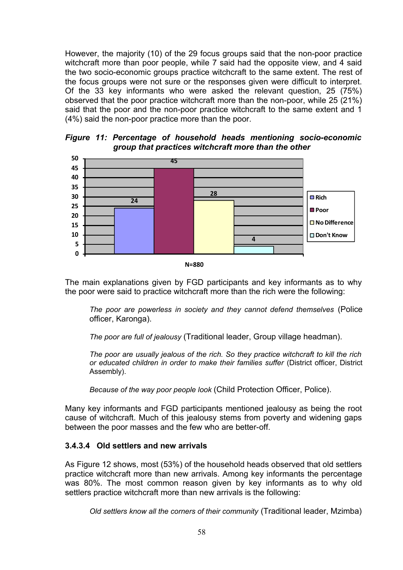However, the majority (10) of the 29 focus groups said that the non-poor practice witchcraft more than poor people, while 7 said had the opposite view, and 4 said the two socio-economic groups practice witchcraft to the same extent. The rest of the focus groups were not sure or the responses given were difficult to interpret. Of the 33 key informants who were asked the relevant question, 25 (75%) observed that the poor practice witchcraft more than the non-poor, while 25 (21%) said that the poor and the non-poor practice witchcraft to the same extent and 1 (4%) said the non-poor practice more than the poor.

*Figure 11: Percentage of household heads mentioning socio-economic group that practices witchcraft more than the other* 



The main explanations given by FGD participants and key informants as to why the poor were said to practice witchcraft more than the rich were the following:

*The poor are powerless in society and they cannot defend themselves* (Police officer, Karonga).

*The poor are full of jealousy* (Traditional leader, Group village headman).

*The poor are usually jealous of the rich. So they practice witchcraft to kill the rich or educated children in order to make their families suffer* (District officer, District Assembly).

*Because of the way poor people look* (Child Protection Officer, Police).

Many key informants and FGD participants mentioned jealousy as being the root cause of witchcraft. Much of this jealousy stems from poverty and widening gaps between the poor masses and the few who are better-off.

# **3.4.3.4 Old settlers and new arrivals**

As Figure 12 shows, most (53%) of the household heads observed that old settlers practice witchcraft more than new arrivals. Among key informants the percentage was 80%. The most common reason given by key informants as to why old settlers practice witchcraft more than new arrivals is the following:

*Old settlers know all the corners of their community* (Traditional leader, Mzimba)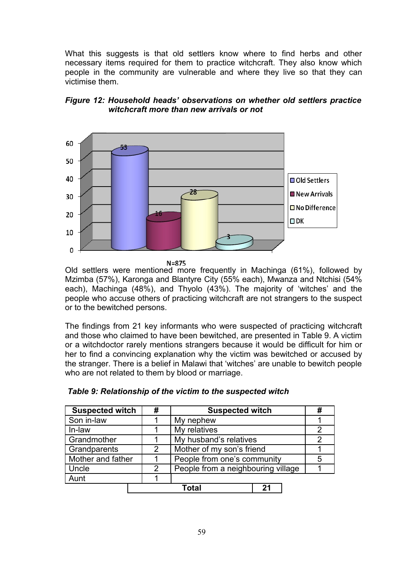What this suggests is that old settlers know where to find herbs and other necessary items required for them to practice witchcraft. They also know which people in the community are vulnerable and where they live so that they can victimise them.



# *Figure 12: Household heads' observations on whether old settlers practice witchcraft more than new arrivals or not*

 $N = 875$ 

Old settlers were mentioned more frequently in Machinga (61%), followed by Mzimba (57%), Karonga and Blantyre City (55% each), Mwanza and Ntchisi (54% each), Machinga (48%), and Thyolo (43%). The majority of 'witches' and the people who accuse others of practicing witchcraft are not strangers to the suspect or to the bewitched persons.

The findings from 21 key informants who were suspected of practicing witchcraft and those who claimed to have been bewitched, are presented in Table 9. A victim or a witchdoctor rarely mentions strangers because it would be difficult for him or her to find a convincing explanation why the victim was bewitched or accused by the stranger. There is a belief in Malawi that 'witches' are unable to bewitch people who are not related to them by blood or marriage.

| <b>Suspected witch</b> | #             | <b>Suspected witch</b>             | # |  |  |
|------------------------|---------------|------------------------------------|---|--|--|
| Son in-law             |               | My nephew                          |   |  |  |
| In-law                 |               | My relatives                       |   |  |  |
| Grandmother            |               | My husband's relatives             |   |  |  |
| Grandparents           | 2             | Mother of my son's friend          |   |  |  |
| Mother and father      |               | People from one's community        |   |  |  |
| Uncle                  | $\mathcal{P}$ | People from a neighbouring village |   |  |  |
| Aunt                   |               |                                    |   |  |  |
|                        |               | Total<br>21                        |   |  |  |

## *Table 9: Relationship of the victim to the suspected witch*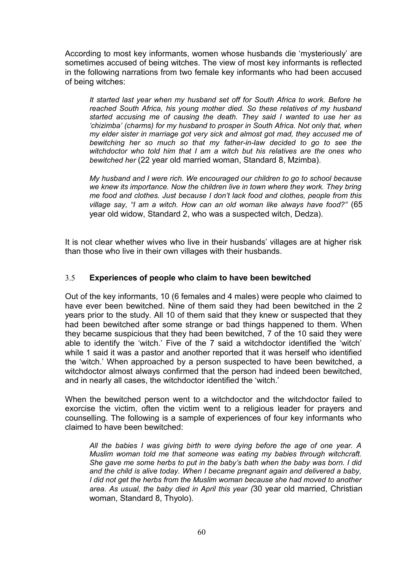According to most key informants, women whose husbands die 'mysteriously' are sometimes accused of being witches. The view of most key informants is reflected in the following narrations from two female key informants who had been accused of being witches:

*It started last year when my husband set off for South Africa to work. Before he reached South Africa, his young mother died. So these relatives of my husband started accusing me of causing the death. They said I wanted to use her as 'chizimba' (charms) for my husband to prosper in South Africa. Not only that, when my elder sister in marriage got very sick and almost got mad, they accused me of bewitching her so much so that my father-in-law decided to go to see the witchdoctor who told him that I am a witch but his relatives are the ones who bewitched her* (22 year old married woman, Standard 8, Mzimba)*.*

*My husband and I were rich. We encouraged our children to go to school because we knew its importance. Now the children live in town where they work. They bring me food and clothes. Just because I don't lack food and clothes, people from this village say, "I am a witch. How can an old woman like always have food?"* (65 year old widow, Standard 2, who was a suspected witch, Dedza).

It is not clear whether wives who live in their husbands' villages are at higher risk than those who live in their own villages with their husbands.

# 3.5 **Experiences of people who claim to have been bewitched**

Out of the key informants, 10 (6 females and 4 males) were people who claimed to have ever been bewitched. Nine of them said they had been bewitched in the 2 years prior to the study. All 10 of them said that they knew or suspected that they had been bewitched after some strange or bad things happened to them. When they became suspicious that they had been bewitched, 7 of the 10 said they were able to identify the 'witch.' Five of the 7 said a witchdoctor identified the 'witch' while 1 said it was a pastor and another reported that it was herself who identified the 'witch.' When approached by a person suspected to have been bewitched, a witchdoctor almost always confirmed that the person had indeed been bewitched, and in nearly all cases, the witchdoctor identified the 'witch.'

When the bewitched person went to a witchdoctor and the witchdoctor failed to exorcise the victim, often the victim went to a religious leader for prayers and counselling. The following is a sample of experiences of four key informants who claimed to have been bewitched:

*All the babies I was giving birth to were dying before the age of one year. A Muslim woman told me that someone was eating my babies through witchcraft. She gave me some herbs to put in the baby's bath when the baby was born. I did and the child is alive today. When I became pregnant again and delivered a baby, I did not get the herbs from the Muslim woman because she had moved to another area. As usual, the baby died in April this year (*30 year old married, Christian woman, Standard 8, Thyolo).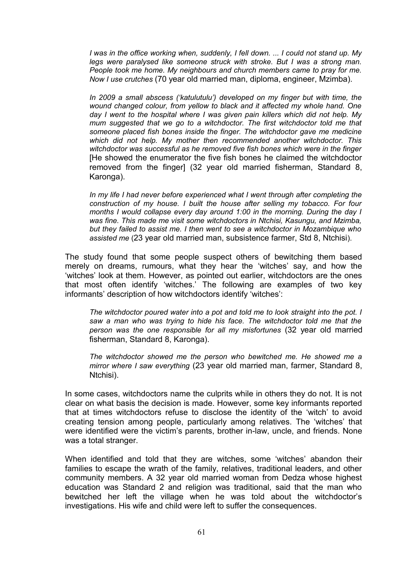*I was in the office working when, suddenly, I fell down. ... I could not stand up. My legs were paralysed like someone struck with stroke. But I was a strong man. People took me home. My neighbours and church members came to pray for me. Now I use crutches* (70 year old married man, diploma, engineer, Mzimba).

*In 2009 a small abscess ('katulutulu') developed on my finger but with time, the wound changed colour, from yellow to black and it affected my whole hand. One day I went to the hospital where I was given pain killers which did not help. My mum suggested that we go to a witchdoctor. The first witchdoctor told me that someone placed fish bones inside the finger. The witchdoctor gave me medicine which did not help. My mother then recommended another witchdoctor. This witchdoctor was successful as he removed five fish bones which were in the finger* [He showed the enumerator the five fish bones he claimed the witchdoctor removed from the finger] (32 year old married fisherman, Standard 8, Karonga).

*In my life I had never before experienced what I went through after completing the construction of my house. I built the house after selling my tobacco. For four months I would collapse every day around 1:00 in the morning. During the day I was fine. This made me visit some witchdoctors in Ntchisi, Kasungu, and Mzimba, but they failed to assist me. I then went to see a witchdoctor in Mozambique who assisted me* (23 year old married man, subsistence farmer, Std 8, Ntchisi).

The study found that some people suspect others of bewitching them based merely on dreams, rumours, what they hear the 'witches' say, and how the 'witches' look at them. However, as pointed out earlier, witchdoctors are the ones that most often identify 'witches.' The following are examples of two key informants' description of how witchdoctors identify 'witches':

*The witchdoctor poured water into a pot and told me to look straight into the pot. I saw a man who was trying to hide his face. The witchdoctor told me that the person was the one responsible for all my misfortunes* (32 year old married fisherman, Standard 8, Karonga).

*The witchdoctor showed me the person who bewitched me. He showed me a mirror where I saw everything* (23 year old married man, farmer, Standard 8, Ntchisi).

In some cases, witchdoctors name the culprits while in others they do not. It is not clear on what basis the decision is made. However, some key informants reported that at times witchdoctors refuse to disclose the identity of the 'witch' to avoid creating tension among people, particularly among relatives. The 'witches' that were identified were the victim's parents, brother in-law, uncle, and friends. None was a total stranger.

When identified and told that they are witches, some 'witches' abandon their families to escape the wrath of the family, relatives, traditional leaders, and other community members. A 32 year old married woman from Dedza whose highest education was Standard 2 and religion was traditional, said that the man who bewitched her left the village when he was told about the witchdoctor's investigations. His wife and child were left to suffer the consequences.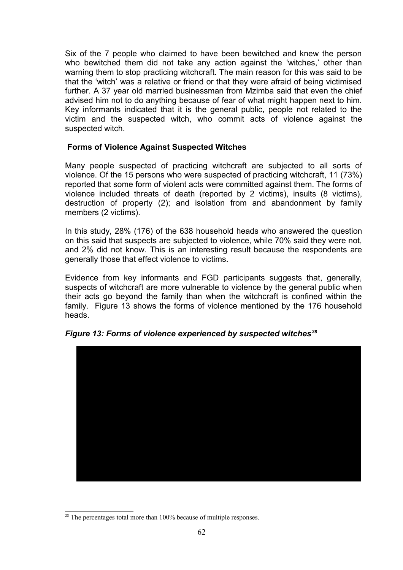Six of the 7 people who claimed to have been bewitched and knew the person who bewitched them did not take any action against the 'witches,' other than warning them to stop practicing witchcraft. The main reason for this was said to be that the 'witch' was a relative or friend or that they were afraid of being victimised further. A 37 year old married businessman from Mzimba said that even the chief advised him not to do anything because of fear of what might happen next to him. Key informants indicated that it is the general public, people not related to the victim and the suspected witch, who commit acts of violence against the suspected witch.

## **Forms of Violence Against Suspected Witches**

Many people suspected of practicing witchcraft are subjected to all sorts of violence. Of the 15 persons who were suspected of practicing witchcraft, 11 (73%) reported that some form of violent acts were committed against them. The forms of violence included threats of death (reported by 2 victims), insults (8 victims), destruction of property (2); and isolation from and abandonment by family members (2 victims).

In this study, 28% (176) of the 638 household heads who answered the question on this said that suspects are subjected to violence, while 70% said they were not, and 2% did not know. This is an interesting result because the respondents are generally those that effect violence to victims.

Evidence from key informants and FGD participants suggests that, generally, suspects of witchcraft are more vulnerable to violence by the general public when their acts go beyond the family than when the witchcraft is confined within the family. Figure 13 shows the forms of violence mentioned by the 176 household heads.



*Figure 13: Forms of violence experienced by suspected witches[28](#page-61-0)*

<span id="page-61-0"></span> $28$  The percentages total more than  $100\%$  because of multiple responses.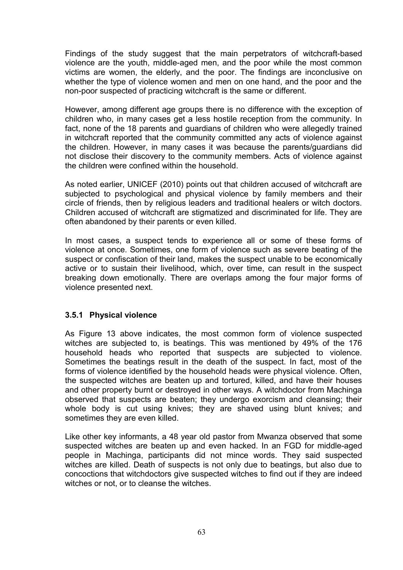Findings of the study suggest that the main perpetrators of witchcraft-based violence are the youth, middle-aged men, and the poor while the most common victims are women, the elderly, and the poor. The findings are inconclusive on whether the type of violence women and men on one hand, and the poor and the non-poor suspected of practicing witchcraft is the same or different.

However, among different age groups there is no difference with the exception of children who, in many cases get a less hostile reception from the community. In fact, none of the 18 parents and guardians of children who were allegedly trained in witchcraft reported that the community committed any acts of violence against the children. However, in many cases it was because the parents/guardians did not disclose their discovery to the community members. Acts of violence against the children were confined within the household.

As noted earlier, UNICEF (2010) points out that children accused of witchcraft are subjected to psychological and physical violence by family members and their circle of friends, then by religious leaders and traditional healers or witch doctors. Children accused of witchcraft are stigmatized and discriminated for life. They are often abandoned by their parents or even killed.

In most cases, a suspect tends to experience all or some of these forms of violence at once. Sometimes, one form of violence such as severe beating of the suspect or confiscation of their land, makes the suspect unable to be economically active or to sustain their livelihood, which, over time, can result in the suspect breaking down emotionally. There are overlaps among the four major forms of violence presented next.

## **3.5.1 Physical violence**

As Figure 13 above indicates, the most common form of violence suspected witches are subjected to, is beatings. This was mentioned by 49% of the 176 household heads who reported that suspects are subjected to violence. Sometimes the beatings result in the death of the suspect. In fact, most of the forms of violence identified by the household heads were physical violence. Often, the suspected witches are beaten up and tortured, killed, and have their houses and other property burnt or destroyed in other ways. A witchdoctor from Machinga observed that suspects are beaten; they undergo exorcism and cleansing; their whole body is cut using knives; they are shaved using blunt knives; and sometimes they are even killed.

Like other key informants, a 48 year old pastor from Mwanza observed that some suspected witches are beaten up and even hacked. In an FGD for middle-aged people in Machinga, participants did not mince words. They said suspected witches are killed. Death of suspects is not only due to beatings, but also due to concoctions that witchdoctors give suspected witches to find out if they are indeed witches or not, or to cleanse the witches.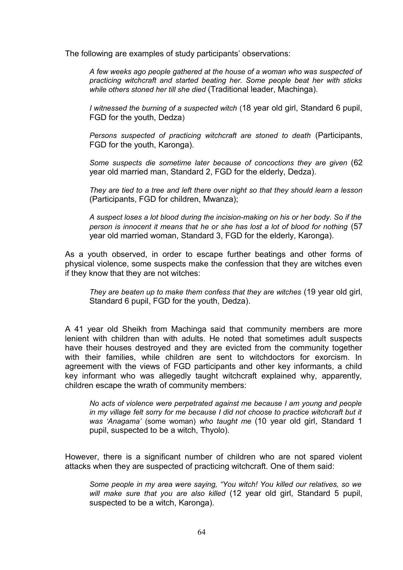The following are examples of study participants' observations:

*A few weeks ago people gathered at the house of a woman who was suspected of practicing witchcraft and started beating her. Some people beat her with sticks while others stoned her till she died* (Traditional leader, Machinga).

*I witnessed the burning of a suspected witch* (18 year old girl, Standard 6 pupil, FGD for the youth, Dedza)

*Persons suspected of practicing witchcraft are stoned to death* (Participants, FGD for the youth, Karonga).

*Some suspects die sometime later because of concoctions they are given* (62 year old married man, Standard 2, FGD for the elderly, Dedza).

*They are tied to a tree and left there over night so that they should learn a lesson* (Participants, FGD for children, Mwanza);

*A suspect loses a lot blood during the incision-making on his or her body. So if the person is innocent it means that he or she has lost a lot of blood for nothing* (57 year old married woman, Standard 3, FGD for the elderly, Karonga).

As a youth observed, in order to escape further beatings and other forms of physical violence, some suspects make the confession that they are witches even if they know that they are not witches:

*They are beaten up to make them confess that they are witches* (19 year old girl, Standard 6 pupil, FGD for the youth, Dedza).

A 41 year old Sheikh from Machinga said that community members are more lenient with children than with adults. He noted that sometimes adult suspects have their houses destroyed and they are evicted from the community together with their families, while children are sent to witchdoctors for exorcism. In agreement with the views of FGD participants and other key informants, a child key informant who was allegedly taught witchcraft explained why, apparently, children escape the wrath of community members:

*No acts of violence were perpetrated against me because I am young and people in my village felt sorry for me because I did not choose to practice witchcraft but it was 'Anagama'* (some woman) *who taught me* (10 year old girl, Standard 1 pupil, suspected to be a witch, Thyolo).

However, there is a significant number of children who are not spared violent attacks when they are suspected of practicing witchcraft. One of them said:

*Some people in my area were saying, "You witch! You killed our relatives, so we will make sure that you are also killed* (12 year old girl, Standard 5 pupil, suspected to be a witch, Karonga).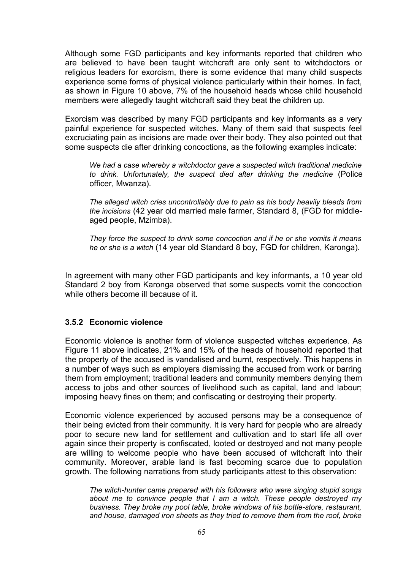Although some FGD participants and key informants reported that children who are believed to have been taught witchcraft are only sent to witchdoctors or religious leaders for exorcism, there is some evidence that many child suspects experience some forms of physical violence particularly within their homes. In fact, as shown in Figure 10 above, 7% of the household heads whose child household members were allegedly taught witchcraft said they beat the children up.

Exorcism was described by many FGD participants and key informants as a very painful experience for suspected witches. Many of them said that suspects feel excruciating pain as incisions are made over their body. They also pointed out that some suspects die after drinking concoctions, as the following examples indicate:

*We had a case whereby a witchdoctor gave a suspected witch traditional medicine to drink. Unfortunately, the suspect died after drinking the medicine* (Police officer, Mwanza).

*The alleged witch cries uncontrollably due to pain as his body heavily bleeds from the incisions* (42 year old married male farmer, Standard 8, (FGD for middleaged people, Mzimba).

*They force the suspect to drink some concoction and if he or she vomits it means he or she is a witch* (14 year old Standard 8 boy, FGD for children, Karonga).

In agreement with many other FGD participants and key informants, a 10 year old Standard 2 boy from Karonga observed that some suspects vomit the concoction while others become ill because of it.

## **3.5.2 Economic violence**

Economic violence is another form of violence suspected witches experience. As Figure 11 above indicates, 21% and 15% of the heads of household reported that the property of the accused is vandalised and burnt, respectively. This happens in a number of ways such as employers dismissing the accused from work or barring them from employment; traditional leaders and community members denying them access to jobs and other sources of livelihood such as capital, land and labour; imposing heavy fines on them; and confiscating or destroying their property.

Economic violence experienced by accused persons may be a consequence of their being evicted from their community. It is very hard for people who are already poor to secure new land for settlement and cultivation and to start life all over again since their property is confiscated, looted or destroyed and not many people are willing to welcome people who have been accused of witchcraft into their community. Moreover, arable land is fast becoming scarce due to population growth. The following narrations from study participants attest to this observation:

*The witch-hunter came prepared with his followers who were singing stupid songs about me to convince people that I am a witch. These people destroyed my business. They broke my pool table, broke windows of his bottle-store, restaurant, and house, damaged iron sheets as they tried to remove them from the roof, broke*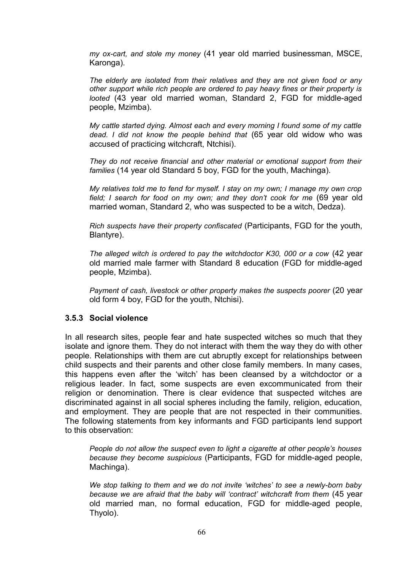*my ox-cart, and stole my money* (41 year old married businessman, MSCE, Karonga).

*The elderly are isolated from their relatives and they are not given food or any other support while rich people are ordered to pay heavy fines or their property is looted* (43 year old married woman, Standard 2, FGD for middle-aged people, Mzimba).

*My cattle started dying. Almost each and every morning I found some of my cattle dead. I did not know the people behind that* (65 year old widow who was accused of practicing witchcraft, Ntchisi).

*They do not receive financial and other material or emotional support from their families* (14 year old Standard 5 boy, FGD for the youth, Machinga).

*My relatives told me to fend for myself. I stay on my own; I manage my own crop field; I search for food on my own; and they don't cook for me* (69 year old married woman, Standard 2, who was suspected to be a witch, Dedza).

*Rich suspects have their property confiscated* (Participants, FGD for the youth, Blantyre).

*The alleged witch is ordered to pay the witchdoctor K30, 000 or a cow* (42 year old married male farmer with Standard 8 education (FGD for middle-aged people, Mzimba).

*Payment of cash, livestock or other property makes the suspects poorer (20 year* old form 4 boy, FGD for the youth, Ntchisi).

#### **3.5.3 Social violence**

In all research sites, people fear and hate suspected witches so much that they isolate and ignore them. They do not interact with them the way they do with other people. Relationships with them are cut abruptly except for relationships between child suspects and their parents and other close family members. In many cases, this happens even after the 'witch' has been cleansed by a witchdoctor or a religious leader. In fact, some suspects are even excommunicated from their religion or denomination. There is clear evidence that suspected witches are discriminated against in all social spheres including the family, religion, education, and employment. They are people that are not respected in their communities. The following statements from key informants and FGD participants lend support to this observation:

*People do not allow the suspect even to light a cigarette at other people's houses because they become suspicious* (Participants, FGD for middle-aged people, Machinga).

*We stop talking to them and we do not invite 'witches' to see a newly-born baby because we are afraid that the baby will 'contract' witchcraft from them* (45 year old married man, no formal education, FGD for middle-aged people, Thyolo).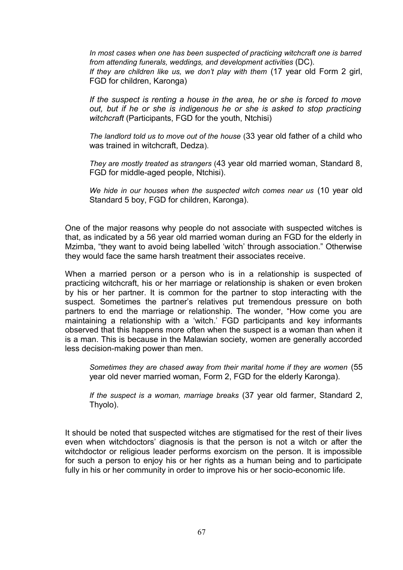*In most cases when one has been suspected of practicing witchcraft one is barred from attending funerals, weddings, and development activities* (DC). *If they are children like us, we don't play with them* (17 year old Form 2 girl, FGD for children, Karonga)

*If the suspect is renting a house in the area, he or she is forced to move out, but if he or she is indigenous he or she is asked to stop practicing witchcraft* (Participants, FGD for the youth, Ntchisi)

*The landlord told us to move out of the house* (33 year old father of a child who was trained in witchcraft, Dedza).

*They are mostly treated as strangers* (43 year old married woman, Standard 8, FGD for middle-aged people, Ntchisi).

*We hide in our houses when the suspected witch comes near us* (10 year old Standard 5 boy, FGD for children, Karonga).

One of the major reasons why people do not associate with suspected witches is that, as indicated by a 56 year old married woman during an FGD for the elderly in Mzimba, "they want to avoid being labelled 'witch' through association." Otherwise they would face the same harsh treatment their associates receive.

When a married person or a person who is in a relationship is suspected of practicing witchcraft, his or her marriage or relationship is shaken or even broken by his or her partner. It is common for the partner to stop interacting with the suspect. Sometimes the partner's relatives put tremendous pressure on both partners to end the marriage or relationship. The wonder, "How come you are maintaining a relationship with a 'witch.' FGD participants and key informants observed that this happens more often when the suspect is a woman than when it is a man. This is because in the Malawian society, women are generally accorded less decision-making power than men.

*Sometimes they are chased away from their marital home if they are women* (55 year old never married woman, Form 2, FGD for the elderly Karonga).

*If the suspect is a woman, marriage breaks* (37 year old farmer, Standard 2, Thyolo).

It should be noted that suspected witches are stigmatised for the rest of their lives even when witchdoctors' diagnosis is that the person is not a witch or after the witchdoctor or religious leader performs exorcism on the person. It is impossible for such a person to enjoy his or her rights as a human being and to participate fully in his or her community in order to improve his or her socio-economic life.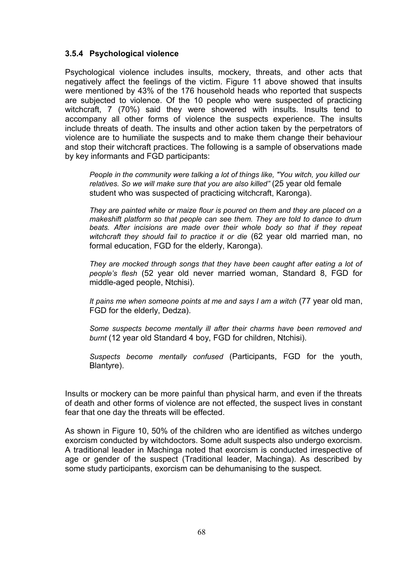# **3.5.4 Psychological violence**

Psychological violence includes insults, mockery, threats, and other acts that negatively affect the feelings of the victim. Figure 11 above showed that insults were mentioned by 43% of the 176 household heads who reported that suspects are subjected to violence. Of the 10 people who were suspected of practicing witchcraft, 7 (70%) said they were showered with insults. Insults tend to accompany all other forms of violence the suspects experience. The insults include threats of death. The insults and other action taken by the perpetrators of violence are to humiliate the suspects and to make them change their behaviour and stop their witchcraft practices. The following is a sample of observations made by key informants and FGD participants:

*People in the community were talking a lot of things like, "You witch, you killed our relatives. So we will make sure that you are also killed"* (25 year old female student who was suspected of practicing witchcraft, Karonga).

*They are painted white or maize flour is poured on them and they are placed on a makeshift platform so that people can see them. They are told to dance to drum beats. After incisions are made over their whole body so that if they repeat witchcraft they should fail to practice it or die* (62 year old married man, no formal education, FGD for the elderly, Karonga).

*They are mocked through songs that they have been caught after eating a lot of people's flesh* (52 year old never married woman, Standard 8, FGD for middle-aged people, Ntchisi).

*It pains me when someone points at me and says I am a witch* (77 year old man, FGD for the elderly, Dedza).

*Some suspects become mentally ill after their charms have been removed and burnt* (12 year old Standard 4 boy, FGD for children, Ntchisi).

*Suspects become mentally confused* (Participants, FGD for the youth, Blantyre).

Insults or mockery can be more painful than physical harm, and even if the threats of death and other forms of violence are not effected, the suspect lives in constant fear that one day the threats will be effected.

As shown in Figure 10, 50% of the children who are identified as witches undergo exorcism conducted by witchdoctors. Some adult suspects also undergo exorcism. A traditional leader in Machinga noted that exorcism is conducted irrespective of age or gender of the suspect (Traditional leader, Machinga). As described by some study participants, exorcism can be dehumanising to the suspect.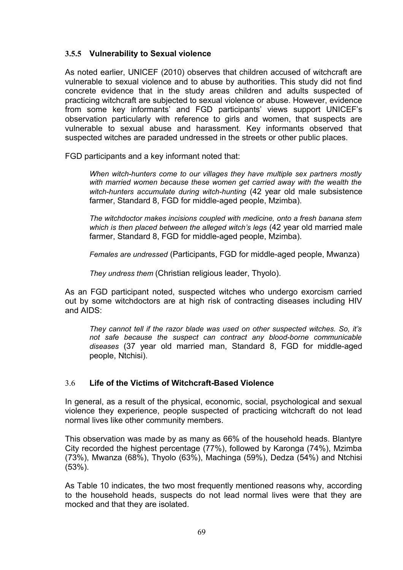# **3.5.5 Vulnerability to Sexual violence**

As noted earlier, UNICEF (2010) observes that children accused of witchcraft are vulnerable to sexual violence and to abuse by authorities. This study did not find concrete evidence that in the study areas children and adults suspected of practicing witchcraft are subjected to sexual violence or abuse. However, evidence from some key informants' and FGD participants' views support UNICEF's observation particularly with reference to girls and women, that suspects are vulnerable to sexual abuse and harassment. Key informants observed that suspected witches are paraded undressed in the streets or other public places.

FGD participants and a key informant noted that:

*When witch-hunters come to our villages they have multiple sex partners mostly with married women because these women get carried away with the wealth the witch-hunters accumulate during witch-hunting* (42 year old male subsistence farmer, Standard 8, FGD for middle-aged people, Mzimba).

*The witchdoctor makes incisions coupled with medicine, onto a fresh banana stem which is then placed between the alleged witch's legs* (42 year old married male farmer, Standard 8, FGD for middle-aged people, Mzimba).

*Females are undressed* (Participants, FGD for middle-aged people, Mwanza)

*They undress them* (Christian religious leader, Thyolo).

As an FGD participant noted, suspected witches who undergo exorcism carried out by some witchdoctors are at high risk of contracting diseases including HIV and AIDS:

*They cannot tell if the razor blade was used on other suspected witches. So, it's not safe because the suspect can contract any blood-borne communicable diseases* (37 year old married man, Standard 8, FGD for middle-aged people, Ntchisi).

## 3.6 **Life of the Victims of Witchcraft-Based Violence**

In general, as a result of the physical, economic, social, psychological and sexual violence they experience, people suspected of practicing witchcraft do not lead normal lives like other community members.

This observation was made by as many as 66% of the household heads. Blantyre City recorded the highest percentage (77%), followed by Karonga (74%), Mzimba (73%), Mwanza (68%), Thyolo (63%), Machinga (59%), Dedza (54%) and Ntchisi (53%).

As Table 10 indicates, the two most frequently mentioned reasons why, according to the household heads, suspects do not lead normal lives were that they are mocked and that they are isolated.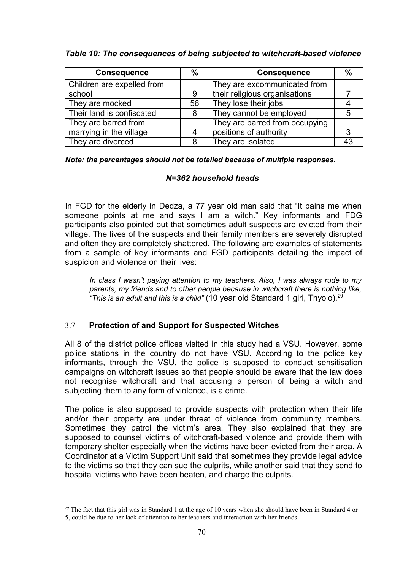# *Table 10: The consequences of being subjected to witchcraft-based violence*

| <b>Consequence</b>         | $\%$ | <b>Consequence</b>             | $\frac{0}{0}$ |
|----------------------------|------|--------------------------------|---------------|
| Children are expelled from |      | They are excommunicated from   |               |
| school                     | 9    | their religious organisations  |               |
| They are mocked            | 56   | They lose their jobs           |               |
| Their land is confiscated  | 8    | They cannot be employed        | 5             |
| They are barred from       |      | They are barred from occupying |               |
| marrying in the village    | 4    | positions of authority         | 3             |
| They are divorced          | 8    | They are isolated              |               |

*Note: the percentages should not be totalled because of multiple responses.*

# *N=362 household heads*

In FGD for the elderly in Dedza, a 77 year old man said that "It pains me when someone points at me and says I am a witch." Key informants and FDG participants also pointed out that sometimes adult suspects are evicted from their village. The lives of the suspects and their family members are severely disrupted and often they are completely shattered. The following are examples of statements from a sample of key informants and FGD participants detailing the impact of suspicion and violence on their lives:

*In class I wasn't paying attention to my teachers. Also, I was always rude to my parents, my friends and to other people because in witchcraft there is nothing like, "This is an adult and this is a child"* (10 year old Standard 1 girl, Thyolo).<sup>[29](#page-69-0)</sup>

# 3.7 **Protection of and Support for Suspected Witches**

All 8 of the district police offices visited in this study had a VSU. However, some police stations in the country do not have VSU. According to the police key informants, through the VSU, the police is supposed to conduct sensitisation campaigns on witchcraft issues so that people should be aware that the law does not recognise witchcraft and that accusing a person of being a witch and subjecting them to any form of violence, is a crime.

The police is also supposed to provide suspects with protection when their life and/or their property are under threat of violence from community members. Sometimes they patrol the victim's area. They also explained that they are supposed to counsel victims of witchcraft-based violence and provide them with temporary shelter especially when the victims have been evicted from their area. A Coordinator at a Victim Support Unit said that sometimes they provide legal advice to the victims so that they can sue the culprits, while another said that they send to hospital victims who have been beaten, and charge the culprits.

<span id="page-69-0"></span><sup>&</sup>lt;sup>29</sup> The fact that this girl was in Standard 1 at the age of 10 years when she should have been in Standard 4 or

<sup>5,</sup> could be due to her lack of attention to her teachers and interaction with her friends.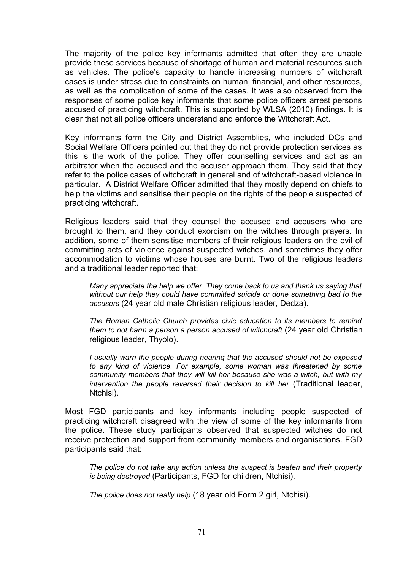The majority of the police key informants admitted that often they are unable provide these services because of shortage of human and material resources such as vehicles. The police's capacity to handle increasing numbers of witchcraft cases is under stress due to constraints on human, financial, and other resources, as well as the complication of some of the cases. It was also observed from the responses of some police key informants that some police officers arrest persons accused of practicing witchcraft. This is supported by WLSA (2010) findings. It is clear that not all police officers understand and enforce the Witchcraft Act.

Key informants form the City and District Assemblies, who included DCs and Social Welfare Officers pointed out that they do not provide protection services as this is the work of the police. They offer counselling services and act as an arbitrator when the accused and the accuser approach them. They said that they refer to the police cases of witchcraft in general and of witchcraft-based violence in particular. A District Welfare Officer admitted that they mostly depend on chiefs to help the victims and sensitise their people on the rights of the people suspected of practicing witchcraft.

Religious leaders said that they counsel the accused and accusers who are brought to them, and they conduct exorcism on the witches through prayers. In addition, some of them sensitise members of their religious leaders on the evil of committing acts of violence against suspected witches, and sometimes they offer accommodation to victims whose houses are burnt. Two of the religious leaders and a traditional leader reported that:

*Many appreciate the help we offer. They come back to us and thank us saying that without our help they could have committed suicide or done something bad to the accusers* (24 year old male Christian religious leader, Dedza).

*The Roman Catholic Church provides civic education to its members to remind them to not harm a person a person accused of witchcraft* (24 year old Christian religious leader, Thyolo).

*I usually warn the people during hearing that the accused should not be exposed to any kind of violence. For example, some woman was threatened by some community members that they will kill her because she was a witch, but with my intervention the people reversed their decision to kill her* (Traditional leader, Ntchisi).

Most FGD participants and key informants including people suspected of practicing witchcraft disagreed with the view of some of the key informants from the police. These study participants observed that suspected witches do not receive protection and support from community members and organisations. FGD participants said that:

*The police do not take any action unless the suspect is beaten and their property is being destroyed* (Participants, FGD for children, Ntchisi).

*The police does not really help* (18 year old Form 2 girl, Ntchisi).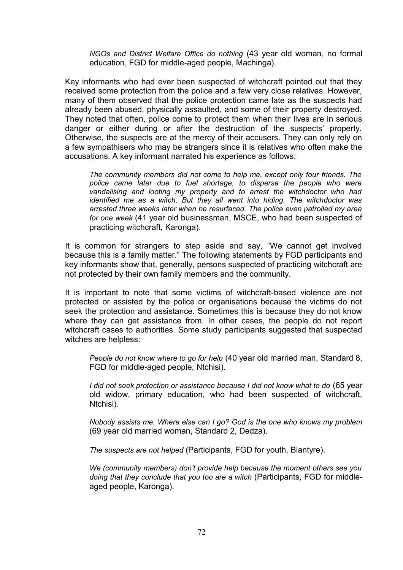*NGOs and District Welfare Office do nothing* (43 year old woman, no formal education, FGD for middle-aged people, Machinga).

Key informants who had ever been suspected of witchcraft pointed out that they received some protection from the police and a few very close relatives. However, many of them observed that the police protection came late as the suspects had already been abused, physically assaulted, and some of their property destroyed. They noted that often, police come to protect them when their lives are in serious danger or either during or after the destruction of the suspects' property. Otherwise, the suspects are at the mercy of their accusers. They can only rely on a few sympathisers who may be strangers since it is relatives who often make the accusations. A key informant narrated his experience as follows:

*The community members did not come to help me, except only four friends. The police came later due to fuel shortage, to disperse the people who were vandalising and looting my property and to arrest the witchdoctor who had identified me as a witch. But they all went into hiding. The witchdoctor was arrested three weeks later when he resurfaced. The police even patrolled my area for one week* (41 year old businessman, MSCE, who had been suspected of practicing witchcraft, Karonga)*.* 

It is common for strangers to step aside and say, "We cannot get involved because this is a family matter." The following statements by FGD participants and key informants show that, generally, persons suspected of practicing witchcraft are not protected by their own family members and the community.

It is important to note that some victims of witchcraft-based violence are not protected or assisted by the police or organisations because the victims do not seek the protection and assistance. Sometimes this is because they do not know where they can get assistance from. In other cases, the people do not report witchcraft cases to authorities. Some study participants suggested that suspected witches are helpless:

*People do not know where to go for help* (40 year old married man, Standard 8, FGD for middle-aged people, Ntchisi).

*I did not seek protection or assistance because I did not know what to do* (65 year old widow, primary education, who had been suspected of witchcraft, Ntchisi).

*Nobody assists me. Where else can I go? God is the one who knows my problem* (69 year old married woman, Standard 2, Dedza).

*The suspects are not helped* (Participants, FGD for youth, Blantyre).

*We (community members) don't provide help because the moment others see you doing that they conclude that you too are a witch* (Participants, FGD for middleaged people, Karonga).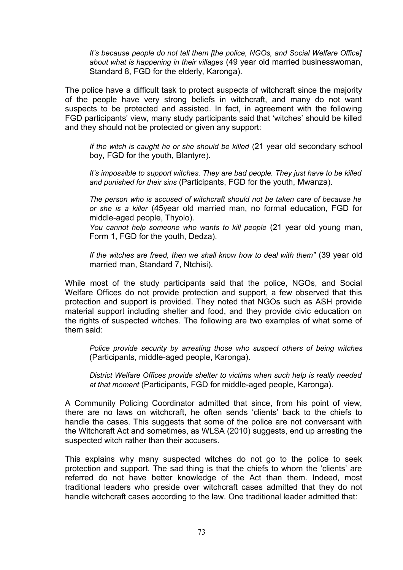*It's because people do not tell them [the police, NGOs, and Social Welfare Office] about what is happening in their villages* (49 year old married businesswoman, Standard 8, FGD for the elderly, Karonga).

The police have a difficult task to protect suspects of witchcraft since the majority of the people have very strong beliefs in witchcraft, and many do not want suspects to be protected and assisted. In fact, in agreement with the following FGD participants' view, many study participants said that 'witches' should be killed and they should not be protected or given any support:

*If the witch is caught he or she should be killed* (21 year old secondary school boy, FGD for the youth, Blantyre).

*It's impossible to support witches. They are bad people. They just have to be killed and punished for their sins* (Participants, FGD for the youth, Mwanza).

*The person who is accused of witchcraft should not be taken care of because he or she is a killer* (45year old married man, no formal education, FGD for middle-aged people, Thyolo).

*You cannot help someone who wants to kill people* (21 year old young man, Form 1, FGD for the youth, Dedza).

*If the witches are freed, then we shall know how to deal with them"* (39 year old married man, Standard 7, Ntchisi).

While most of the study participants said that the police, NGOs, and Social Welfare Offices do not provide protection and support, a few observed that this protection and support is provided. They noted that NGOs such as ASH provide material support including shelter and food, and they provide civic education on the rights of suspected witches. The following are two examples of what some of them said:

*Police provide security by arresting those who suspect others of being witches* (Participants, middle-aged people, Karonga).

*District Welfare Offices provide shelter to victims when such help is really needed at that moment* (Participants, FGD for middle-aged people, Karonga).

A Community Policing Coordinator admitted that since, from his point of view, there are no laws on witchcraft, he often sends 'clients' back to the chiefs to handle the cases. This suggests that some of the police are not conversant with the Witchcraft Act and sometimes, as WLSA (2010) suggests, end up arresting the suspected witch rather than their accusers.

This explains why many suspected witches do not go to the police to seek protection and support. The sad thing is that the chiefs to whom the 'clients' are referred do not have better knowledge of the Act than them. Indeed, most traditional leaders who preside over witchcraft cases admitted that they do not handle witchcraft cases according to the law. One traditional leader admitted that: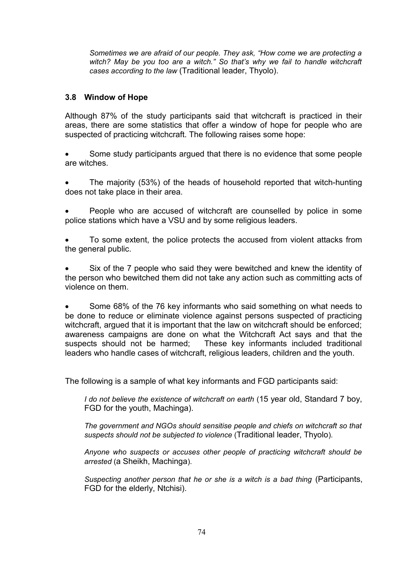*Sometimes we are afraid of our people. They ask, "How come we are protecting a witch? May be you too are a witch." So that's why we fail to handle witchcraft cases according to the law* (Traditional leader, Thyolo).

# **3.8 Window of Hope**

Although 87% of the study participants said that witchcraft is practiced in their areas, there are some statistics that offer a window of hope for people who are suspected of practicing witchcraft. The following raises some hope:

 Some study participants argued that there is no evidence that some people are witches.

- The majority (53%) of the heads of household reported that witch-hunting does not take place in their area.
- People who are accused of witchcraft are counselled by police in some police stations which have a VSU and by some religious leaders.
- To some extent, the police protects the accused from violent attacks from the general public.

 Six of the 7 people who said they were bewitched and knew the identity of the person who bewitched them did not take any action such as committing acts of violence on them.

 Some 68% of the 76 key informants who said something on what needs to be done to reduce or eliminate violence against persons suspected of practicing witchcraft, argued that it is important that the law on witchcraft should be enforced; awareness campaigns are done on what the Witchcraft Act says and that the suspects should not be harmed; These key informants included traditional leaders who handle cases of witchcraft, religious leaders, children and the youth.

The following is a sample of what key informants and FGD participants said:

*I do not believe the existence of witchcraft on earth* (15 year old, Standard 7 boy, FGD for the youth, Machinga).

*The government and NGOs should sensitise people and chiefs on witchcraft so that suspects should not be subjected to violence* (Traditional leader, Thyolo).

*Anyone who suspects or accuses other people of practicing witchcraft should be arrested* (a Sheikh, Machinga).

*Suspecting another person that he or she is a witch is a bad thing* (Participants, FGD for the elderly, Ntchisi).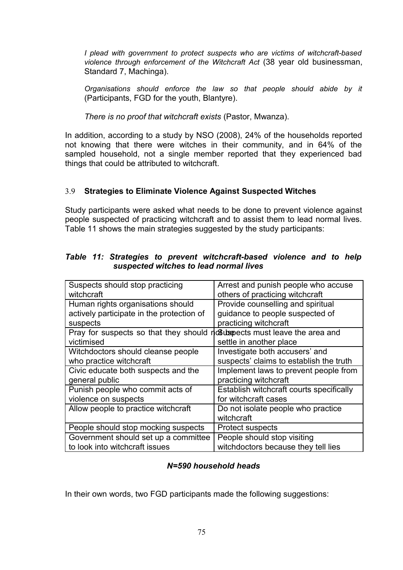*I plead with government to protect suspects who are victims of witchcraft-based violence through enforcement of the Witchcraft Act* (38 year old businessman, Standard 7, Machinga).

*Organisations should enforce the law so that people should abide by it* (Participants, FGD for the youth, Blantyre).

*There is no proof that witchcraft exists* (Pastor, Mwanza).

In addition, according to a study by NSO (2008), 24% of the households reported not knowing that there were witches in their community, and in 64% of the sampled household, not a single member reported that they experienced bad things that could be attributed to witchcraft.

# 3.9 **Strategies to Eliminate Violence Against Suspected Witches**

Study participants were asked what needs to be done to prevent violence against people suspected of practicing witchcraft and to assist them to lead normal lives. Table 11 shows the main strategies suggested by the study participants:

# *Table 11: Strategies to prevent witchcraft-based violence and to help suspected witches to lead normal lives*

| Suspects should stop practicing                                       | Arrest and punish people who accuse      |
|-----------------------------------------------------------------------|------------------------------------------|
| witchcraft                                                            | others of practicing witchcraft          |
| Human rights organisations should                                     | Provide counselling and spiritual        |
| actively participate in the protection of                             | guidance to people suspected of          |
| suspects                                                              | practicing witchcraft                    |
| Pray for suspects so that they should not use must leave the area and |                                          |
| victimised                                                            | settle in another place                  |
| Witchdoctors should cleanse people                                    | Investigate both accusers' and           |
| who practice witchcraft                                               | suspects' claims to establish the truth  |
| Civic educate both suspects and the                                   | Implement laws to prevent people from    |
| general public                                                        | practicing witchcraft                    |
| Punish people who commit acts of                                      | Establish witchcraft courts specifically |
| violence on suspects                                                  | for witchcraft cases                     |
| Allow people to practice witchcraft                                   | Do not isolate people who practice       |
|                                                                       | witchcraft                               |
| People should stop mocking suspects                                   | <b>Protect suspects</b>                  |
| Government should set up a committee                                  | People should stop visiting              |
| to look into witchcraft issues                                        | witchdoctors because they tell lies      |

## *N=590 household heads*

In their own words, two FGD participants made the following suggestions: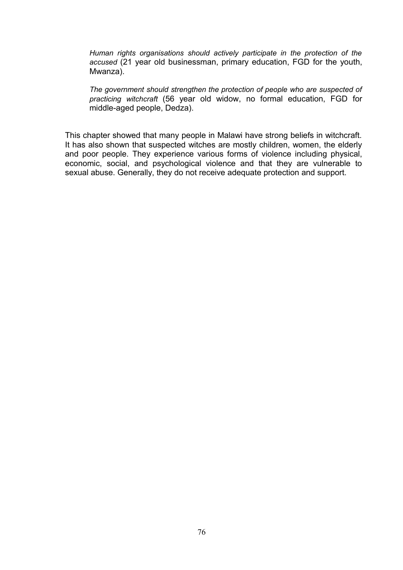*Human rights organisations should actively participate in the protection of the accused* (21 year old businessman, primary education, FGD for the youth, Mwanza).

*The government should strengthen the protection of people who are suspected of practicing witchcraft* (56 year old widow, no formal education, FGD for middle-aged people, Dedza).

This chapter showed that many people in Malawi have strong beliefs in witchcraft. It has also shown that suspected witches are mostly children, women, the elderly and poor people. They experience various forms of violence including physical, economic, social, and psychological violence and that they are vulnerable to sexual abuse. Generally, they do not receive adequate protection and support.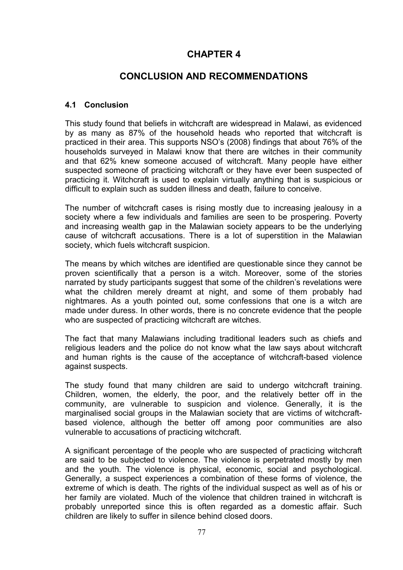# **CHAPTER 4**

# **CONCLUSION AND RECOMMENDATIONS**

# **4.1 Conclusion**

This study found that beliefs in witchcraft are widespread in Malawi, as evidenced by as many as 87% of the household heads who reported that witchcraft is practiced in their area. This supports NSO's (2008) findings that about 76% of the households surveyed in Malawi know that there are witches in their community and that 62% knew someone accused of witchcraft. Many people have either suspected someone of practicing witchcraft or they have ever been suspected of practicing it. Witchcraft is used to explain virtually anything that is suspicious or difficult to explain such as sudden illness and death, failure to conceive.

The number of witchcraft cases is rising mostly due to increasing jealousy in a society where a few individuals and families are seen to be prospering. Poverty and increasing wealth gap in the Malawian society appears to be the underlying cause of witchcraft accusations. There is a lot of superstition in the Malawian society, which fuels witchcraft suspicion.

The means by which witches are identified are questionable since they cannot be proven scientifically that a person is a witch. Moreover, some of the stories narrated by study participants suggest that some of the children's revelations were what the children merely dreamt at night, and some of them probably had nightmares. As a youth pointed out, some confessions that one is a witch are made under duress. In other words, there is no concrete evidence that the people who are suspected of practicing witchcraft are witches.

The fact that many Malawians including traditional leaders such as chiefs and religious leaders and the police do not know what the law says about witchcraft and human rights is the cause of the acceptance of witchcraft-based violence against suspects.

The study found that many children are said to undergo witchcraft training. Children, women, the elderly, the poor, and the relatively better off in the community, are vulnerable to suspicion and violence. Generally, it is the marginalised social groups in the Malawian society that are victims of witchcraftbased violence, although the better off among poor communities are also vulnerable to accusations of practicing witchcraft.

A significant percentage of the people who are suspected of practicing witchcraft are said to be subjected to violence. The violence is perpetrated mostly by men and the youth. The violence is physical, economic, social and psychological. Generally, a suspect experiences a combination of these forms of violence, the extreme of which is death. The rights of the individual suspect as well as of his or her family are violated. Much of the violence that children trained in witchcraft is probably unreported since this is often regarded as a domestic affair. Such children are likely to suffer in silence behind closed doors.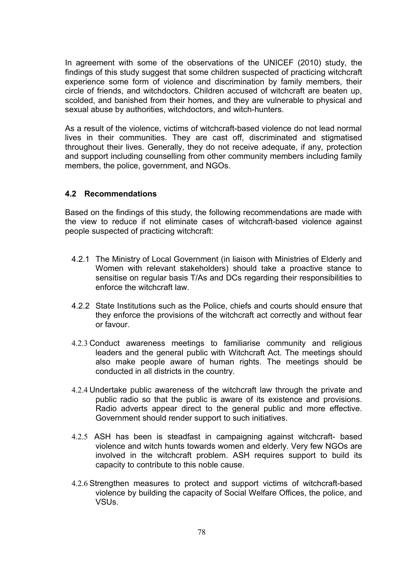In agreement with some of the observations of the UNICEF (2010) study, the findings of this study suggest that some children suspected of practicing witchcraft experience some form of violence and discrimination by family members, their circle of friends, and witchdoctors. Children accused of witchcraft are beaten up, scolded, and banished from their homes, and they are vulnerable to physical and sexual abuse by authorities, witchdoctors, and witch-hunters.

As a result of the violence, victims of witchcraft-based violence do not lead normal lives in their communities. They are cast off, discriminated and stigmatised throughout their lives. Generally, they do not receive adequate, if any, protection and support including counselling from other community members including family members, the police, government, and NGOs.

# **4.2 Recommendations**

Based on the findings of this study, the following recommendations are made with the view to reduce if not eliminate cases of witchcraft-based violence against people suspected of practicing witchcraft:

- 4.2.1 The Ministry of Local Government (in liaison with Ministries of Elderly and Women with relevant stakeholders) should take a proactive stance to sensitise on regular basis T/As and DCs regarding their responsibilities to enforce the witchcraft law.
- 4.2.2 State Institutions such as the Police, chiefs and courts should ensure that they enforce the provisions of the witchcraft act correctly and without fear or favour.
- 4.2.3 Conduct awareness meetings to familiarise community and religious leaders and the general public with Witchcraft Act. The meetings should also make people aware of human rights. The meetings should be conducted in all districts in the country.
- 4.2.4 Undertake public awareness of the witchcraft law through the private and public radio so that the public is aware of its existence and provisions. Radio adverts appear direct to the general public and more effective. Government should render support to such initiatives.
- 4.2.5 ASH has been is steadfast in campaigning against witchcraft- based violence and witch hunts towards women and elderly. Very few NGOs are involved in the witchcraft problem. ASH requires support to build its capacity to contribute to this noble cause.
- 4.2.6 Strengthen measures to protect and support victims of witchcraft-based violence by building the capacity of Social Welfare Offices, the police, and VSUs.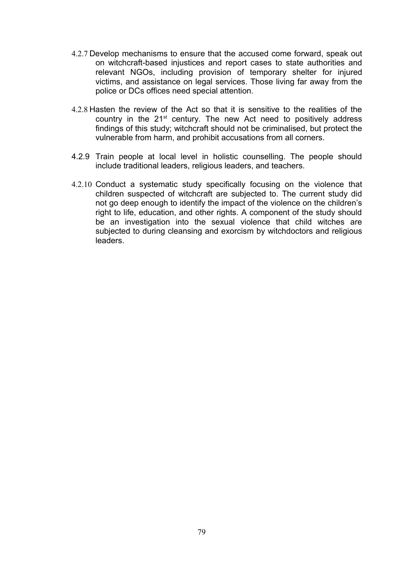- 4.2.7 Develop mechanisms to ensure that the accused come forward, speak out on witchcraft-based injustices and report cases to state authorities and relevant NGOs, including provision of temporary shelter for injured victims, and assistance on legal services. Those living far away from the police or DCs offices need special attention.
- 4.2.8 Hasten the review of the Act so that it is sensitive to the realities of the country in the 21<sup>st</sup> century. The new Act need to positively address findings of this study; witchcraft should not be criminalised, but protect the vulnerable from harm, and prohibit accusations from all corners.
- 4.2.9 Train people at local level in holistic counselling. The people should include traditional leaders, religious leaders, and teachers.
- 4.2.10 Conduct a systematic study specifically focusing on the violence that children suspected of witchcraft are subjected to. The current study did not go deep enough to identify the impact of the violence on the children's right to life, education, and other rights. A component of the study should be an investigation into the sexual violence that child witches are subjected to during cleansing and exorcism by witchdoctors and religious leaders.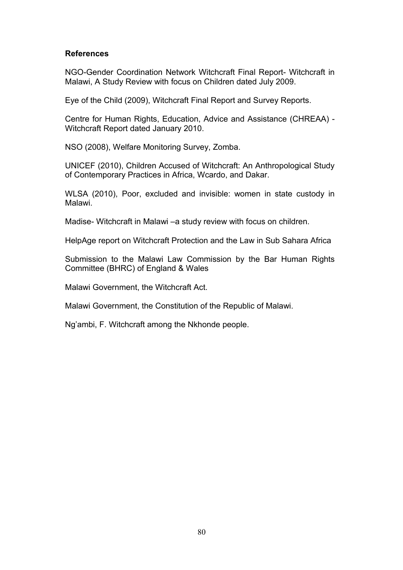## **References**

NGO-Gender Coordination Network Witchcraft Final Report- Witchcraft in Malawi, A Study Review with focus on Children dated July 2009.

Eye of the Child (2009), Witchcraft Final Report and Survey Reports.

Centre for Human Rights, Education, Advice and Assistance (CHREAA) - Witchcraft Report dated January 2010.

NSO (2008), Welfare Monitoring Survey, Zomba.

UNICEF (2010), Children Accused of Witchcraft: An Anthropological Study of Contemporary Practices in Africa, Wcardo, and Dakar.

WLSA (2010), Poor, excluded and invisible: women in state custody in Malawi.

Madise- Witchcraft in Malawi –a study review with focus on children.

HelpAge report on Witchcraft Protection and the Law in Sub Sahara Africa

Submission to the Malawi Law Commission by the Bar Human Rights Committee (BHRC) of England & Wales

Malawi Government, the Witchcraft Act.

Malawi Government, the Constitution of the Republic of Malawi.

Ng'ambi, F. Witchcraft among the Nkhonde people.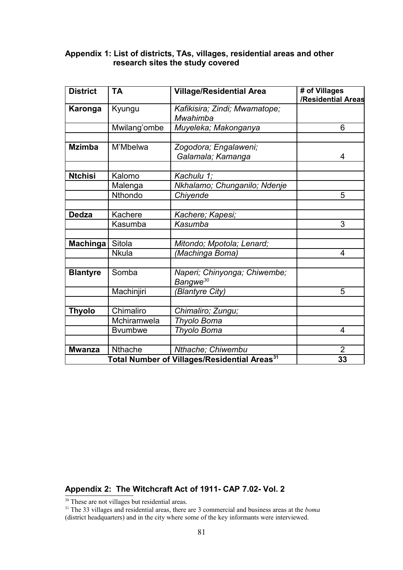# **Appendix 1: List of districts, TAs, villages, residential areas and other research sites the study covered**

| <b>District</b> | <b>TA</b>       | <b>Village/Residential Area</b>                          | # of Villages<br>/Residential Areas |
|-----------------|-----------------|----------------------------------------------------------|-------------------------------------|
| Karonga         | Kyungu          | Kafikisira; Zindi; Mwamatope;<br>Mwahimba                |                                     |
|                 | Mwilang'ombe    | Muyeleka; Makonganya                                     | 6                                   |
| <b>Mzimba</b>   | M'Mbelwa        | Zogodora; Engalaweni;<br>Galamala; Kamanga               |                                     |
| <b>Ntchisi</b>  | Kalomo          | Kachulu 1;                                               |                                     |
|                 | Malenga         | Nkhalamo; Chunganilo; Ndenje                             |                                     |
|                 | Nthondo         | Chiyende                                                 | 5                                   |
| <b>Dedza</b>    | Kachere         | Kachere; Kapesi;                                         |                                     |
|                 | Kasumba         | Kasumba                                                  | 3                                   |
| <b>Machinga</b> | Sitola          | Mitondo; Mpotola; Lenard;                                |                                     |
|                 | <b>Nkula</b>    | (Machinga Boma)                                          | 4                                   |
| <b>Blantyre</b> | Somba           | Naperi; Chinyonga; Chiwembe;<br>Bangwe <sup>30</sup>     |                                     |
|                 | Machinjiri      | (Blantyre City)                                          | 5                                   |
| Thyolo          | Chimaliro       | Chimaliro; Zungu;                                        |                                     |
|                 | Mchiramwela     | Thyolo Boma                                              |                                     |
|                 | <b>B</b> vumbwe | Thyolo Boma                                              | 4                                   |
| <b>Mwanza</b>   | <b>Nthache</b>  | Nthache; Chiwembu                                        | $\overline{2}$                      |
|                 |                 | Total Number of Villages/Residential Areas <sup>31</sup> | 33                                  |

# **Appendix 2: The Witchcraft Act of 1911- CAP 7.02- Vol. 2**

<span id="page-80-0"></span><sup>30</sup> These are not villages but residential areas.

<span id="page-80-1"></span><sup>31</sup> The 33 villages and residential areas, there are 3 commercial and business areas at the *boma* (district headquarters) and in the city where some of the key informants were interviewed.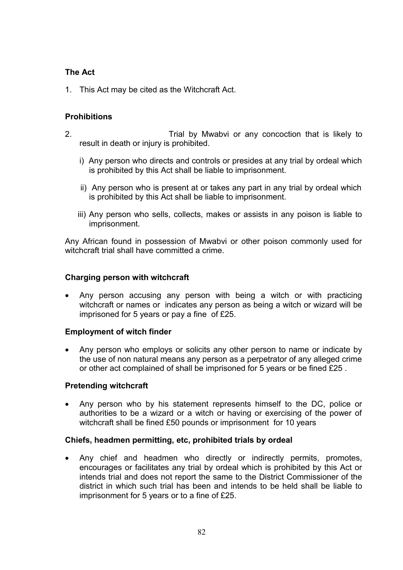# **The Act**

1. This Act may be cited as the Witchcraft Act.

# **Prohibitions**

- 2. Trial by Mwabvi or any concoction that is likely to result in death or injury is prohibited.
	- i) Any person who directs and controls or presides at any trial by ordeal which is prohibited by this Act shall be liable to imprisonment.
	- ii) Any person who is present at or takes any part in any trial by ordeal which is prohibited by this Act shall be liable to imprisonment.
	- iii) Any person who sells, collects, makes or assists in any poison is liable to imprisonment.

Any African found in possession of Mwabvi or other poison commonly used for witchcraft trial shall have committed a crime.

# **Charging person with witchcraft**

 Any person accusing any person with being a witch or with practicing witchcraft or names or indicates any person as being a witch or wizard will be imprisoned for 5 years or pay a fine of £25.

# **Employment of witch finder**

 Any person who employs or solicits any other person to name or indicate by the use of non natural means any person as a perpetrator of any alleged crime or other act complained of shall be imprisoned for 5 years or be fined £25 .

# **Pretending witchcraft**

 Any person who by his statement represents himself to the DC, police or authorities to be a wizard or a witch or having or exercising of the power of witchcraft shall be fined £50 pounds or imprisonment for 10 years

# **Chiefs, headmen permitting, etc, prohibited trials by ordeal**

 Any chief and headmen who directly or indirectly permits, promotes, encourages or facilitates any trial by ordeal which is prohibited by this Act or intends trial and does not report the same to the District Commissioner of the district in which such trial has been and intends to be held shall be liable to imprisonment for 5 years or to a fine of £25.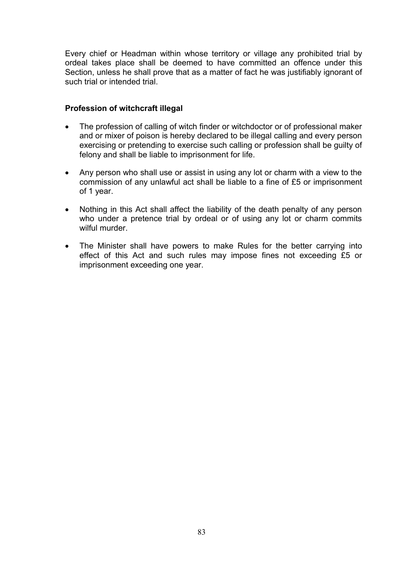Every chief or Headman within whose territory or village any prohibited trial by ordeal takes place shall be deemed to have committed an offence under this Section, unless he shall prove that as a matter of fact he was justifiably ignorant of such trial or intended trial.

## **Profession of witchcraft illegal**

- The profession of calling of witch finder or witchdoctor or of professional maker and or mixer of poison is hereby declared to be illegal calling and every person exercising or pretending to exercise such calling or profession shall be guilty of felony and shall be liable to imprisonment for life.
- Any person who shall use or assist in using any lot or charm with a view to the commission of any unlawful act shall be liable to a fine of £5 or imprisonment of 1 year.
- Nothing in this Act shall affect the liability of the death penalty of any person who under a pretence trial by ordeal or of using any lot or charm commits wilful murder
- The Minister shall have powers to make Rules for the better carrying into effect of this Act and such rules may impose fines not exceeding £5 or imprisonment exceeding one year.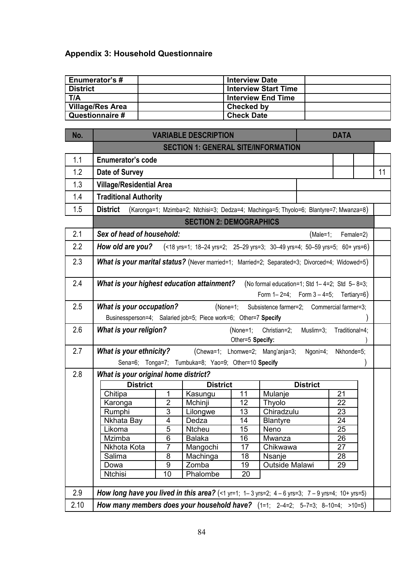# **Appendix 3: Household Questionnaire**

| Enumerator's #          | <b>Interview Date</b>       |  |
|-------------------------|-----------------------------|--|
| <b>District</b>         | <b>Interview Start Time</b> |  |
| T/A                     | <b>Interview End Time</b>   |  |
| <b>Village/Res Area</b> | Checked by                  |  |
| Questionnaire #         | <b>Check Date</b>           |  |

| No.  | <b>VARIABLE DESCRIPTION</b>                                                                            |                |                                                                                       |          |                                                     | <b>DATA</b>     |                |           |    |
|------|--------------------------------------------------------------------------------------------------------|----------------|---------------------------------------------------------------------------------------|----------|-----------------------------------------------------|-----------------|----------------|-----------|----|
|      | <b>SECTION 1: GENERAL SITE/INFORMATION</b>                                                             |                |                                                                                       |          |                                                     |                 |                |           |    |
| 1.1  | <b>Enumerator's code</b>                                                                               |                |                                                                                       |          |                                                     |                 |                |           |    |
| 1.2  | Date of Survey                                                                                         |                |                                                                                       |          |                                                     |                 |                |           | 11 |
| 1.3  | <b>Village/Residential Area</b>                                                                        |                |                                                                                       |          |                                                     |                 |                |           |    |
| 1.4  | <b>Traditional Authority</b>                                                                           |                |                                                                                       |          |                                                     |                 |                |           |    |
| 1.5  | <b>District</b>                                                                                        |                | (Karonga=1; Mzimba=2; Ntchisi=3; Dedza=4; Machinga=5; Thyolo=6; Blantyre=7; Mwanza=8) |          |                                                     |                 |                |           |    |
|      |                                                                                                        |                | <b>SECTION 2: DEMOGRAPHICS</b>                                                        |          |                                                     |                 |                |           |    |
|      |                                                                                                        |                |                                                                                       |          |                                                     |                 |                |           |    |
| 2.1  | Sex of head of household:                                                                              |                |                                                                                       |          |                                                     | (Male=1;        |                | Female=2) |    |
| 2.2  | How old are you?                                                                                       |                | (<18 yrs=1; 18-24 yrs=2; 25-29 yrs=3; 30-49 yrs=4; 50-59 yrs=5; 60+ yrs=6)            |          |                                                     |                 |                |           |    |
| 2.3  | What is your marital status? (Never married=1; Married=2; Separated=3; Divorced=4; Widowed=5)          |                |                                                                                       |          |                                                     |                 |                |           |    |
|      |                                                                                                        |                |                                                                                       |          |                                                     |                 |                |           |    |
| 2.4  | What is your highest education attainment?                                                             |                |                                                                                       |          | (No formal education=1; Std $1-4=2$ ; Std $5-8=3$ ; |                 |                |           |    |
|      |                                                                                                        |                |                                                                                       |          | Form $1 - 2 = 4$ ; Form $3 - 4 = 5$ ; Tertiary=6)   |                 |                |           |    |
| 2.5  | <b>What is your occupation?</b>                                                                        |                | (None=1;                                                                              |          | Subsistence farmer=2; Commercial farmer=3;          |                 |                |           |    |
|      | Businessperson=4; Salaried job=5; Piece work=6; Other=7 Specify                                        |                |                                                                                       |          |                                                     |                 |                |           |    |
| 2.6  | <b>What is your religion?</b>                                                                          |                |                                                                                       | (None=1; | Christian=2;                                        | Muslim=3;       | Traditional=4; |           |    |
|      | Other=5 Specify:                                                                                       |                |                                                                                       |          |                                                     |                 |                |           |    |
| 2.7  | What is your ethnicity?                                                                                |                |                                                                                       |          | (Chewa=1; Lhomwe=2; Mang'anja=3;                    | Ngoni=4;        | Nkhonde=5;     |           |    |
|      |                                                                                                        |                | Sena=6; Tonga=7; Tumbuka=8; Yao=9; Other=10 Specify                                   |          |                                                     |                 |                |           |    |
| 2.8  | What is your original home district?                                                                   |                |                                                                                       |          |                                                     |                 |                |           |    |
|      | <b>District</b>                                                                                        |                | <b>District</b>                                                                       |          |                                                     | <b>District</b> |                |           |    |
|      | Chitipa                                                                                                | 1              | Kasungu                                                                               | 11       | Mulanje                                             |                 | 21             |           |    |
|      | Karonga                                                                                                | $\overline{2}$ | Mchinji                                                                               | 12       | Thyolo                                              |                 | 22             |           |    |
|      | Rumphi                                                                                                 | $\overline{3}$ | Lilongwe                                                                              | 13       | Chiradzulu                                          |                 | 23             |           |    |
|      | Nkhata Bay                                                                                             | 4              | Dedza                                                                                 | 14       | <b>Blantyre</b>                                     |                 | 24             |           |    |
|      | Likoma                                                                                                 | $\overline{5}$ | <b>Ntcheu</b>                                                                         | 15       | Neno                                                |                 | 25             |           |    |
|      | Mzimba                                                                                                 | 6              | <b>Balaka</b>                                                                         | 16       | Mwanza                                              |                 | 26             |           |    |
|      | Nkhota Kota                                                                                            | 7              | Mangochi                                                                              | 17       | Chikwawa                                            |                 | 27             |           |    |
|      | Salima                                                                                                 | 8              | Machinga                                                                              | 18       | Nsanje                                              |                 | 28             |           |    |
|      | Dowa                                                                                                   | 9              | Zomba                                                                                 | 19       | Outside Malawi                                      |                 | 29             |           |    |
|      | <b>Ntchisi</b>                                                                                         | 10             | Phalombe                                                                              | 20       |                                                     |                 |                |           |    |
| 2.9  | <b>How long have you lived in this area?</b> (<1 yr=1; 1-3 yrs=2; 4 - 6 yrs=3; 7 - 9 yrs=4; 10+ yrs=5) |                |                                                                                       |          |                                                     |                 |                |           |    |
| 2.10 | How many members does your household have? $(1=1; 2-4=2; 5-7=3; 8-10=4; >10=5)$                        |                |                                                                                       |          |                                                     |                 |                |           |    |
|      |                                                                                                        |                |                                                                                       |          |                                                     |                 |                |           |    |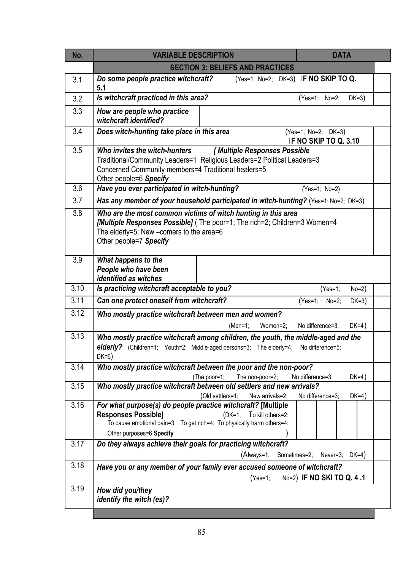| No.  | <b>DATA</b><br><b>VARIABLE DESCRIPTION</b>                                                                                                                                                                                        |  |
|------|-----------------------------------------------------------------------------------------------------------------------------------------------------------------------------------------------------------------------------------|--|
|      | <b>SECTION 3: BELIEFS AND PRACTICES</b>                                                                                                                                                                                           |  |
| 3.1  | Do some people practice witchcraft?<br>(Yes=1; No=2; DK=3) IF NO SKIP TO Q.<br>5.1                                                                                                                                                |  |
| 3.2  | Is witchcraft practiced in this area?<br>(Yes=1; No=2;<br>$DK=3)$                                                                                                                                                                 |  |
| 3.3  | How are people who practice<br>witchcraft identified?                                                                                                                                                                             |  |
| 3.4  | Does witch-hunting take place in this area<br>(Yes=1; No=2; DK=3)<br>IF NO SKIP TO Q. 3.10                                                                                                                                        |  |
| 3.5  | [ Multiple Responses Possible<br>Who invites the witch-hunters<br>Traditional/Community Leaders=1 Religious Leaders=2 Political Leaders=3<br>Concerned Community members=4 Traditional healers=5<br>Other people=6 Specify        |  |
| 3.6  | Have you ever participated in witch-hunting?<br>(Yes=1; No=2)                                                                                                                                                                     |  |
| 3.7  | Has any member of your household participated in witch-hunting? (Yes=1; No=2; DK=3)                                                                                                                                               |  |
| 3.8  | Who are the most common victims of witch hunting in this area<br>[Multiple Responses Possible] (The poor=1; The rich=2; Children=3 Women=4<br>The elderly=5; New -comers to the area=6<br>Other people=7 Specify                  |  |
| 3.9  | What happens to the<br>People who have been<br>identified as witches                                                                                                                                                              |  |
| 3.10 | Is practicing witchcraft acceptable to you?<br>$(Yes=1;$<br>$No=2)$                                                                                                                                                               |  |
| 3.11 | Can one protect oneself from witchcraft?<br>$DK=3)$<br>(Yes=1;<br>$No=2;$                                                                                                                                                         |  |
| 3.12 | Who mostly practice witchcraft between men and women?<br>No difference=3;<br>$DK=4)$<br>$(Men=1;$<br>Women=2;                                                                                                                     |  |
| 3.13 | Who mostly practice witchcraft among children, the youth, the middle-aged and the<br>elderly? (Children=1; Youth=2; Middle-aged persons=3; The elderly=4;<br>No difference=5;<br>$DK=6$ )                                         |  |
| 3.14 | Who mostly practice witchcraft between the poor and the non-poor?<br>(The poor=1;<br>The non-poor=2;<br>No difference=3;<br>$DK=4)$                                                                                               |  |
| 3.15 | Who mostly practice witchcraft between old settlers and new arrivals?<br>(Old settlers=1;<br>No difference=3;<br>$DK=4)$<br>New arrivals=2;                                                                                       |  |
| 3.16 | For what purpose(s) do people practice witchcraft? [Multiple<br><b>Responses Possible]</b><br>To kill others=2;<br>$(DK=1;$<br>To cause emotional pain=3; To get rich=4; To physically harm others=4;<br>Other purposes=6 Specify |  |
| 3.17 | Do they always achieve their goals for practicing witchcraft?<br>(Always=1; Sometimes=2;<br>Never=3; $DK=4$ )                                                                                                                     |  |
| 3.18 | Have you or any member of your family ever accused someone of witchcraft?<br>No=2) IF NO SKI TO Q. 4.1<br>$(Yes=1;$                                                                                                               |  |
| 3.19 | How did you/they<br>identify the witch (es)?                                                                                                                                                                                      |  |
|      |                                                                                                                                                                                                                                   |  |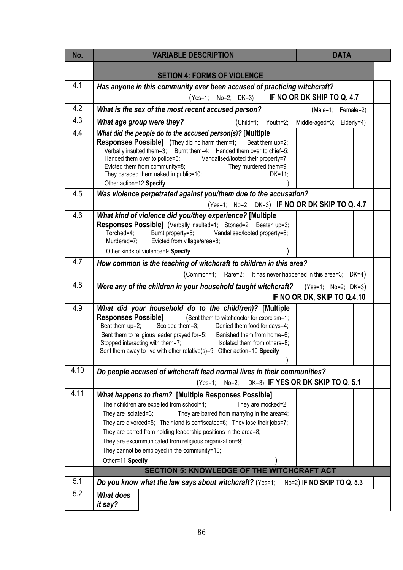| No.  | <b>VARIABLE DESCRIPTION</b>                                                                                                                                                                                                                                                                                                                                                                                                                                                                                                         | <b>DATA</b>                       |
|------|-------------------------------------------------------------------------------------------------------------------------------------------------------------------------------------------------------------------------------------------------------------------------------------------------------------------------------------------------------------------------------------------------------------------------------------------------------------------------------------------------------------------------------------|-----------------------------------|
|      |                                                                                                                                                                                                                                                                                                                                                                                                                                                                                                                                     |                                   |
| 4.1  | <b>SETION 4: FORMS OF VIOLENCE</b>                                                                                                                                                                                                                                                                                                                                                                                                                                                                                                  |                                   |
|      | Has anyone in this community ever been accused of practicing witchcraft?<br>(Yes=1; No=2; DK=3)                                                                                                                                                                                                                                                                                                                                                                                                                                     | IF NO OR DK SHIP TO Q. 4.7        |
| 4.2  | What is the sex of the most recent accused person?                                                                                                                                                                                                                                                                                                                                                                                                                                                                                  | (Male=1; Female=2)                |
| 4.3  | What age group were they?<br>(Child=1; Youth=2;                                                                                                                                                                                                                                                                                                                                                                                                                                                                                     | Middle-aged=3;<br>Elderly=4)      |
| 4.4  | What did the people do to the accused person(s)? [Multiple<br><b>Responses Possible]</b> (They did no harm them=1;<br>Beat them up=2;<br>Verbally insulted them=3; Burnt them=4; Handed them over to chief=5;<br>Handed them over to police=6; Vandalised/looted their property=7;<br>Evicted them from community=8;<br>They murdered them=9;<br>They paraded them naked in public=10;<br>$DK=11$ ;<br>Other action=12 Specify                                                                                                      |                                   |
| 4.5  | Was violence perpetrated against you/them due to the accusation?                                                                                                                                                                                                                                                                                                                                                                                                                                                                    |                                   |
|      | (Yes=1; No=2; DK=3) IF NO OR DK SKIP TO Q. 4.7                                                                                                                                                                                                                                                                                                                                                                                                                                                                                      |                                   |
| 4.6  | What kind of violence did you/they experience? [Multiple<br>Responses Possible] (Verbally insulted=1; Stoned=2; Beaten up=3;<br>Vandalised/looted property=6;<br>Torched=4;<br>Burnt property=5;<br>Evicted from village/area=8;<br>Murdered=7;                                                                                                                                                                                                                                                                                     |                                   |
|      | Other kinds of violence=9 Specify                                                                                                                                                                                                                                                                                                                                                                                                                                                                                                   |                                   |
| 4.7  | How common is the teaching of witchcraft to children in this area?                                                                                                                                                                                                                                                                                                                                                                                                                                                                  |                                   |
|      | (Common=1; Rare=2; It has never happened in this area=3; DK=4)                                                                                                                                                                                                                                                                                                                                                                                                                                                                      |                                   |
| 4.8  | Were any of the children in your household taught witchcraft? $(Yes=1; No=2; DK=3)$                                                                                                                                                                                                                                                                                                                                                                                                                                                 | IF NO OR DK, SKIP TO Q.4.10       |
| 4.9  | What did your household do to the child(ren)? [Multiple<br><b>Responses Possible]</b><br>(Sent them to witchdoctor for exorcism=1;<br>Scolded them=3; Denied them food for days=4;<br>Beat them up=2;<br>Sent them to religious leader prayed for=5; Banished them from home=6;<br>Stopped interacting with them=7; Isolated them from others=8;<br>Sent them away to live with other relative(s)=9; Other action=10 Specify                                                                                                        |                                   |
| 4.10 | Do people accused of witchcraft lead normal lives in their communities?                                                                                                                                                                                                                                                                                                                                                                                                                                                             |                                   |
|      | $No=2$ ;<br>$(Yes=1;$                                                                                                                                                                                                                                                                                                                                                                                                                                                                                                               | DK=3) IF YES OR DK SKIP TO Q. 5.1 |
| 4.11 | What happens to them? [Multiple Responses Possible]<br>Their children are expelled from school=1;<br>They are mocked=2;<br>They are barred from marrying in the area=4;<br>They are isolated=3;<br>They are divorced=5; Their land is confiscated=6; They lose their jobs=7;<br>They are barred from holding leadership positions in the area=8;<br>They are excommunicated from religious organization=9;<br>They cannot be employed in the community=10;<br>Other=11 Specify<br><b>SECTION 5: KNOWLEDGE OF THE WITCHCRAFT ACT</b> |                                   |
| 5.1  | Do you know what the law says about witchcraft? (Yes=1;                                                                                                                                                                                                                                                                                                                                                                                                                                                                             | No=2) IF NO SKIP TO Q. 5.3        |
| 5.2  | <b>What does</b><br>it say?                                                                                                                                                                                                                                                                                                                                                                                                                                                                                                         |                                   |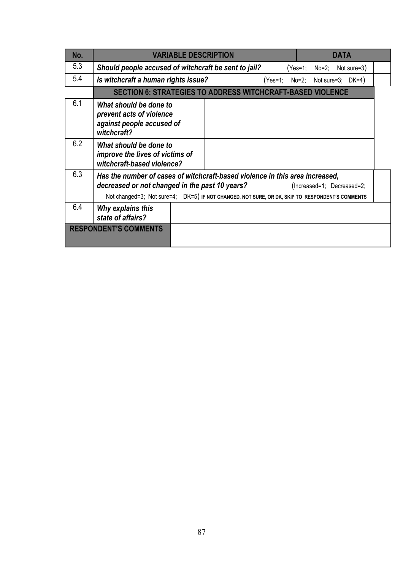| No.                          | <b>VARIABLE DESCRIPTION</b>                                                                                                                                                                                                                                     |                                                                          |  |  | <b>DATA</b>                 |  |  |
|------------------------------|-----------------------------------------------------------------------------------------------------------------------------------------------------------------------------------------------------------------------------------------------------------------|--------------------------------------------------------------------------|--|--|-----------------------------|--|--|
| 5.3                          | Should people accused of witchcraft be sent to jail?                                                                                                                                                                                                            |                                                                          |  |  | $(Yes=1; No=2; Not sure=3)$ |  |  |
| 5.4                          |                                                                                                                                                                                                                                                                 | Is witchcraft a human rights issue?<br>$(Yes=1; No=2; Not sure=3; DK=4)$ |  |  |                             |  |  |
|                              | <b>SECTION 6: STRATEGIES TO ADDRESS WITCHCRAFT-BASED VIOLENCE</b>                                                                                                                                                                                               |                                                                          |  |  |                             |  |  |
| 6.1                          | What should be done to<br>prevent acts of violence<br>against people accused of<br>witchcraft?                                                                                                                                                                  |                                                                          |  |  |                             |  |  |
| 6.2                          | What should be done to<br>improve the lives of victims of<br>witchcraft-based violence?                                                                                                                                                                         |                                                                          |  |  |                             |  |  |
| 6.3                          | Has the number of cases of witchcraft-based violence in this area increased,<br>decreased or not changed in the past 10 years?<br>(Increased=1; Decreased=2;<br>Not changed=3; Not sure=4; DK=5) IF NOT CHANGED, NOT SURE, OR DK, SKIP TO RESPONDENT'S COMMENTS |                                                                          |  |  |                             |  |  |
| 6.4                          | Why explains this<br>state of affairs?                                                                                                                                                                                                                          |                                                                          |  |  |                             |  |  |
| <b>RESPONDENT'S COMMENTS</b> |                                                                                                                                                                                                                                                                 |                                                                          |  |  |                             |  |  |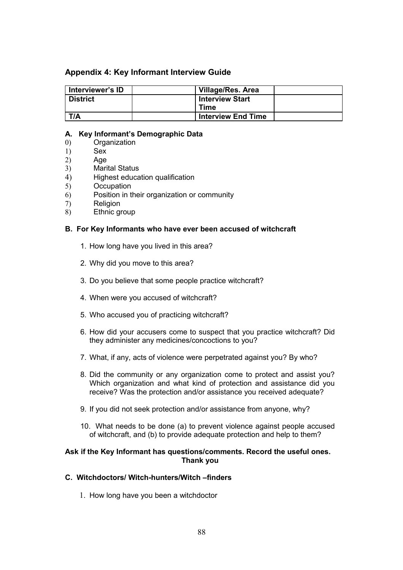### **Appendix 4: Key Informant Interview Guide**

| Interviewer's ID | <b>Village/Res. Area</b>  |  |
|------------------|---------------------------|--|
| <b>District</b>  | <b>Interview Start</b>    |  |
|                  | Time                      |  |
| T/A              | <b>Interview End Time</b> |  |

#### **A. Key Informant's Demographic Data**

- 0) Organization
- 1) Sex
- 2) Age
- 3) Marital Status
- 4) Highest education qualification
- 5) Occupation
- 6) Position in their organization or community
- 7) Religion
- 8) Ethnic group

#### **B. For Key Informants who have ever been accused of witchcraft**

- 1. How long have you lived in this area?
- 2. Why did you move to this area?
- 3. Do you believe that some people practice witchcraft?
- 4. When were you accused of witchcraft?
- 5. Who accused you of practicing witchcraft?
- 6. How did your accusers come to suspect that you practice witchcraft? Did they administer any medicines/concoctions to you?
- 7. What, if any, acts of violence were perpetrated against you? By who?
- 8. Did the community or any organization come to protect and assist you? Which organization and what kind of protection and assistance did you receive? Was the protection and/or assistance you received adequate?
- 9. If you did not seek protection and/or assistance from anyone, why?
- 10. What needs to be done (a) to prevent violence against people accused of witchcraft, and (b) to provide adequate protection and help to them?

#### **Ask if the Key Informant has questions/comments. Record the useful ones. Thank you**

### **C. Witchdoctors/ Witch-hunters/Witch –finders**

1. How long have you been a witchdoctor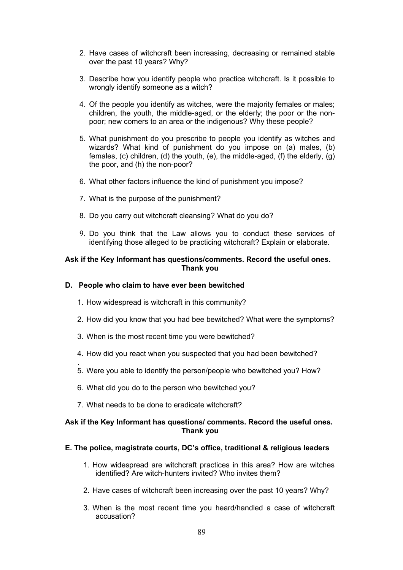- 2. Have cases of witchcraft been increasing, decreasing or remained stable over the past 10 years? Why?
- 3. Describe how you identify people who practice witchcraft. Is it possible to wrongly identify someone as a witch?
- 4. Of the people you identify as witches, were the majority females or males; children, the youth, the middle-aged, or the elderly; the poor or the nonpoor; new comers to an area or the indigenous? Why these people?
- 5. What punishment do you prescribe to people you identify as witches and wizards? What kind of punishment do you impose on (a) males, (b) females, (c) children, (d) the youth, (e), the middle-aged, (f) the elderly, (g) the poor, and (h) the non-poor?
- 6. What other factors influence the kind of punishment you impose?
- 7. What is the purpose of the punishment?
- 8. Do you carry out witchcraft cleansing? What do you do?
- 9. Do you think that the Law allows you to conduct these services of identifying those alleged to be practicing witchcraft? Explain or elaborate.

#### **Ask if the Key Informant has questions/comments. Record the useful ones. Thank you**

#### **D. People who claim to have ever been bewitched**

- 1. How widespread is witchcraft in this community?
- 2. How did you know that you had bee bewitched? What were the symptoms?
- 3. When is the most recent time you were bewitched?
- 4. How did you react when you suspected that you had been bewitched?
- 5. Were you able to identify the person/people who bewitched you? How?
- 6. What did you do to the person who bewitched you?
- 7. What needs to be done to eradicate witchcraft?

.

#### **Ask if the Key Informant has questions/ comments. Record the useful ones. Thank you**

#### **E. The police, magistrate courts, DC's office, traditional & religious leaders**

- 1. How widespread are witchcraft practices in this area? How are witches identified? Are witch-hunters invited? Who invites them?
- 2. Have cases of witchcraft been increasing over the past 10 years? Why?
- 3. When is the most recent time you heard/handled a case of witchcraft accusation?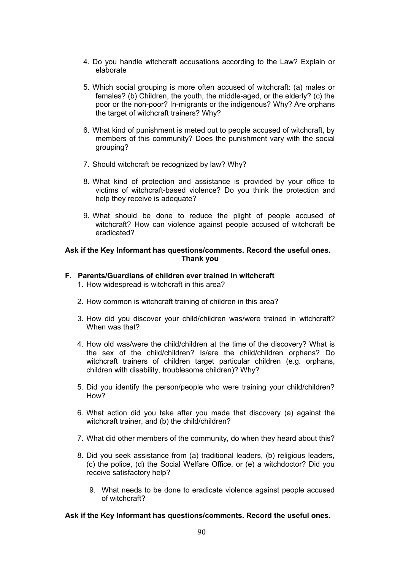- 4. Do you handle witchcraft accusations according to the Law? Explain or elaborate
- 5. Which social grouping is more often accused of witchcraft: (a) males or females? (b) Children, the youth, the middle-aged, or the elderly? (c) the poor or the non-poor? In-migrants or the indigenous? Why? Are orphans the target of witchcraft trainers? Why?
- 6. What kind of punishment is meted out to people accused of witchcraft, by members of this community? Does the punishment vary with the social grouping?
- 7. Should witchcraft be recognized by law? Why?
- 8. What kind of protection and assistance is provided by your office to victims of witchcraft-based violence? Do you think the protection and help they receive is adequate?
- 9. What should be done to reduce the plight of people accused of witchcraft? How can violence against people accused of witchcraft be eradicated?

#### **Ask if the Key Informant has questions/comments. Record the useful ones. Thank you**

#### **F. Parents/Guardians of children ever trained in witchcraft**

- 1. How widespread is witchcraft in this area?
- 2. How common is witchcraft training of children in this area?
- 3. How did you discover your child/children was/were trained in witchcraft? When was that?
- 4. How old was/were the child/children at the time of the discovery? What is the sex of the child/children? Is/are the child/children orphans? Do witchcraft trainers of children target particular children (e.g. orphans, children with disability, troublesome children)? Why?
- 5. Did you identify the person/people who were training your child/children? How?
- 6. What action did you take after you made that discovery (a) against the witchcraft trainer, and (b) the child/children?
- 7. What did other members of the community, do when they heard about this?
- 8. Did you seek assistance from (a) traditional leaders, (b) religious leaders, (c) the police, (d) the Social Welfare Office, or (e) a witchdoctor? Did you receive satisfactory help?
	- 9. What needs to be done to eradicate violence against people accused of witchcraft?

#### **Ask if the Key Informant has questions/comments. Record the useful ones.**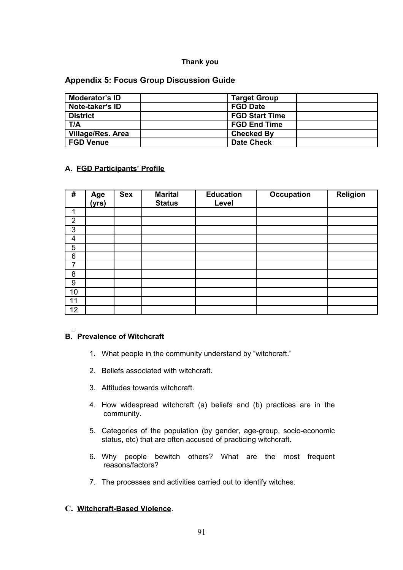### **Thank you**

### **Appendix 5: Focus Group Discussion Guide**

| Moderator's ID           | <b>Target Group</b>   |
|--------------------------|-----------------------|
| Note-taker's ID          | <b>FGD Date</b>       |
| <b>District</b>          | <b>FGD Start Time</b> |
| T/A                      | <b>FGD End Time</b>   |
| <b>Village/Res. Area</b> | <b>Checked By</b>     |
| <b>FGD Venue</b>         | <b>Date Check</b>     |

## **A. FGD Participants' Profile**

| #              | Age<br>(yrs) | <b>Sex</b> | <b>Marital</b><br><b>Status</b> | <b>Education</b><br>Level | <b>Occupation</b> | Religion |
|----------------|--------------|------------|---------------------------------|---------------------------|-------------------|----------|
| и              |              |            |                                 |                           |                   |          |
| $\overline{2}$ |              |            |                                 |                           |                   |          |
| 3              |              |            |                                 |                           |                   |          |
| 4              |              |            |                                 |                           |                   |          |
| 5              |              |            |                                 |                           |                   |          |
| 6              |              |            |                                 |                           |                   |          |
| 7              |              |            |                                 |                           |                   |          |
| 8              |              |            |                                 |                           |                   |          |
| 9              |              |            |                                 |                           |                   |          |
| 10             |              |            |                                 |                           |                   |          |
| 11             |              |            |                                 |                           |                   |          |
| 12             |              |            |                                 |                           |                   |          |

## **B. Prevalence of Witchcraft**

- 1. What people in the community understand by "witchcraft."
- 2. Beliefs associated with witchcraft.
- 3. Attitudes towards witchcraft.
- 4. How widespread witchcraft (a) beliefs and (b) practices are in the community.
- 5. Categories of the population (by gender, age-group, socio-economic status, etc) that are often accused of practicing witchcraft.
- 6. Why people bewitch others? What are the most frequent reasons/factors?
- 7. The processes and activities carried out to identify witches.

# **C. Witchcraft-Based Violence**.